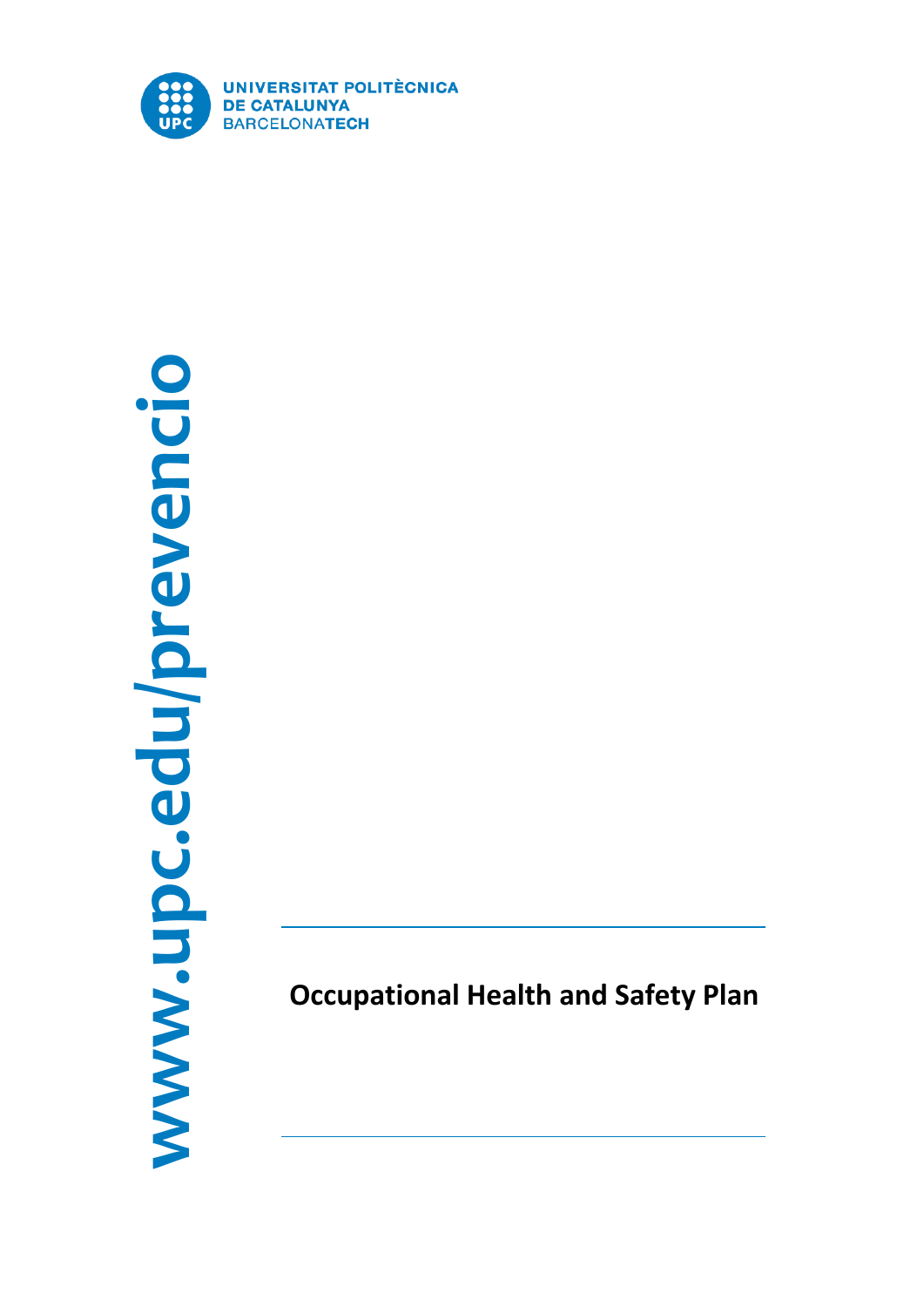

# **www.upc.edu/prevencio** www.upc.edu/prevencio

**Occupational Health and Safety Plan**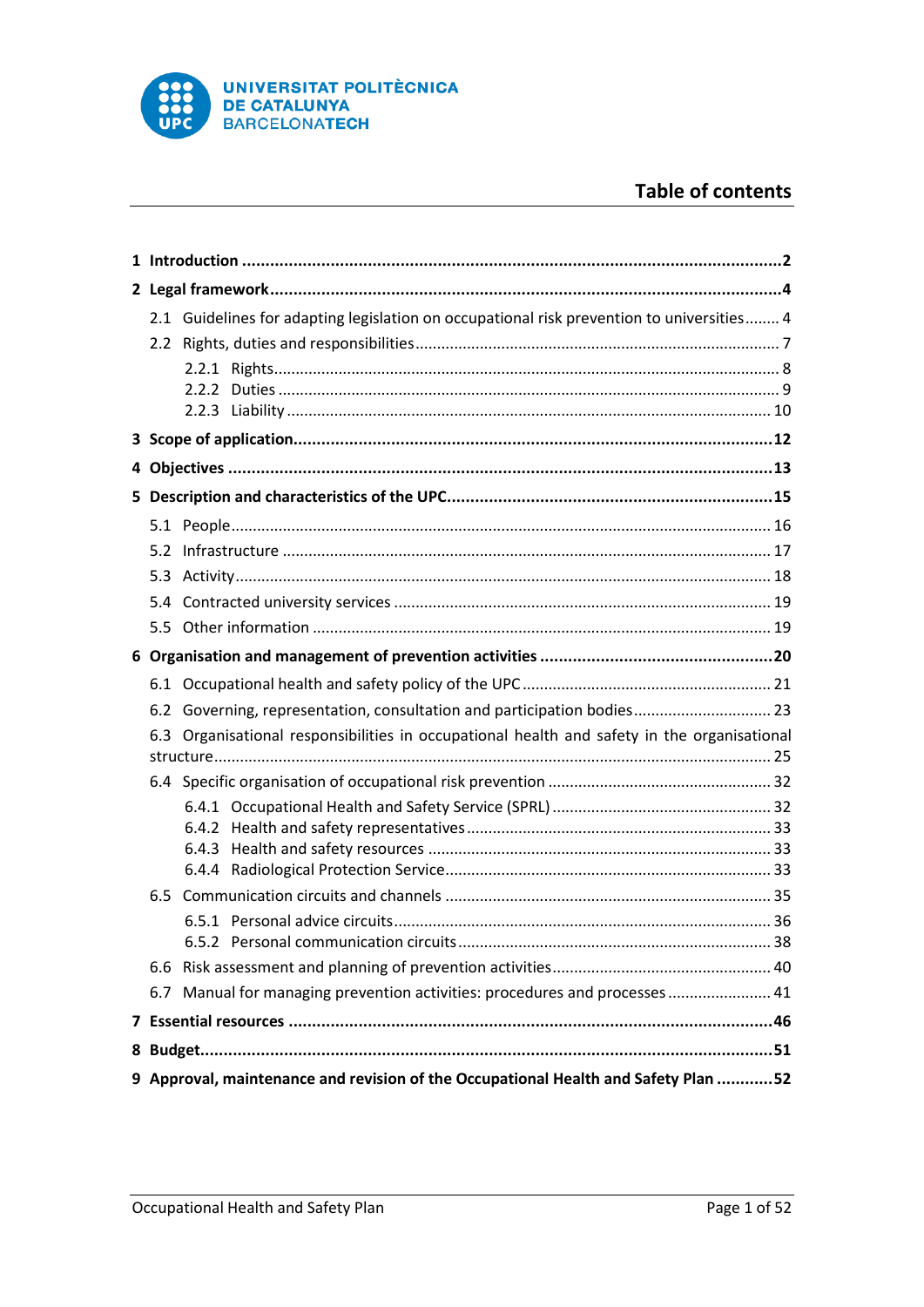

# **Table of contents**

|                                                                                             | 2.1 Guidelines for adapting legislation on occupational risk prevention to universities 4 |  |  |  |  |
|---------------------------------------------------------------------------------------------|-------------------------------------------------------------------------------------------|--|--|--|--|
|                                                                                             |                                                                                           |  |  |  |  |
|                                                                                             |                                                                                           |  |  |  |  |
|                                                                                             |                                                                                           |  |  |  |  |
|                                                                                             |                                                                                           |  |  |  |  |
|                                                                                             |                                                                                           |  |  |  |  |
|                                                                                             |                                                                                           |  |  |  |  |
|                                                                                             |                                                                                           |  |  |  |  |
|                                                                                             |                                                                                           |  |  |  |  |
|                                                                                             |                                                                                           |  |  |  |  |
|                                                                                             |                                                                                           |  |  |  |  |
|                                                                                             |                                                                                           |  |  |  |  |
|                                                                                             |                                                                                           |  |  |  |  |
|                                                                                             |                                                                                           |  |  |  |  |
|                                                                                             |                                                                                           |  |  |  |  |
|                                                                                             | 6.2 Governing, representation, consultation and participation bodies 23                   |  |  |  |  |
| 6.3 Organisational responsibilities in occupational health and safety in the organisational |                                                                                           |  |  |  |  |
|                                                                                             |                                                                                           |  |  |  |  |
|                                                                                             |                                                                                           |  |  |  |  |
|                                                                                             |                                                                                           |  |  |  |  |
|                                                                                             |                                                                                           |  |  |  |  |
|                                                                                             |                                                                                           |  |  |  |  |
| 6.5                                                                                         |                                                                                           |  |  |  |  |
|                                                                                             |                                                                                           |  |  |  |  |
|                                                                                             |                                                                                           |  |  |  |  |
|                                                                                             |                                                                                           |  |  |  |  |
|                                                                                             | 6.7 Manual for managing prevention activities: procedures and processes  41               |  |  |  |  |
|                                                                                             |                                                                                           |  |  |  |  |
|                                                                                             |                                                                                           |  |  |  |  |
| 9 Approval, maintenance and revision of the Occupational Health and Safety Plan 52          |                                                                                           |  |  |  |  |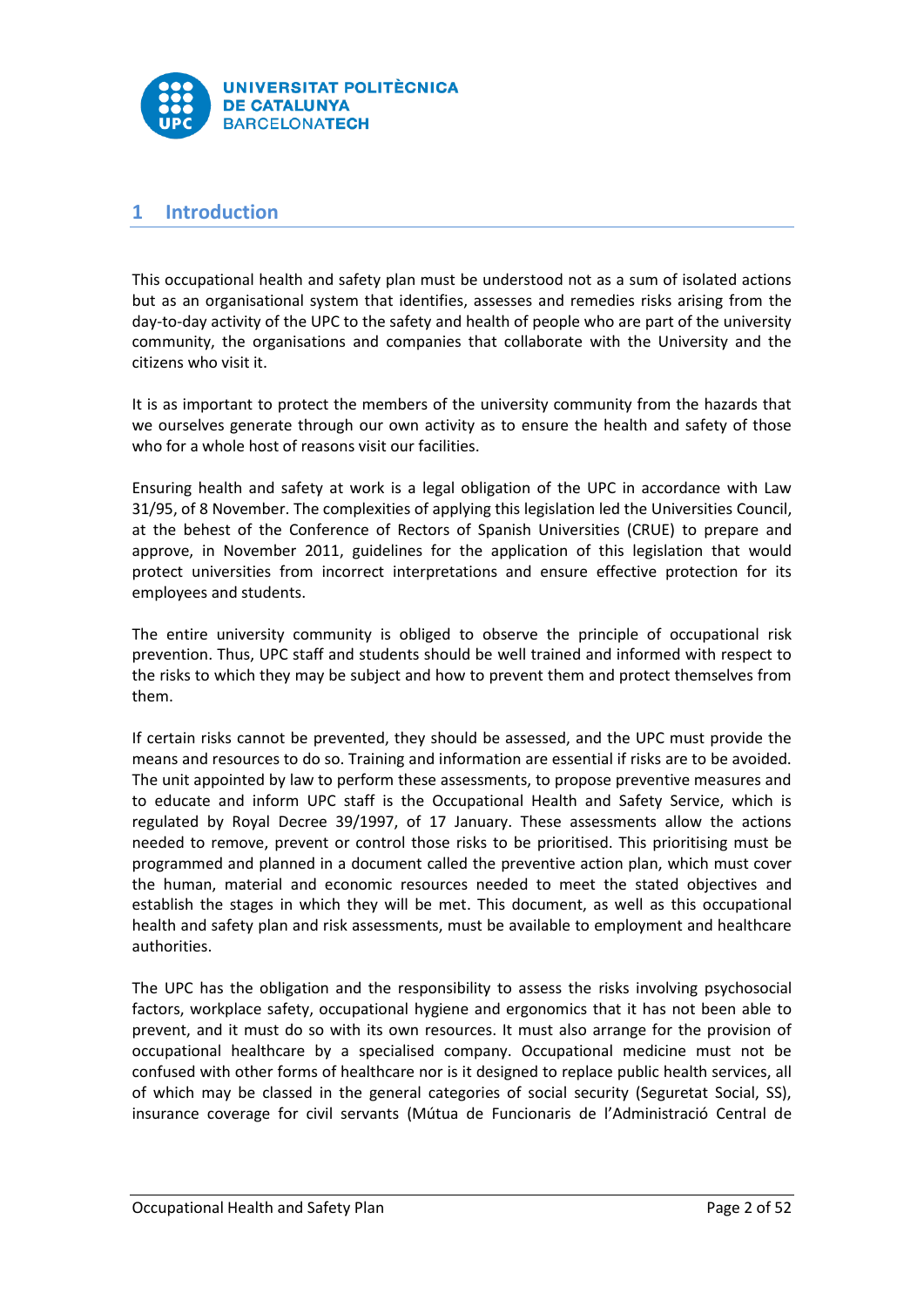

# <span id="page-2-0"></span>**1 Introduction**

This occupational health and safety plan must be understood not as a sum of isolated actions but as an organisational system that identifies, assesses and remedies risks arising from the day-to-day activity of the UPC to the safety and health of people who are part of the university community, the organisations and companies that collaborate with the University and the citizens who visit it.

It is as important to protect the members of the university community from the hazards that we ourselves generate through our own activity as to ensure the health and safety of those who for a whole host of reasons visit our facilities.

Ensuring health and safety at work is a legal obligation of the UPC in accordance with Law 31/95, of 8 November. The complexities of applying this legislation led the Universities Council, at the behest of the Conference of Rectors of Spanish Universities (CRUE) to prepare and approve, in November 2011, guidelines for the application of this legislation that would protect universities from incorrect interpretations and ensure effective protection for its employees and students.

The entire university community is obliged to observe the principle of occupational risk prevention. Thus, UPC staff and students should be well trained and informed with respect to the risks to which they may be subject and how to prevent them and protect themselves from them.

If certain risks cannot be prevented, they should be assessed, and the UPC must provide the means and resources to do so. Training and information are essential if risks are to be avoided. The unit appointed by law to perform these assessments, to propose preventive measures and to educate and inform UPC staff is the Occupational Health and Safety Service, which is regulated by Royal Decree 39/1997, of 17 January. These assessments allow the actions needed to remove, prevent or control those risks to be prioritised. This prioritising must be programmed and planned in a document called the preventive action plan, which must cover the human, material and economic resources needed to meet the stated objectives and establish the stages in which they will be met. This document, as well as this occupational health and safety plan and risk assessments, must be available to employment and healthcare authorities.

The UPC has the obligation and the responsibility to assess the risks involving psychosocial factors, workplace safety, occupational hygiene and ergonomics that it has not been able to prevent, and it must do so with its own resources. It must also arrange for the provision of occupational healthcare by a specialised company. Occupational medicine must not be confused with other forms of healthcare nor is it designed to replace public health services, all of which may be classed in the general categories of social security (Seguretat Social, SS), insurance coverage for civil servants (Mútua de Funcionaris de l'Administració Central de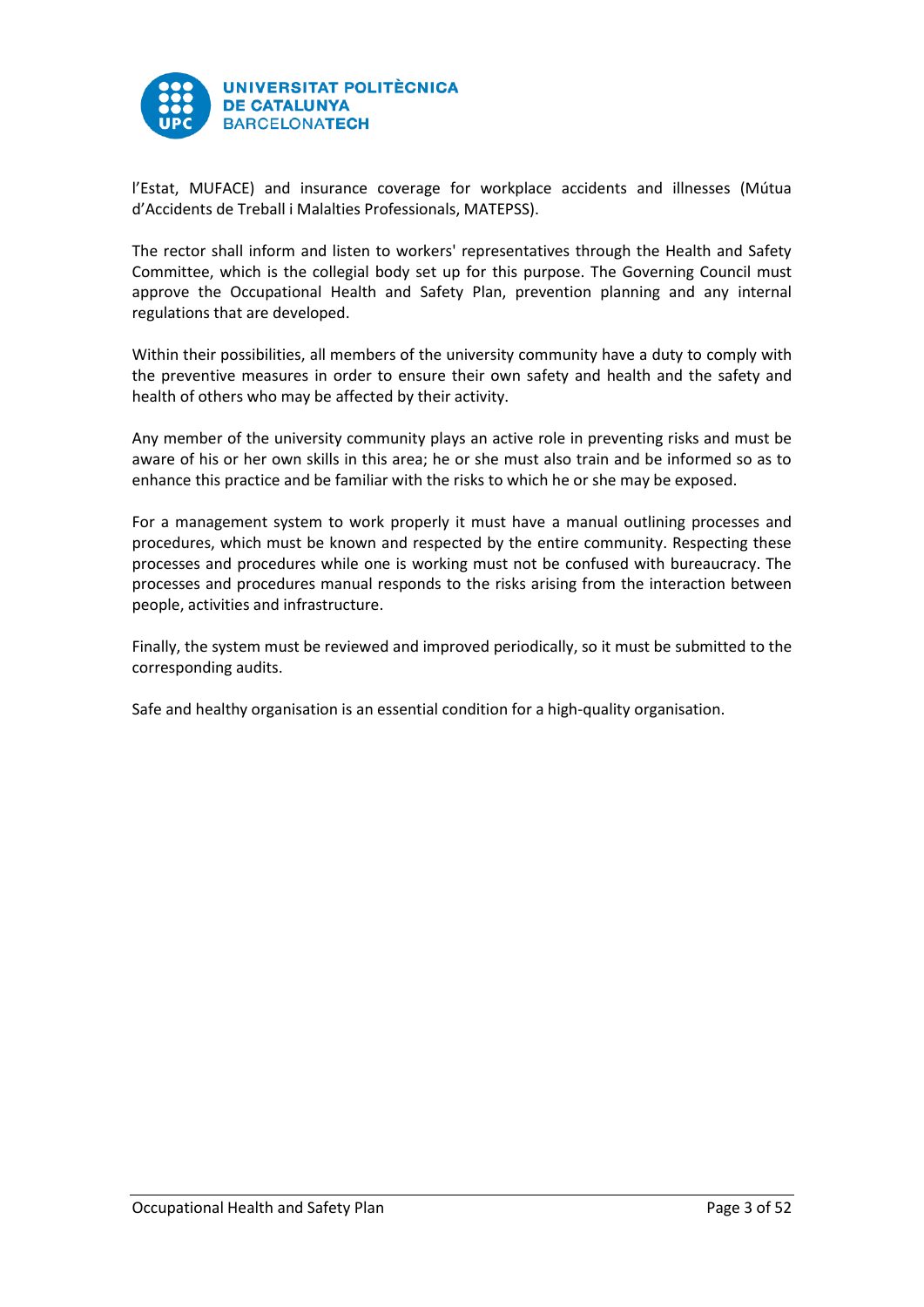

l'Estat, MUFACE) and insurance coverage for workplace accidents and illnesses (Mútua d'Accidents de Treball i Malalties Professionals, MATEPSS).

The rector shall inform and listen to workers' representatives through the Health and Safety Committee, which is the collegial body set up for this purpose. The Governing Council must approve the Occupational Health and Safety Plan, prevention planning and any internal regulations that are developed.

Within their possibilities, all members of the university community have a duty to comply with the preventive measures in order to ensure their own safety and health and the safety and health of others who may be affected by their activity.

Any member of the university community plays an active role in preventing risks and must be aware of his or her own skills in this area; he or she must also train and be informed so as to enhance this practice and be familiar with the risks to which he or she may be exposed.

For a management system to work properly it must have a manual outlining processes and procedures, which must be known and respected by the entire community. Respecting these processes and procedures while one is working must not be confused with bureaucracy. The processes and procedures manual responds to the risks arising from the interaction between people, activities and infrastructure.

Finally, the system must be reviewed and improved periodically, so it must be submitted to the corresponding audits.

Safe and healthy organisation is an essential condition for a high-quality organisation.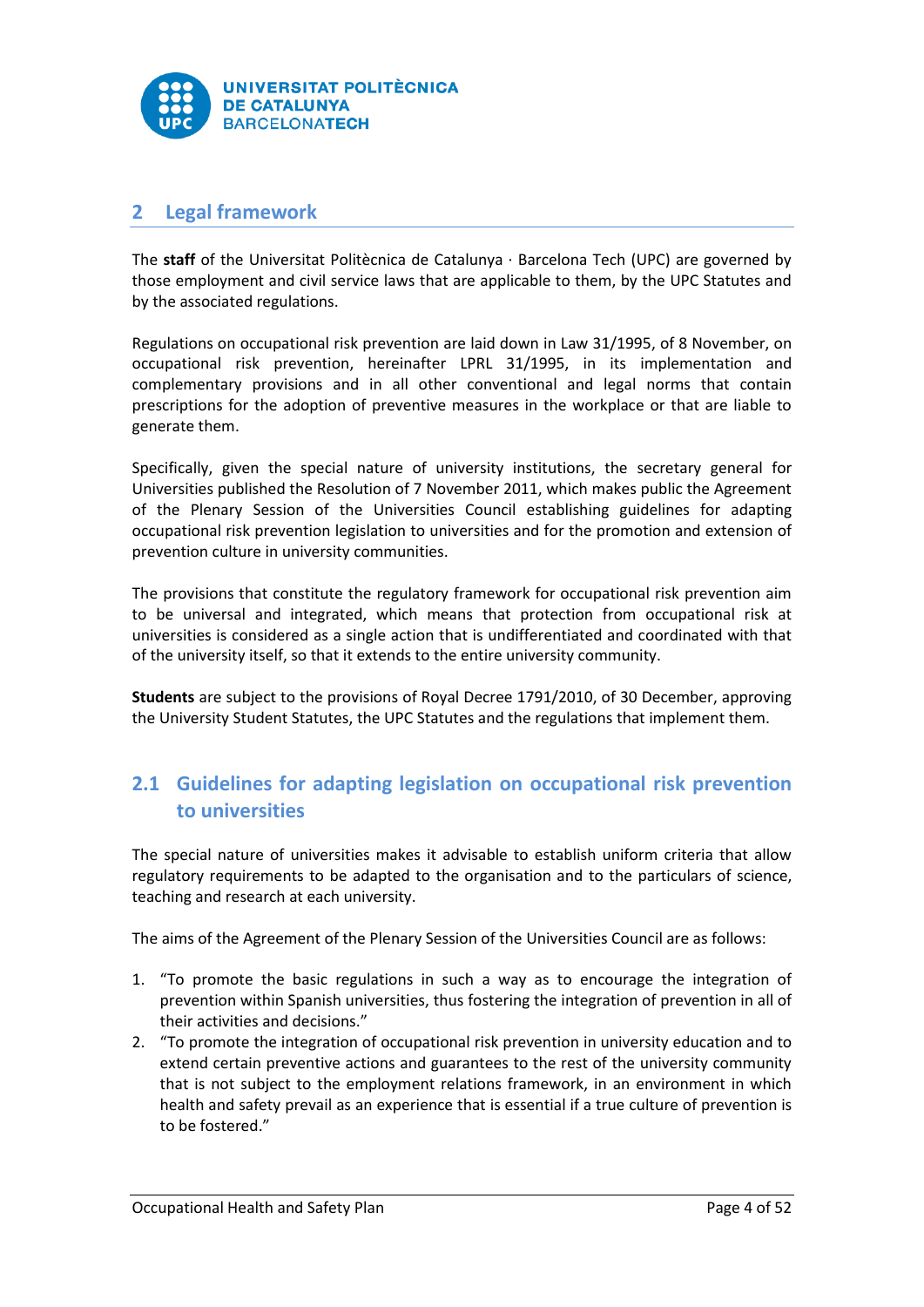

# <span id="page-4-0"></span>**2 Legal framework**

The **staff** of the Universitat Politècnica de Catalunya · Barcelona Tech (UPC) are governed by those employment and civil service laws that are applicable to them, by the UPC Statutes and by the associated regulations.

Regulations on occupational risk prevention are laid down in Law 31/1995, of 8 November, on occupational risk prevention, hereinafter LPRL 31/1995, in its implementation and complementary provisions and in all other conventional and legal norms that contain prescriptions for the adoption of preventive measures in the workplace or that are liable to generate them.

Specifically, given the special nature of university institutions, the secretary general for Universities published the Resolution of 7 November 2011, which makes public the Agreement of the Plenary Session of the Universities Council establishing guidelines for adapting occupational risk prevention legislation to universities and for the promotion and extension of prevention culture in university communities.

The provisions that constitute the regulatory framework for occupational risk prevention aim to be universal and integrated, which means that protection from occupational risk at universities is considered as a single action that is undifferentiated and coordinated with that of the university itself, so that it extends to the entire university community.

**Students** are subject to the provisions of Royal Decree 1791/2010, of 30 December, approving the University Student Statutes, the UPC Statutes and the regulations that implement them.

# <span id="page-4-1"></span>**2.1 Guidelines for adapting legislation on occupational risk prevention to universities**

The special nature of universities makes it advisable to establish uniform criteria that allow regulatory requirements to be adapted to the organisation and to the particulars of science, teaching and research at each university.

The aims of the Agreement of the Plenary Session of the Universities Council are as follows:

- 1. "To promote the basic regulations in such a way as to encourage the integration of prevention within Spanish universities, thus fostering the integration of prevention in all of their activities and decisions."
- 2. "To promote the integration of occupational risk prevention in university education and to extend certain preventive actions and guarantees to the rest of the university community that is not subject to the employment relations framework, in an environment in which health and safety prevail as an experience that is essential if a true culture of prevention is to be fostered."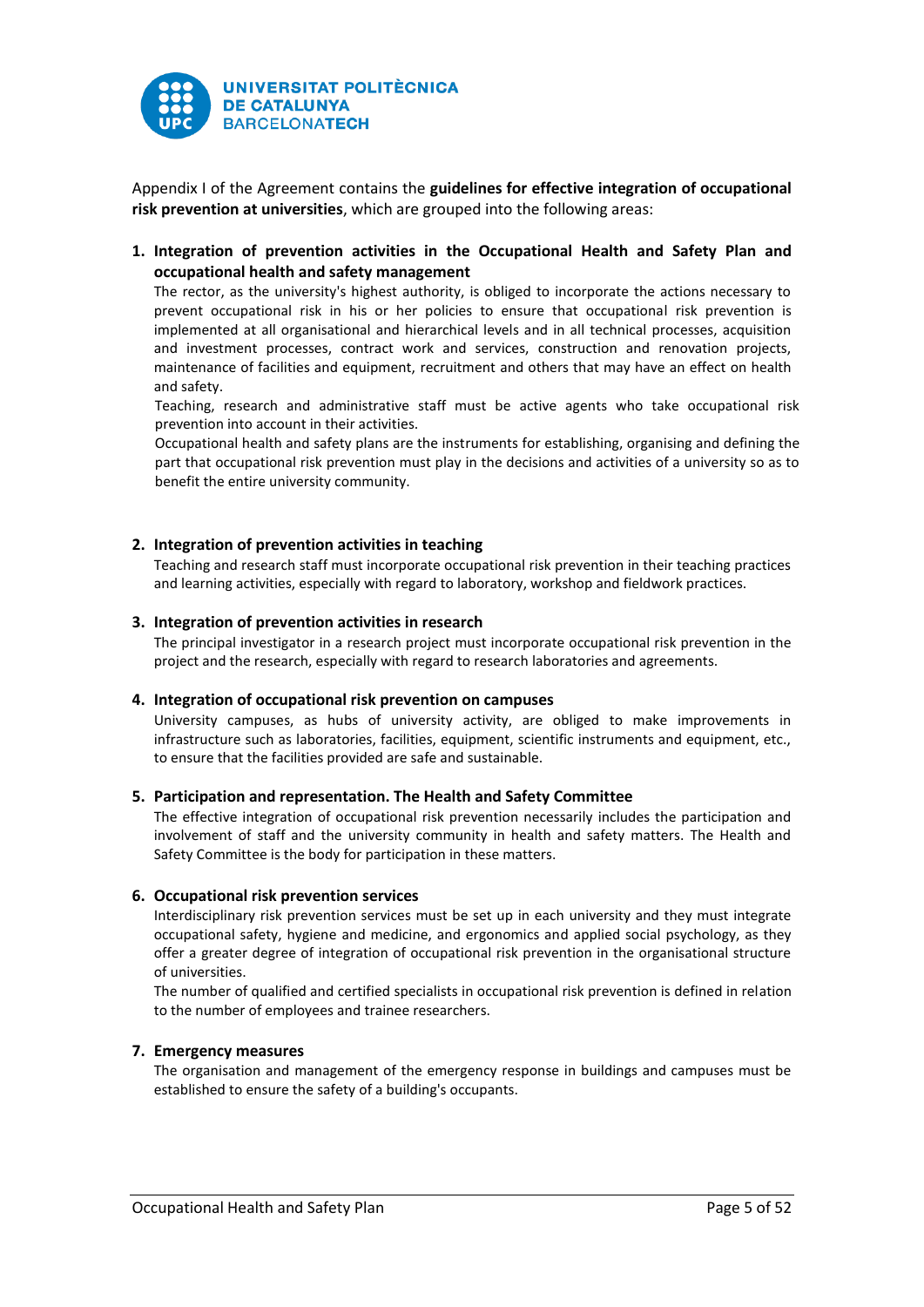

Appendix I of the Agreement contains the **guidelines for effective integration of occupational risk prevention at universities**, which are grouped into the following areas:

**1. Integration of prevention activities in the Occupational Health and Safety Plan and occupational health and safety management**

The rector, as the university's highest authority, is obliged to incorporate the actions necessary to prevent occupational risk in his or her policies to ensure that occupational risk prevention is implemented at all organisational and hierarchical levels and in all technical processes, acquisition and investment processes, contract work and services, construction and renovation projects, maintenance of facilities and equipment, recruitment and others that may have an effect on health and safety.

Teaching, research and administrative staff must be active agents who take occupational risk prevention into account in their activities.

Occupational health and safety plans are the instruments for establishing, organising and defining the part that occupational risk prevention must play in the decisions and activities of a university so as to benefit the entire university community.

#### **2. Integration of prevention activities in teaching**

Teaching and research staff must incorporate occupational risk prevention in their teaching practices and learning activities, especially with regard to laboratory, workshop and fieldwork practices.

#### **3. Integration of prevention activities in research**

The principal investigator in a research project must incorporate occupational risk prevention in the project and the research, especially with regard to research laboratories and agreements.

#### **4. Integration of occupational risk prevention on campuses**

University campuses, as hubs of university activity, are obliged to make improvements in infrastructure such as laboratories, facilities, equipment, scientific instruments and equipment, etc., to ensure that the facilities provided are safe and sustainable.

#### **5. Participation and representation. The Health and Safety Committee**

The effective integration of occupational risk prevention necessarily includes the participation and involvement of staff and the university community in health and safety matters. The Health and Safety Committee is the body for participation in these matters.

#### **6. Occupational risk prevention services**

Interdisciplinary risk prevention services must be set up in each university and they must integrate occupational safety, hygiene and medicine, and ergonomics and applied social psychology, as they offer a greater degree of integration of occupational risk prevention in the organisational structure of universities.

The number of qualified and certified specialists in occupational risk prevention is defined in relation to the number of employees and trainee researchers.

#### **7. Emergency measures**

The organisation and management of the emergency response in buildings and campuses must be established to ensure the safety of a building's occupants.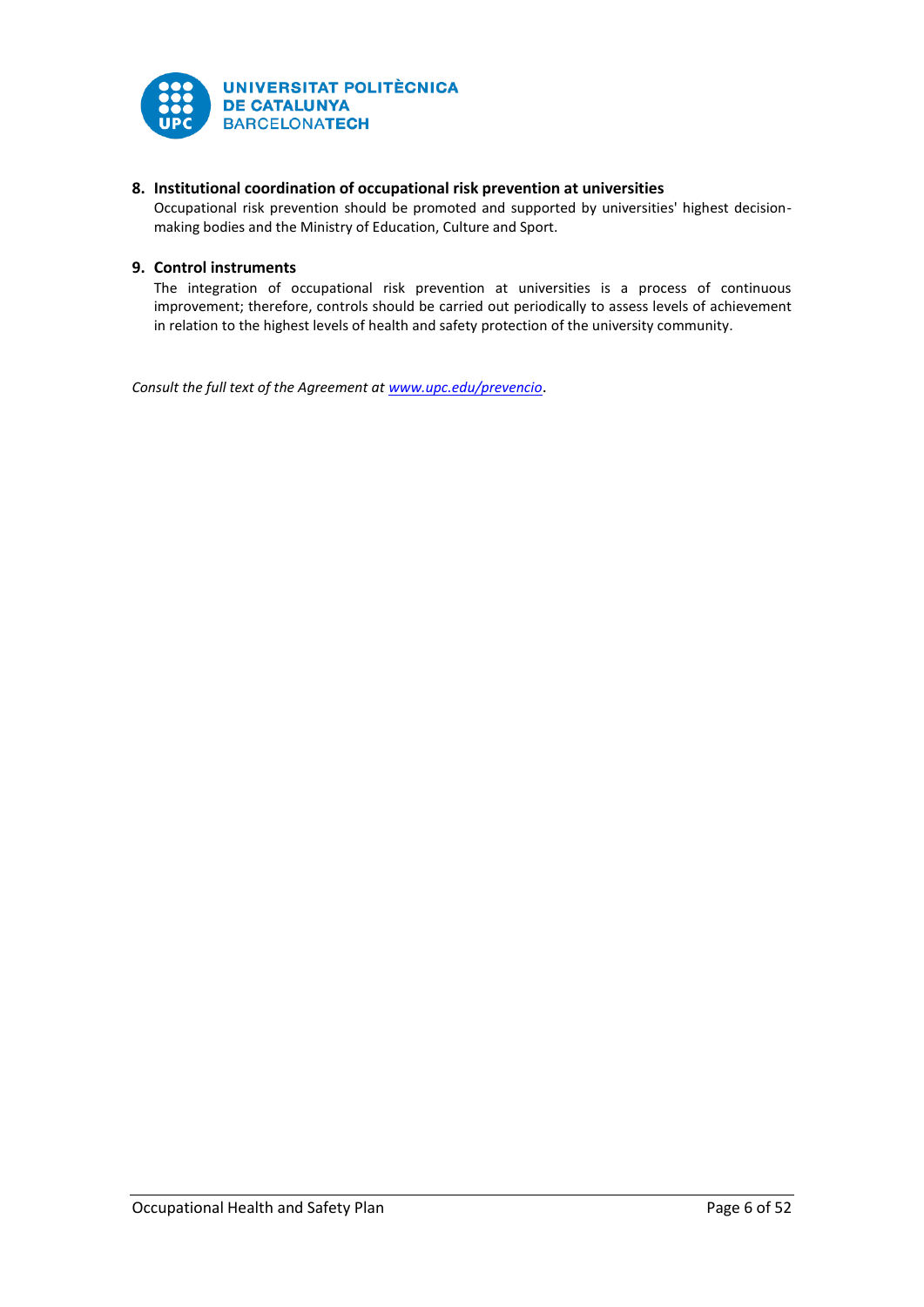

# **8. Institutional coordination of occupational risk prevention at universities**

Occupational risk prevention should be promoted and supported by universities' highest decisionmaking bodies and the Ministry of Education, Culture and Sport.

## **9. Control instruments**

The integration of occupational risk prevention at universities is a process of continuous improvement; therefore, controls should be carried out periodically to assess levels of achievement in relation to the highest levels of health and safety protection of the university community.

*Consult the full text of the Agreement at [www.upc.edu/prevencio](http://www.upc.edu/prevencio)*.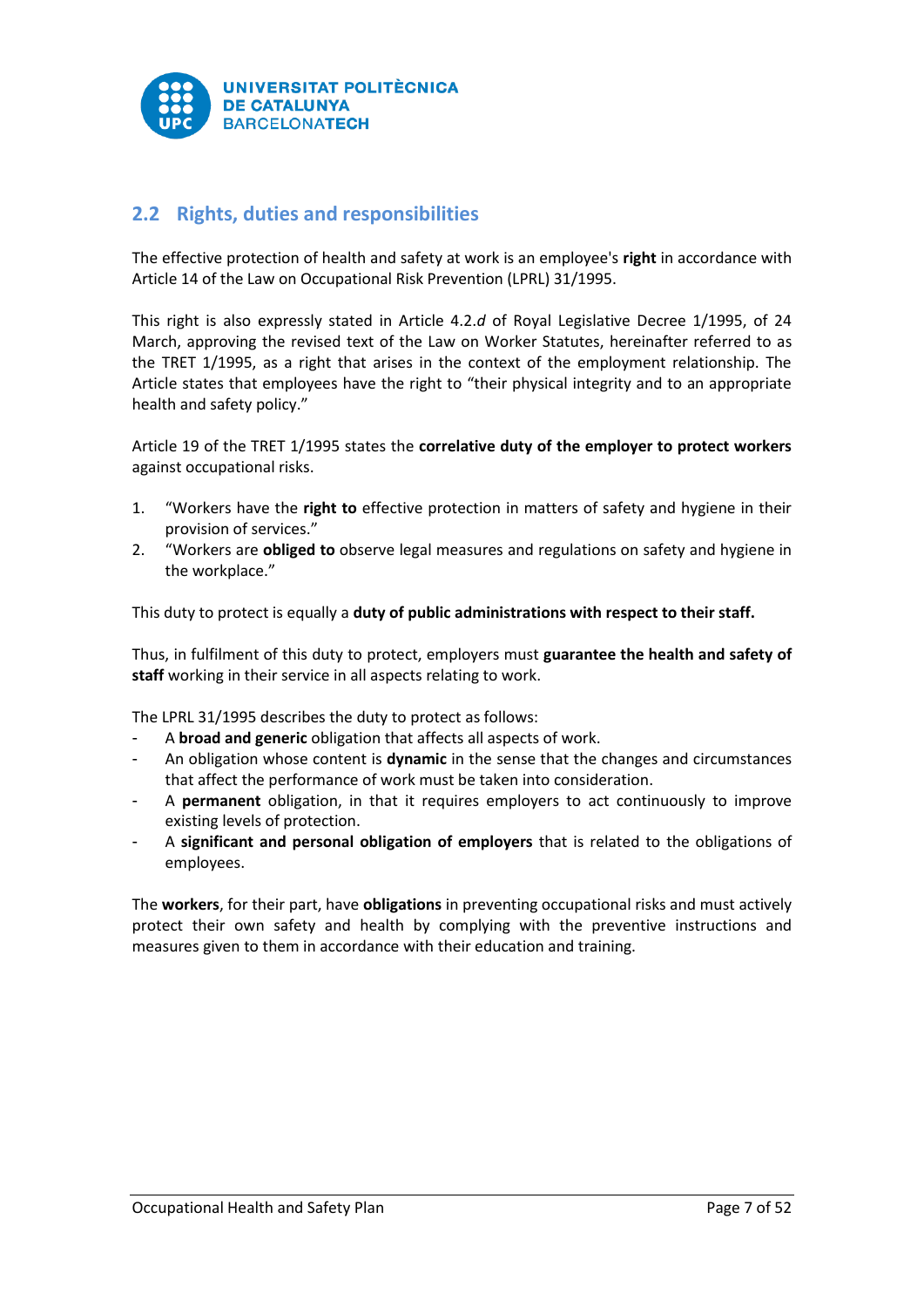

# <span id="page-7-0"></span>**2.2 Rights, duties and responsibilities**

The effective protection of health and safety at work is an employee's **right** in accordance with Article 14 of the Law on Occupational Risk Prevention (LPRL) 31/1995.

This right is also expressly stated in Article 4.2.*d* of Royal Legislative Decree 1/1995, of 24 March, approving the revised text of the Law on Worker Statutes, hereinafter referred to as the TRET 1/1995, as a right that arises in the context of the employment relationship. The Article states that employees have the right to "their physical integrity and to an appropriate health and safety policy."

Article 19 of the TRET 1/1995 states the **correlative duty of the employer to protect workers**  against occupational risks.

- 1. "Workers have the **right to** effective protection in matters of safety and hygiene in their provision of services."
- 2. "Workers are **obliged to** observe legal measures and regulations on safety and hygiene in the workplace."

This duty to protect is equally a **duty of public administrations with respect to their staff.**

Thus, in fulfilment of this duty to protect, employers must **guarantee the health and safety of staff** working in their service in all aspects relating to work.

The LPRL 31/1995 describes the duty to protect as follows:

- A **broad and generic** obligation that affects all aspects of work.
- An obligation whose content is **dynamic** in the sense that the changes and circumstances that affect the performance of work must be taken into consideration.
- A **permanent** obligation, in that it requires employers to act continuously to improve existing levels of protection.
- A **significant and personal obligation of employers** that is related to the obligations of employees.

The **workers**, for their part, have **obligations** in preventing occupational risks and must actively protect their own safety and health by complying with the preventive instructions and measures given to them in accordance with their education and training.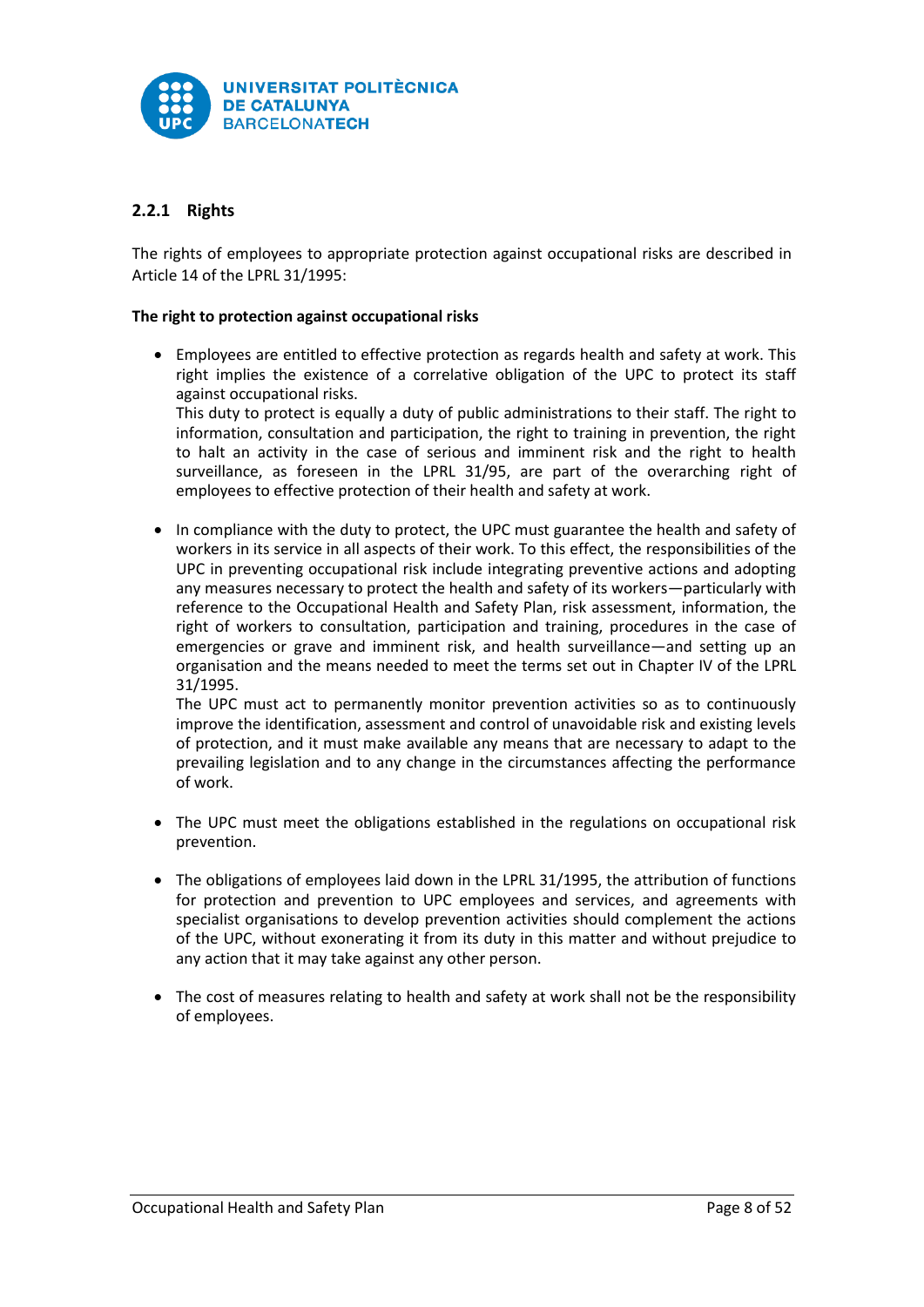

# <span id="page-8-0"></span>**2.2.1 Rights**

The rights of employees to appropriate protection against occupational risks are described in Article 14 of the LPRL 31/1995:

#### **The right to protection against occupational risks**

 Employees are entitled to effective protection as regards health and safety at work. This right implies the existence of a correlative obligation of the UPC to protect its staff against occupational risks.

This duty to protect is equally a duty of public administrations to their staff. The right to information, consultation and participation, the right to training in prevention, the right to halt an activity in the case of serious and imminent risk and the right to health surveillance, as foreseen in the LPRL 31/95, are part of the overarching right of employees to effective protection of their health and safety at work.

• In compliance with the duty to protect, the UPC must guarantee the health and safety of workers in its service in all aspects of their work. To this effect, the responsibilities of the UPC in preventing occupational risk include integrating preventive actions and adopting any measures necessary to protect the health and safety of its workers—particularly with reference to the Occupational Health and Safety Plan, risk assessment, information, the right of workers to consultation, participation and training, procedures in the case of emergencies or grave and imminent risk, and health surveillance—and setting up an organisation and the means needed to meet the terms set out in Chapter IV of the LPRL 31/1995.

The UPC must act to permanently monitor prevention activities so as to continuously improve the identification, assessment and control of unavoidable risk and existing levels of protection, and it must make available any means that are necessary to adapt to the prevailing legislation and to any change in the circumstances affecting the performance of work.

- The UPC must meet the obligations established in the regulations on occupational risk prevention.
- The obligations of employees laid down in the LPRL 31/1995, the attribution of functions for protection and prevention to UPC employees and services, and agreements with specialist organisations to develop prevention activities should complement the actions of the UPC, without exonerating it from its duty in this matter and without prejudice to any action that it may take against any other person.
- The cost of measures relating to health and safety at work shall not be the responsibility of employees.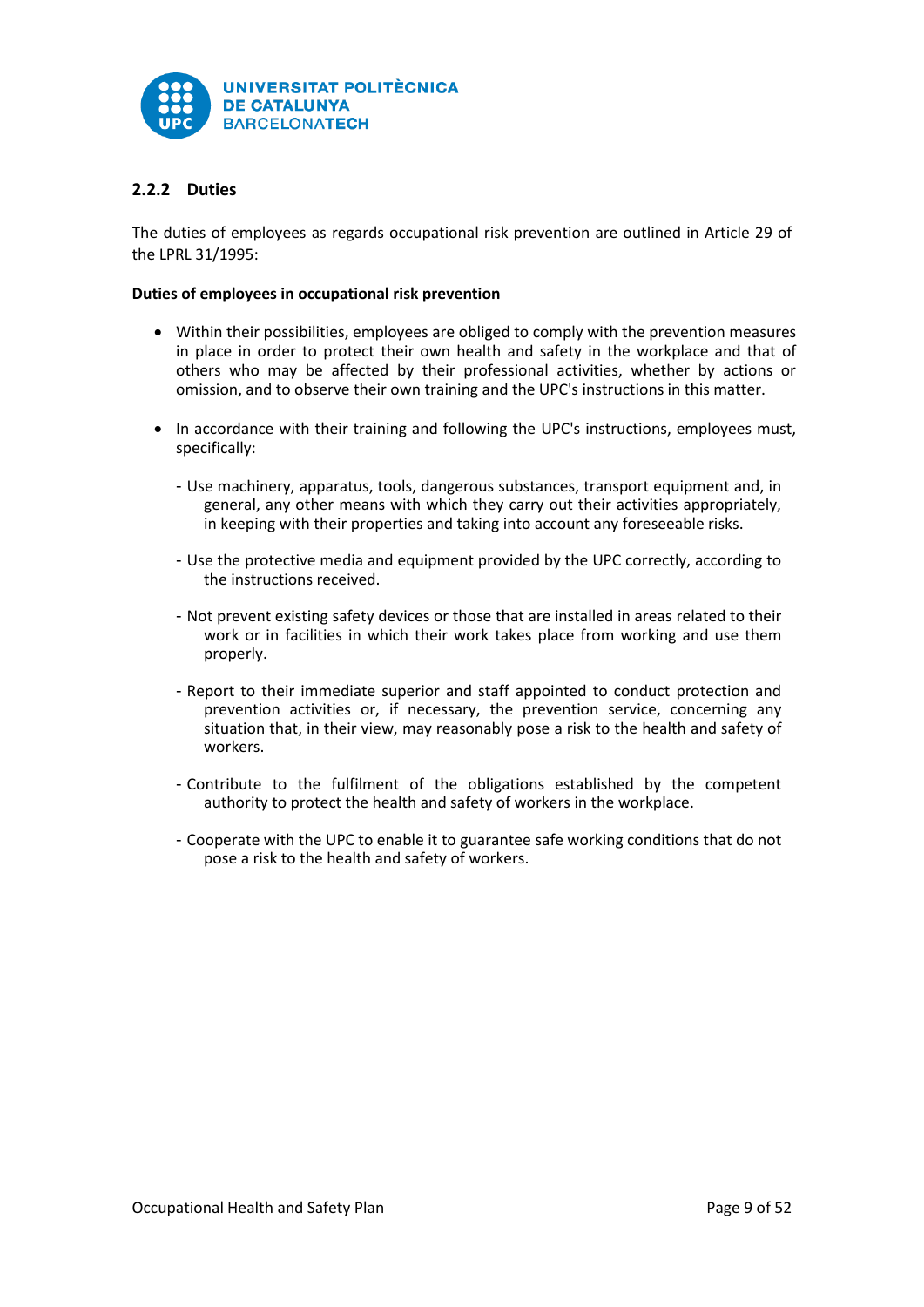

# <span id="page-9-0"></span>**2.2.2 Duties**

The duties of employees as regards occupational risk prevention are outlined in Article 29 of the LPRL 31/1995:

#### **Duties of employees in occupational risk prevention**

- Within their possibilities, employees are obliged to comply with the prevention measures in place in order to protect their own health and safety in the workplace and that of others who may be affected by their professional activities, whether by actions or omission, and to observe their own training and the UPC's instructions in this matter.
- In accordance with their training and following the UPC's instructions, employees must, specifically:
	- Use machinery, apparatus, tools, dangerous substances, transport equipment and, in general, any other means with which they carry out their activities appropriately, in keeping with their properties and taking into account any foreseeable risks.
	- Use the protective media and equipment provided by the UPC correctly, according to the instructions received.
	- Not prevent existing safety devices or those that are installed in areas related to their work or in facilities in which their work takes place from working and use them properly.
	- Report to their immediate superior and staff appointed to conduct protection and prevention activities or, if necessary, the prevention service, concerning any situation that, in their view, may reasonably pose a risk to the health and safety of workers.
	- Contribute to the fulfilment of the obligations established by the competent authority to protect the health and safety of workers in the workplace.
	- Cooperate with the UPC to enable it to guarantee safe working conditions that do not pose a risk to the health and safety of workers.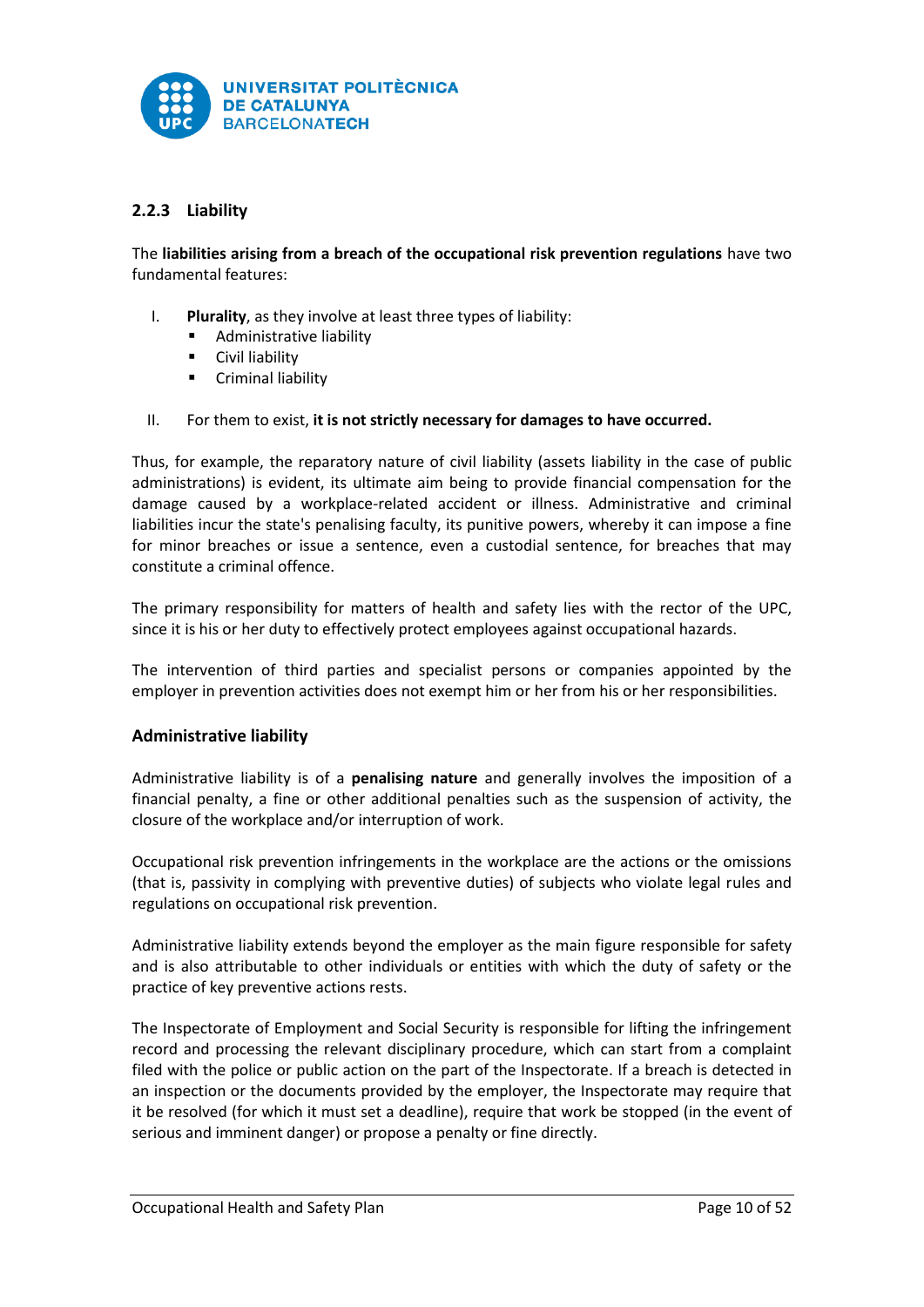

# <span id="page-10-0"></span>**2.2.3 Liability**

The **liabilities arising from a breach of the occupational risk prevention regulations** have two fundamental features:

- I. **Plurality**, as they involve at least three types of liability:
	- Administrative liability
	- Civil liability
	- **E** Criminal liability
- II. For them to exist, **it is not strictly necessary for damages to have occurred.**

Thus, for example, the reparatory nature of civil liability (assets liability in the case of public administrations) is evident, its ultimate aim being to provide financial compensation for the damage caused by a workplace-related accident or illness. Administrative and criminal liabilities incur the state's penalising faculty, its punitive powers, whereby it can impose a fine for minor breaches or issue a sentence, even a custodial sentence, for breaches that may constitute a criminal offence.

The primary responsibility for matters of health and safety lies with the rector of the UPC, since it is his or her duty to effectively protect employees against occupational hazards.

The intervention of third parties and specialist persons or companies appointed by the employer in prevention activities does not exempt him or her from his or her responsibilities.

## **Administrative liability**

Administrative liability is of a **penalising nature** and generally involves the imposition of a financial penalty, a fine or other additional penalties such as the suspension of activity, the closure of the workplace and/or interruption of work.

Occupational risk prevention infringements in the workplace are the actions or the omissions (that is, passivity in complying with preventive duties) of subjects who violate legal rules and regulations on occupational risk prevention.

Administrative liability extends beyond the employer as the main figure responsible for safety and is also attributable to other individuals or entities with which the duty of safety or the practice of key preventive actions rests.

The Inspectorate of Employment and Social Security is responsible for lifting the infringement record and processing the relevant disciplinary procedure, which can start from a complaint filed with the police or public action on the part of the Inspectorate. If a breach is detected in an inspection or the documents provided by the employer, the Inspectorate may require that it be resolved (for which it must set a deadline), require that work be stopped (in the event of serious and imminent danger) or propose a penalty or fine directly.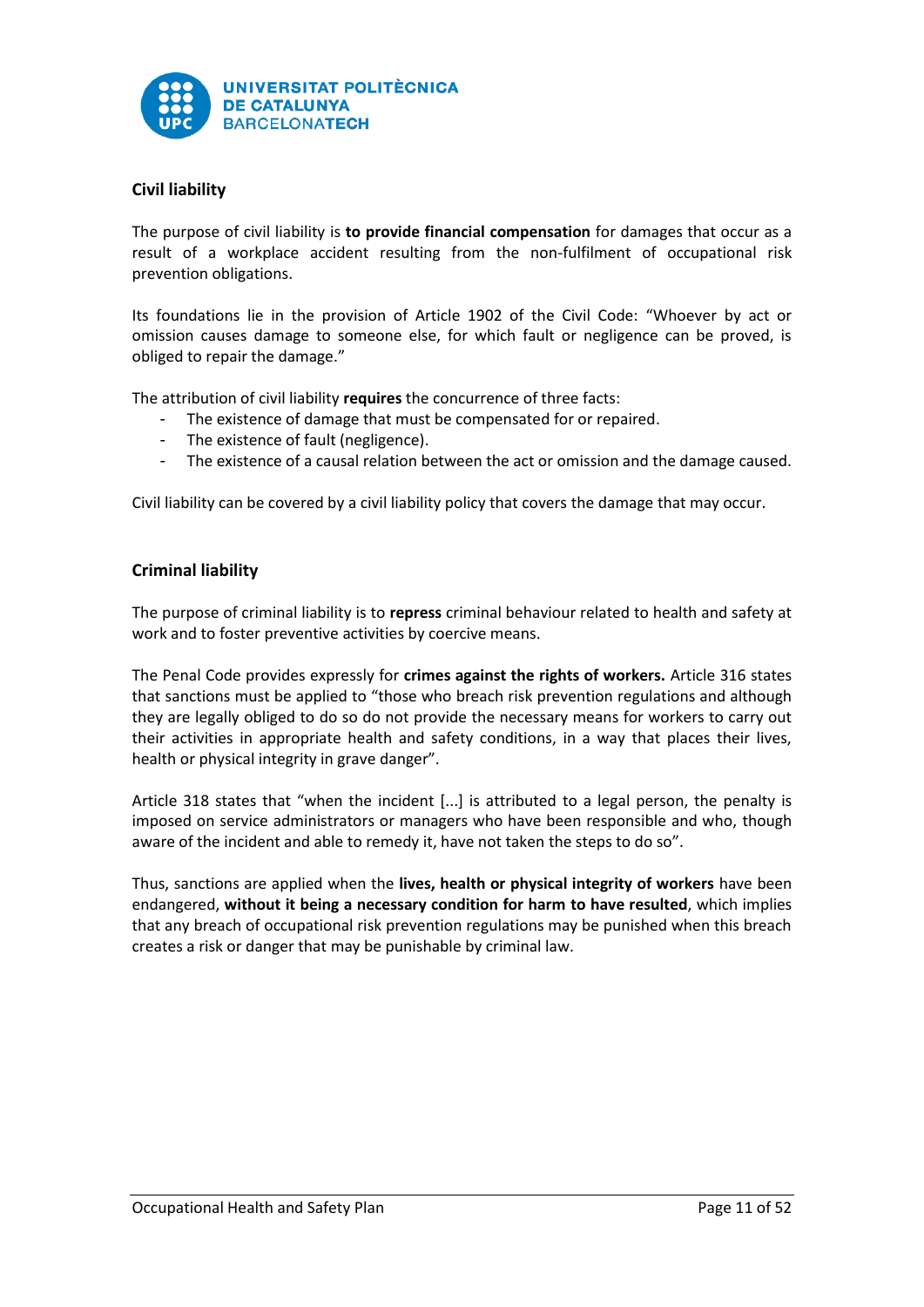

# **Civil liability**

The purpose of civil liability is **to provide financial compensation** for damages that occur as a result of a workplace accident resulting from the non-fulfilment of occupational risk prevention obligations.

Its foundations lie in the provision of Article 1902 of the Civil Code: "Whoever by act or omission causes damage to someone else, for which fault or negligence can be proved, is obliged to repair the damage."

The attribution of civil liability **requires** the concurrence of three facts:

- The existence of damage that must be compensated for or repaired.
- The existence of fault (negligence).
- The existence of a causal relation between the act or omission and the damage caused.

Civil liability can be covered by a civil liability policy that covers the damage that may occur.

# **Criminal liability**

The purpose of criminal liability is to **repress** criminal behaviour related to health and safety at work and to foster preventive activities by coercive means.

The Penal Code provides expressly for **crimes against the rights of workers.** Article 316 states that sanctions must be applied to "those who breach risk prevention regulations and although they are legally obliged to do so do not provide the necessary means for workers to carry out their activities in appropriate health and safety conditions, in a way that places their lives, health or physical integrity in grave danger".

Article 318 states that "when the incident [...] is attributed to a legal person, the penalty is imposed on service administrators or managers who have been responsible and who, though aware of the incident and able to remedy it, have not taken the steps to do so".

Thus, sanctions are applied when the **lives, health or physical integrity of workers** have been endangered, **without it being a necessary condition for harm to have resulted**, which implies that any breach of occupational risk prevention regulations may be punished when this breach creates a risk or danger that may be punishable by criminal law.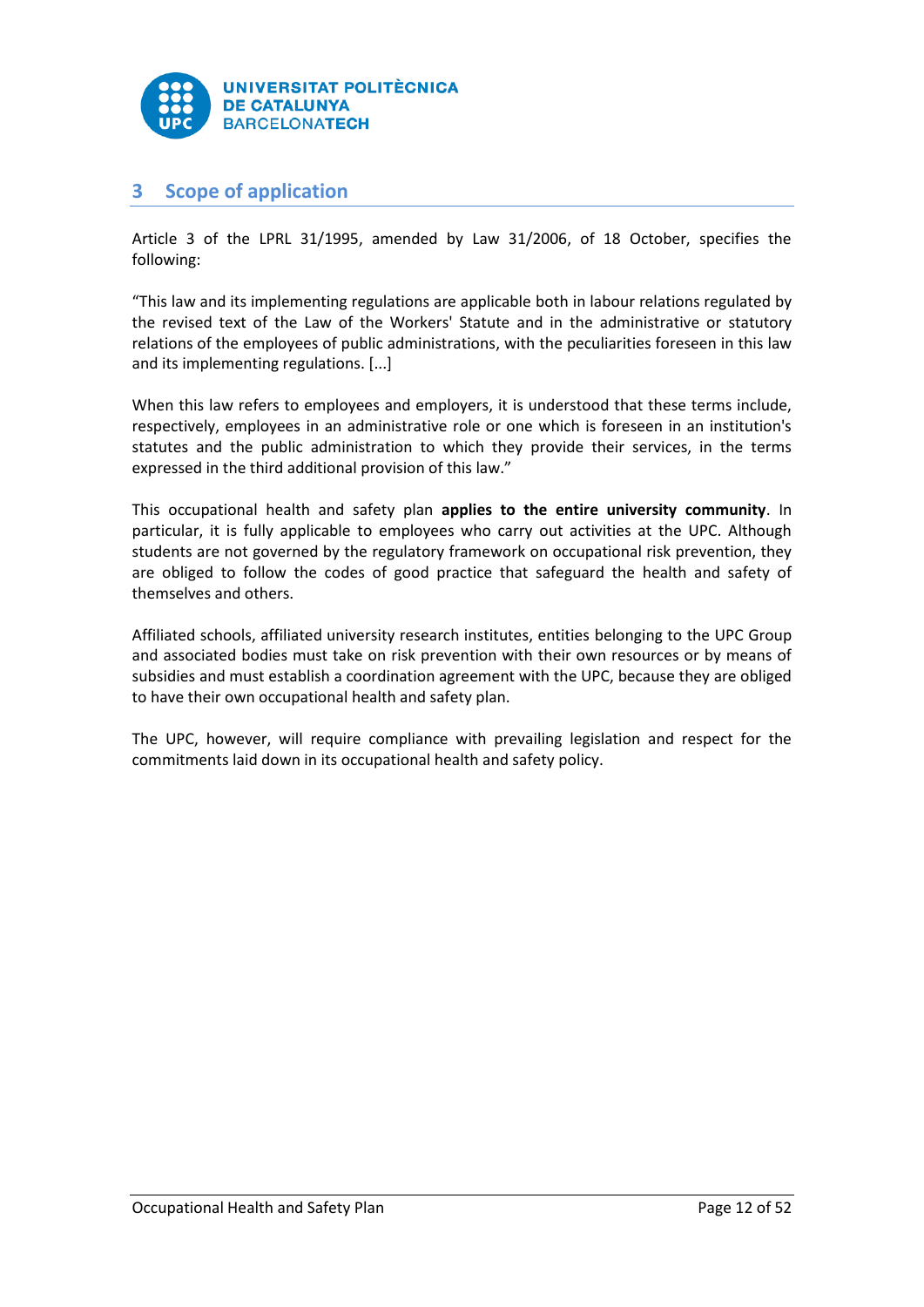

# <span id="page-12-0"></span>**3 Scope of application**

Article 3 of the LPRL 31/1995, amended by Law 31/2006, of 18 October, specifies the following:

"This law and its implementing regulations are applicable both in labour relations regulated by the revised text of the Law of the Workers' Statute and in the administrative or statutory relations of the employees of public administrations, with the peculiarities foreseen in this law and its implementing regulations. [...]

When this law refers to employees and employers, it is understood that these terms include, respectively, employees in an administrative role or one which is foreseen in an institution's statutes and the public administration to which they provide their services, in the terms expressed in the third additional provision of this law."

This occupational health and safety plan **applies to the entire university community**. In particular, it is fully applicable to employees who carry out activities at the UPC. Although students are not governed by the regulatory framework on occupational risk prevention, they are obliged to follow the codes of good practice that safeguard the health and safety of themselves and others.

Affiliated schools, affiliated university research institutes, entities belonging to the UPC Group and associated bodies must take on risk prevention with their own resources or by means of subsidies and must establish a coordination agreement with the UPC, because they are obliged to have their own occupational health and safety plan.

The UPC, however, will require compliance with prevailing legislation and respect for the commitments laid down in its occupational health and safety policy.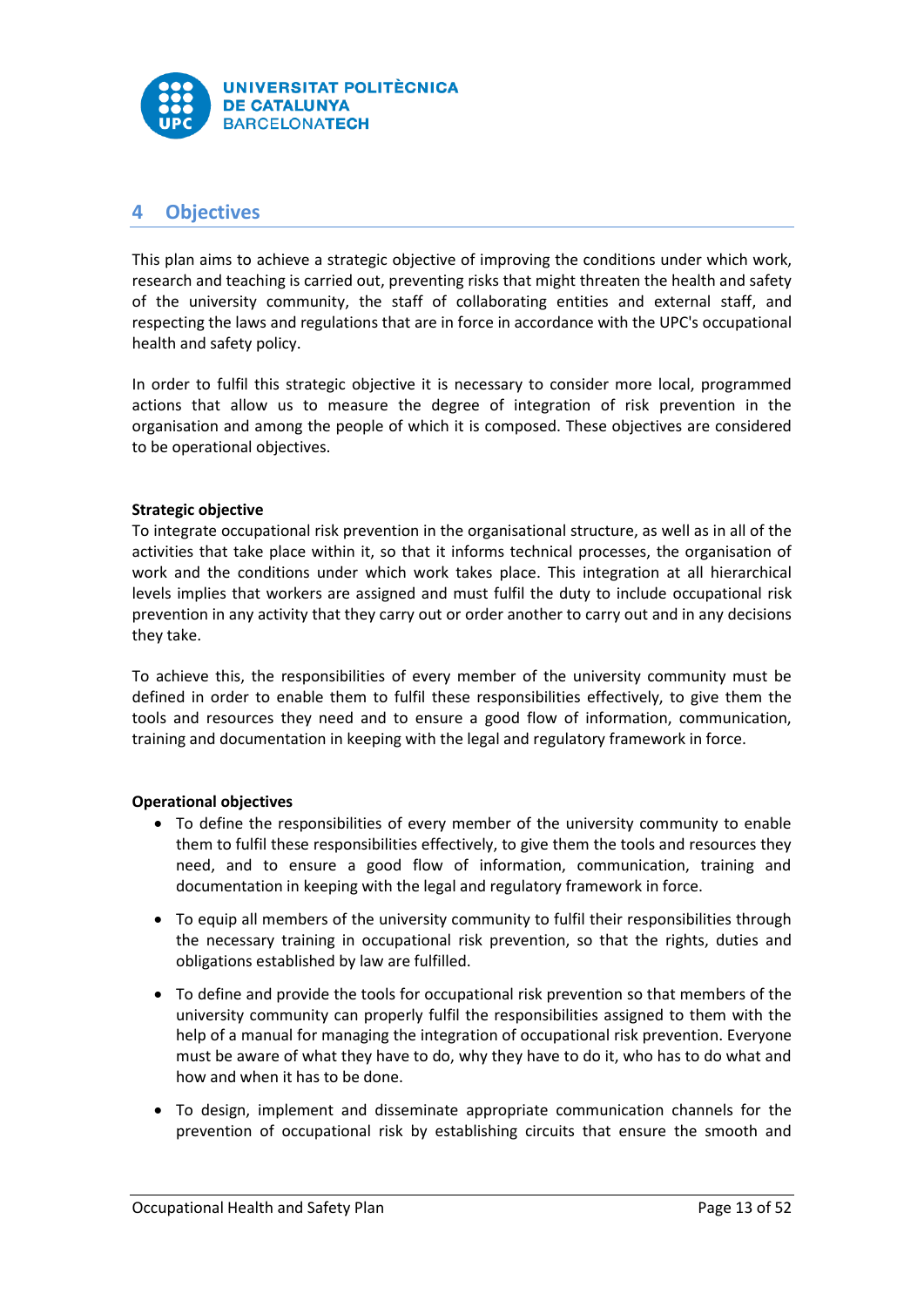

# <span id="page-13-0"></span>**4 Objectives**

This plan aims to achieve a strategic objective of improving the conditions under which work, research and teaching is carried out, preventing risks that might threaten the health and safety of the university community, the staff of collaborating entities and external staff, and respecting the laws and regulations that are in force in accordance with the UPC's occupational health and safety policy.

In order to fulfil this strategic objective it is necessary to consider more local, programmed actions that allow us to measure the degree of integration of risk prevention in the organisation and among the people of which it is composed. These objectives are considered to be operational objectives.

# **Strategic objective**

To integrate occupational risk prevention in the organisational structure, as well as in all of the activities that take place within it, so that it informs technical processes, the organisation of work and the conditions under which work takes place. This integration at all hierarchical levels implies that workers are assigned and must fulfil the duty to include occupational risk prevention in any activity that they carry out or order another to carry out and in any decisions they take.

To achieve this, the responsibilities of every member of the university community must be defined in order to enable them to fulfil these responsibilities effectively, to give them the tools and resources they need and to ensure a good flow of information, communication, training and documentation in keeping with the legal and regulatory framework in force.

# **Operational objectives**

- To define the responsibilities of every member of the university community to enable them to fulfil these responsibilities effectively, to give them the tools and resources they need, and to ensure a good flow of information, communication, training and documentation in keeping with the legal and regulatory framework in force.
- To equip all members of the university community to fulfil their responsibilities through the necessary training in occupational risk prevention, so that the rights, duties and obligations established by law are fulfilled.
- To define and provide the tools for occupational risk prevention so that members of the university community can properly fulfil the responsibilities assigned to them with the help of a manual for managing the integration of occupational risk prevention. Everyone must be aware of what they have to do, why they have to do it, who has to do what and how and when it has to be done.
- To design, implement and disseminate appropriate communication channels for the prevention of occupational risk by establishing circuits that ensure the smooth and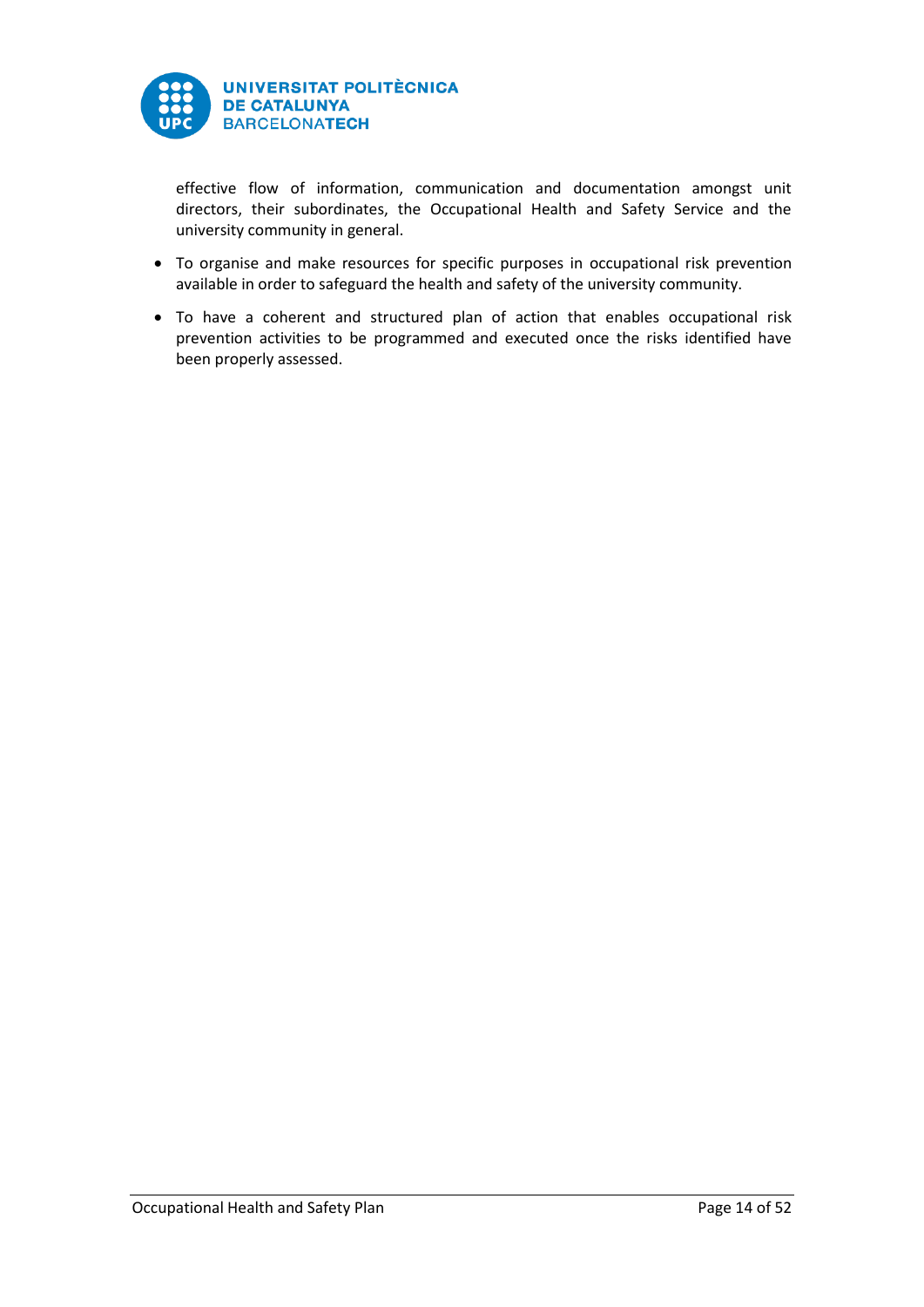

effective flow of information, communication and documentation amongst unit directors, their subordinates, the Occupational Health and Safety Service and the university community in general.

- To organise and make resources for specific purposes in occupational risk prevention available in order to safeguard the health and safety of the university community.
- To have a coherent and structured plan of action that enables occupational risk prevention activities to be programmed and executed once the risks identified have been properly assessed.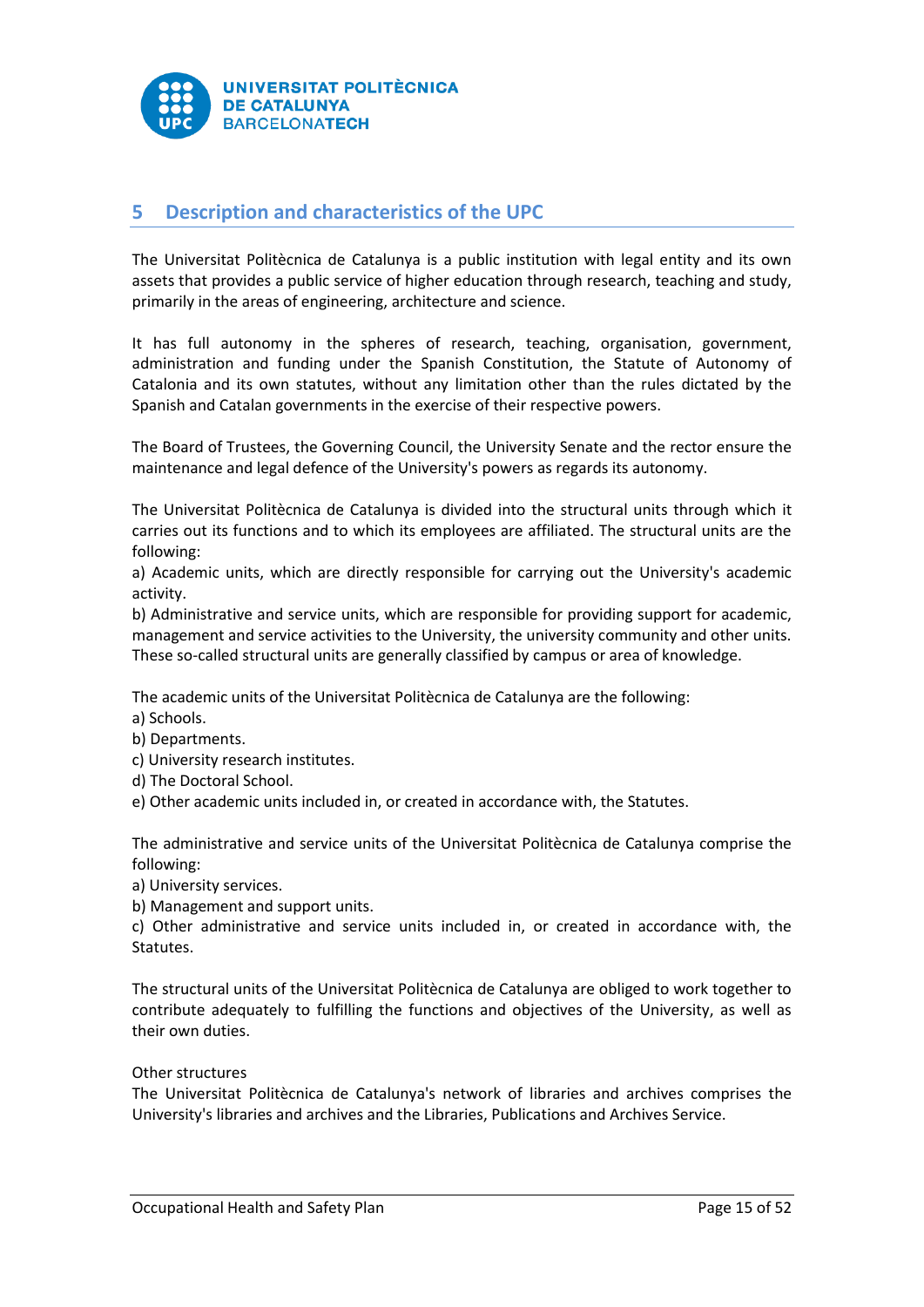

# <span id="page-15-0"></span>**5 Description and characteristics of the UPC**

The Universitat Politècnica de Catalunya is a public institution with legal entity and its own assets that provides a public service of higher education through research, teaching and study, primarily in the areas of engineering, architecture and science.

It has full autonomy in the spheres of research, teaching, organisation, government, administration and funding under the Spanish Constitution, the Statute of Autonomy of Catalonia and its own statutes, without any limitation other than the rules dictated by the Spanish and Catalan governments in the exercise of their respective powers.

The Board of Trustees, the Governing Council, the University Senate and the rector ensure the maintenance and legal defence of the University's powers as regards its autonomy.

The Universitat Politècnica de Catalunya is divided into the structural units through which it carries out its functions and to which its employees are affiliated. The structural units are the following:

a) Academic units, which are directly responsible for carrying out the University's academic activity.

b) Administrative and service units, which are responsible for providing support for academic, management and service activities to the University, the university community and other units. These so-called structural units are generally classified by campus or area of knowledge.

The academic units of the Universitat Politècnica de Catalunya are the following:

a) Schools.

- b) Departments.
- c) University research institutes.
- d) The Doctoral School.

e) Other academic units included in, or created in accordance with, the Statutes.

The administrative and service units of the Universitat Politècnica de Catalunya comprise the following:

a) University services.

b) Management and support units.

c) Other administrative and service units included in, or created in accordance with, the Statutes.

The structural units of the Universitat Politècnica de Catalunya are obliged to work together to contribute adequately to fulfilling the functions and objectives of the University, as well as their own duties.

## Other structures

The Universitat Politècnica de Catalunya's network of libraries and archives comprises the University's libraries and archives and the Libraries, Publications and Archives Service.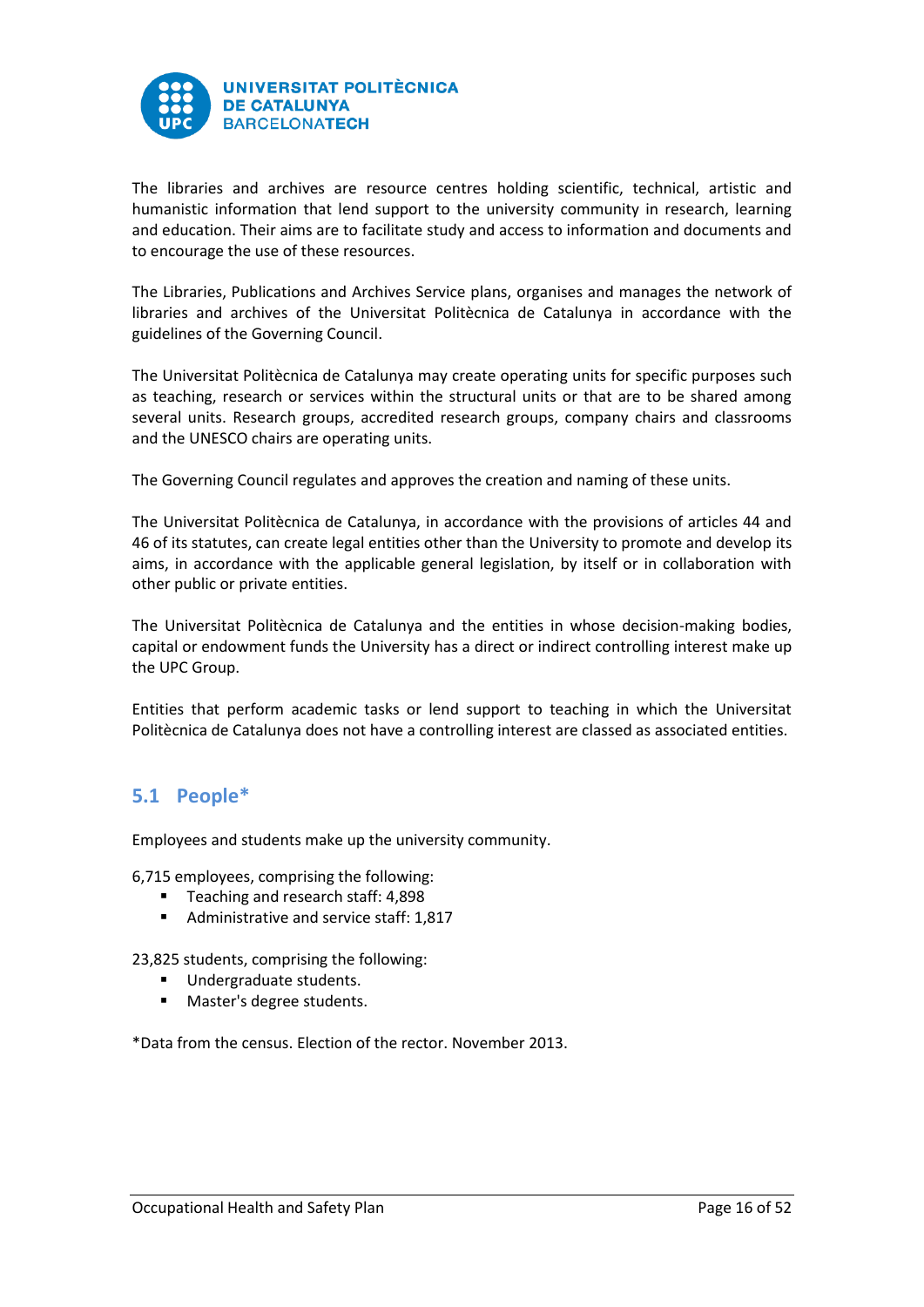

The libraries and archives are resource centres holding scientific, technical, artistic and humanistic information that lend support to the university community in research, learning and education. Their aims are to facilitate study and access to information and documents and to encourage the use of these resources.

The Libraries, Publications and Archives Service plans, organises and manages the network of libraries and archives of the Universitat Politècnica de Catalunya in accordance with the guidelines of the Governing Council.

The Universitat Politècnica de Catalunya may create operating units for specific purposes such as teaching, research or services within the structural units or that are to be shared among several units. Research groups, accredited research groups, company chairs and classrooms and the UNESCO chairs are operating units.

The Governing Council regulates and approves the creation and naming of these units.

The Universitat Politècnica de Catalunya, in accordance with the provisions of articles 44 and 46 of its statutes, can create legal entities other than the University to promote and develop its aims, in accordance with the applicable general legislation, by itself or in collaboration with other public or private entities.

The Universitat Politècnica de Catalunya and the entities in whose decision-making bodies, capital or endowment funds the University has a direct or indirect controlling interest make up the UPC Group.

Entities that perform academic tasks or lend support to teaching in which the Universitat Politècnica de Catalunya does not have a controlling interest are classed as associated entities.

# <span id="page-16-0"></span>**5.1 People\***

Employees and students make up the university community.

6,715 employees, comprising the following:

- Teaching and research staff: 4,898
- Administrative and service staff: 1,817

23,825 students, comprising the following:

- **Undergraduate students.**
- **Master's degree students.**

\*Data from the census. Election of the rector. November 2013.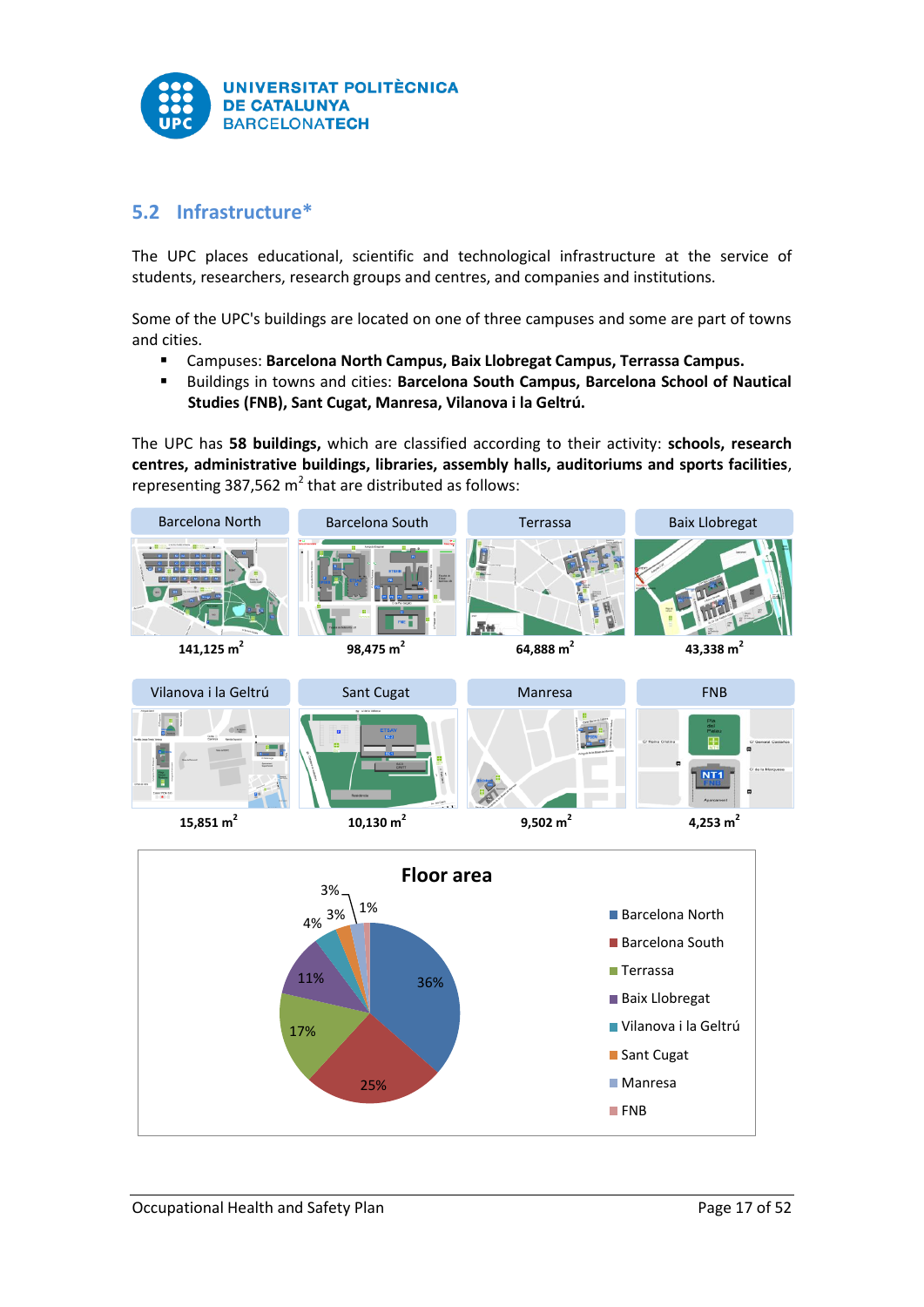

# <span id="page-17-0"></span>**5.2 Infrastructure\***

The UPC places educational, scientific and technological infrastructure at the service of students, researchers, research groups and centres, and companies and institutions.

Some of the UPC's buildings are located on one of three campuses and some are part of towns and cities.

- Campuses: **Barcelona North Campus, Baix Llobregat Campus, Terrassa Campus.**
- **Buildings in towns and cities: Barcelona South Campus, Barcelona School of Nautical Studies (FNB), Sant Cugat, Manresa, Vilanova i la Geltrú.**

The UPC has **58 buildings,** which are classified according to their activity: **schools, research centres, administrative buildings, libraries, assembly halls, auditoriums and sports facilities**, representing 387,562  $m^2$  that are distributed as follows:

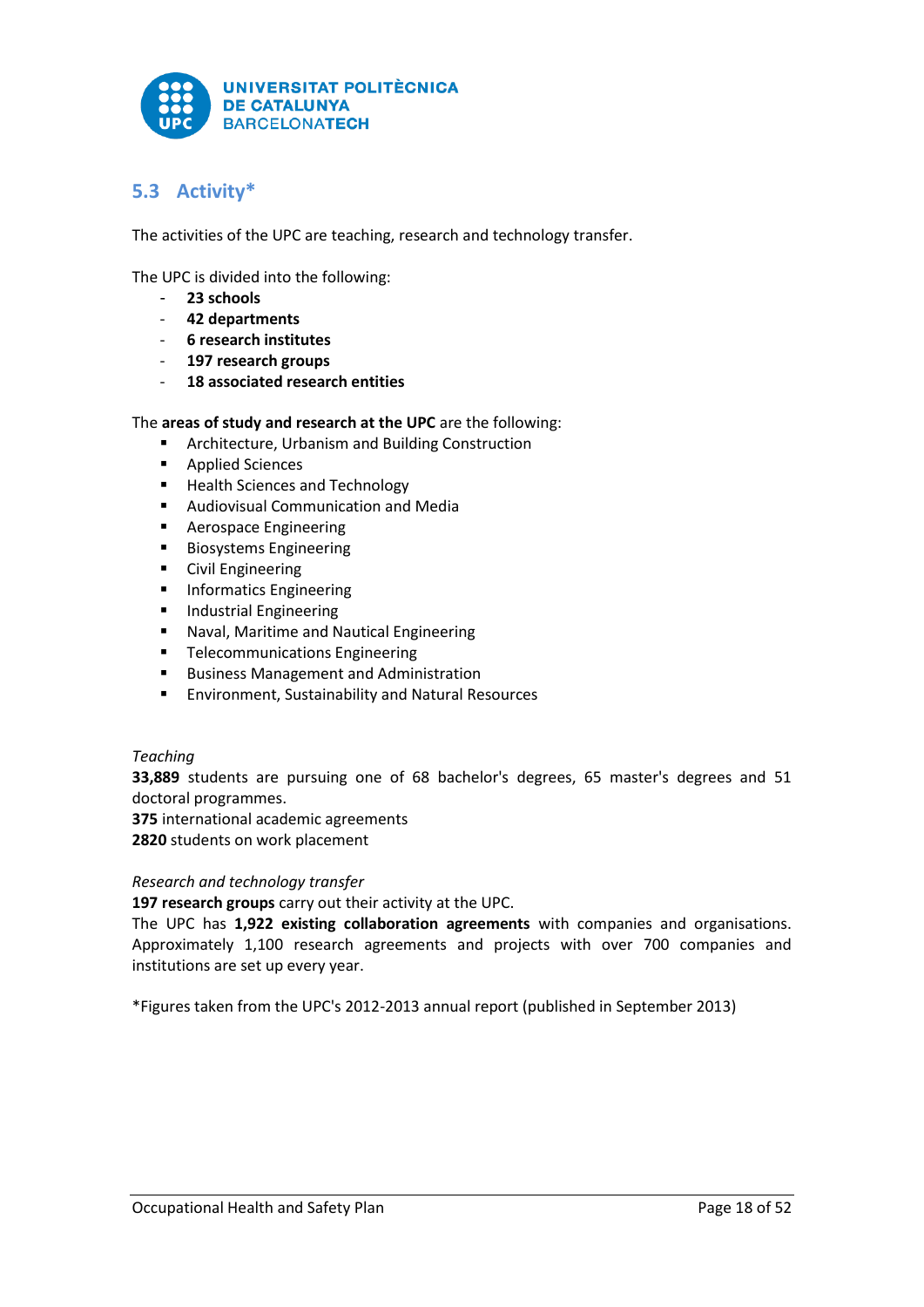

# <span id="page-18-0"></span>**5.3 Activity\***

The activities of the UPC are teaching, research and technology transfer.

The UPC is divided into the following:

- **23 schools**
- **42 departments**
- **6 research institutes**
- **197 research groups**
- **18 associated research entities**

# The **areas of study and research at the UPC** are the following:

- **EXECUTE** Architecture, Urbanism and Building Construction
- **Applied Sciences**
- **Health Sciences and Technology**
- **Audiovisual Communication and Media**
- **Aerospace Engineering**
- Biosystems Engineering
- **•** Civil Engineering
- **Informatics Engineering**
- **Industrial Engineering**
- **Naval, Maritime and Nautical Engineering**
- **Telecommunications Engineering**
- **Business Management and Administration**
- **Environment, Sustainability and Natural Resources**

# *Teaching*

**33,889** students are pursuing one of 68 bachelor's degrees, 65 master's degrees and 51 doctoral programmes.

**375** international academic agreements

**2820** students on work placement

## *Research and technology transfer*

**197 research groups** carry out their activity at the UPC.

The UPC has **1,922 existing collaboration agreements** with companies and organisations. Approximately 1,100 research agreements and projects with over 700 companies and institutions are set up every year.

\*Figures taken from the UPC's 2012-2013 annual report (published in September 2013)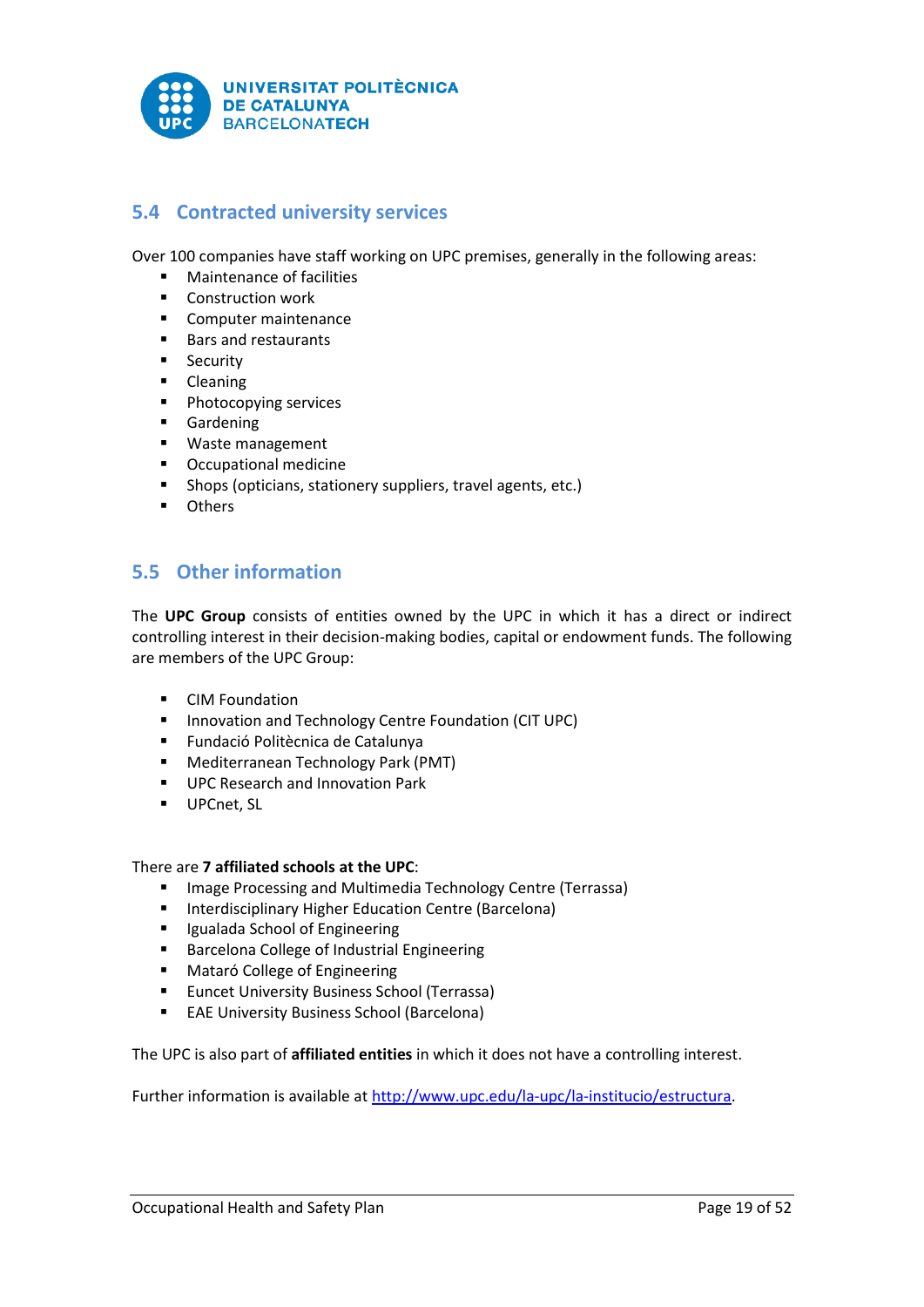

# <span id="page-19-0"></span>**5.4 Contracted university services**

Over 100 companies have staff working on UPC premises, generally in the following areas:

- **■** Maintenance of facilities
- **Construction work**
- **Computer maintenance**
- Bars and restaurants
- **Security**
- **-** Cleaning
- **Photocopying services**
- **Gardening**
- **Waste management**
- Occupational medicine
- Shops (opticians, stationery suppliers, travel agents, etc.)
- **n** Others

# <span id="page-19-1"></span>**5.5 Other information**

The **UPC Group** consists of entities owned by the UPC in which it has a direct or indirect controlling interest in their decision-making bodies, capital or endowment funds. The following are members of the UPC Group:

- **•** [CIM Foundation](http://www.upc.edu/la-upc/una-universitat-propera/grup-upc/fundacio-cim)
- **Innovation and Technology Centre Foundation (CIT UPC)**
- [Fundació Politècnica de Catalunya](http://www.upc.edu/la-upc/una-universitat-propera/grup-upc/fundacio-politecnica-de-catalunya)
- **[Mediterranean Technology Park \(PMT\)](http://www.upc.edu/la-upc/una-universitat-propera/grup-upc/parc-mediterrani-de-la-tecnologia-pmt)**
- **[UPC Research and Innovation Park](http://www.upc.edu/la-upc/una-universitat-propera/grup-upc/parc-upc.-parc-de-recerca-i-innovacio)**
- **[UPCnet, SL](http://www.upc.edu/la-upc/una-universitat-propera/grup-upc/upcnet-sl)**

## There are **7 affiliated schools at the UPC**:

- **Image Processing and Multimedia Technology Centre (Terrassa)**
- **E** Interdisciplinary Higher Education Centre (Barcelona)
- **II** Igualada School of Engineering
- **Barcelona College of Industrial Engineering**
- **Mataró College of Engineering**
- **Euncet University Business School (Terrassa)**
- **EAE University Business School (Barcelona)**

The UPC is also part of **affiliated entities** in which it does not have a controlling interest.

Further information is available a[t http://www.upc.edu/la-upc/la-institucio/estructura.](http://www.upc.edu/la-upc/la-institucio/estructura)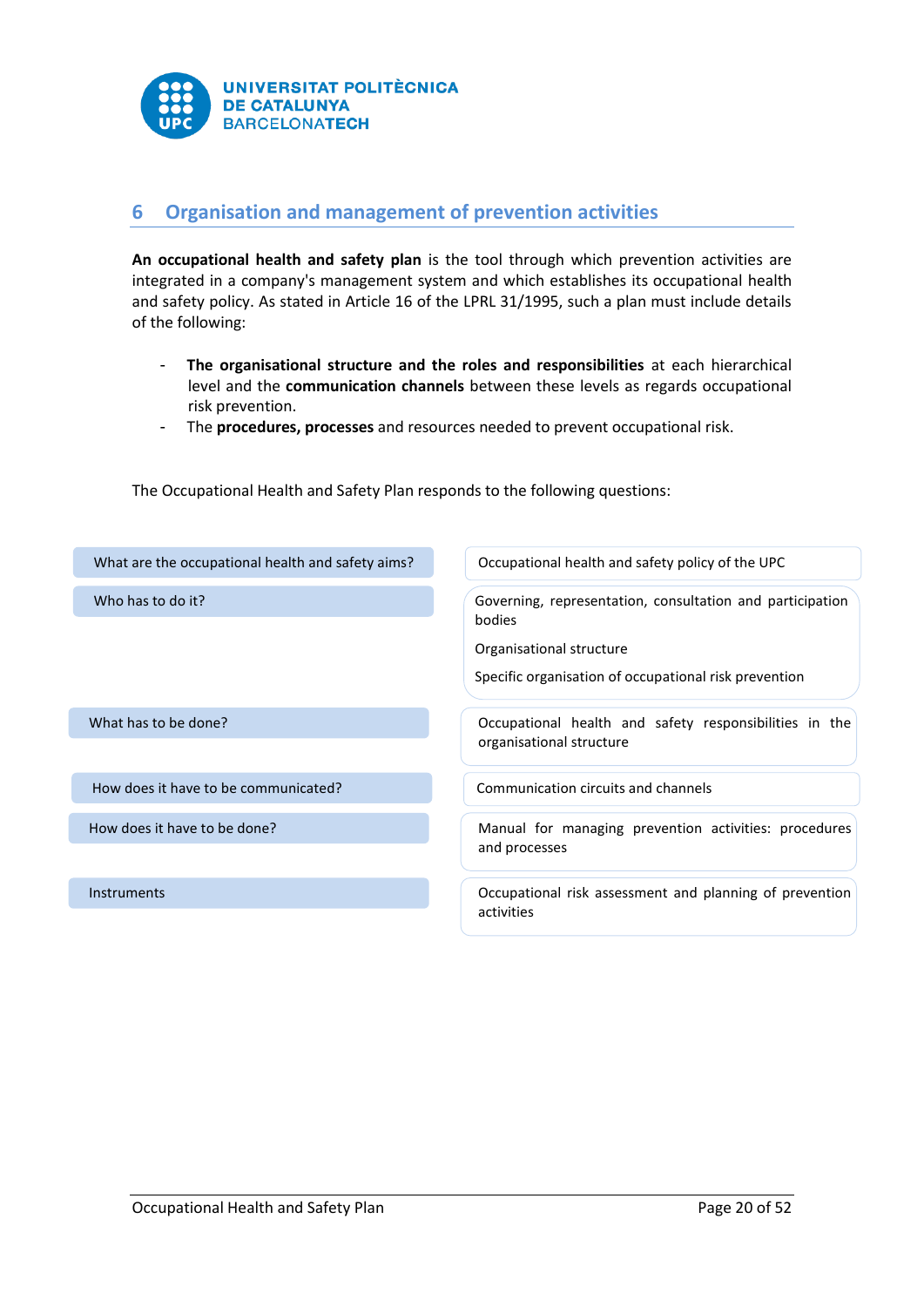

# <span id="page-20-0"></span>**6 Organisation and management of prevention activities**

**An occupational health and safety plan** is the tool through which prevention activities are integrated in a company's management system and which establishes its occupational health and safety policy. As stated in Article 16 of the LPRL 31/1995, such a plan must include details of the following:

- **The organisational structure and the roles and responsibilities** at each hierarchical level and the **communication channels** between these levels as regards occupational risk prevention.
- The **procedures, processes** and resources needed to prevent occupational risk.

The Occupational Health and Safety Plan responds to the following questions:

| What are the occupational health and safety aims? | Occupational health and safety policy of the UPC                                                                                                         |  |
|---------------------------------------------------|----------------------------------------------------------------------------------------------------------------------------------------------------------|--|
| Who has to do it?                                 | Governing, representation, consultation and participation<br>bodies<br>Organisational structure<br>Specific organisation of occupational risk prevention |  |
| What has to be done?                              | Occupational health and safety responsibilities in the<br>organisational structure                                                                       |  |
| How does it have to be communicated?              | Communication circuits and channels                                                                                                                      |  |
| How does it have to be done?                      | Manual for managing prevention activities: procedures<br>and processes                                                                                   |  |
| <b>Instruments</b>                                | Occupational risk assessment and planning of prevention<br>activities                                                                                    |  |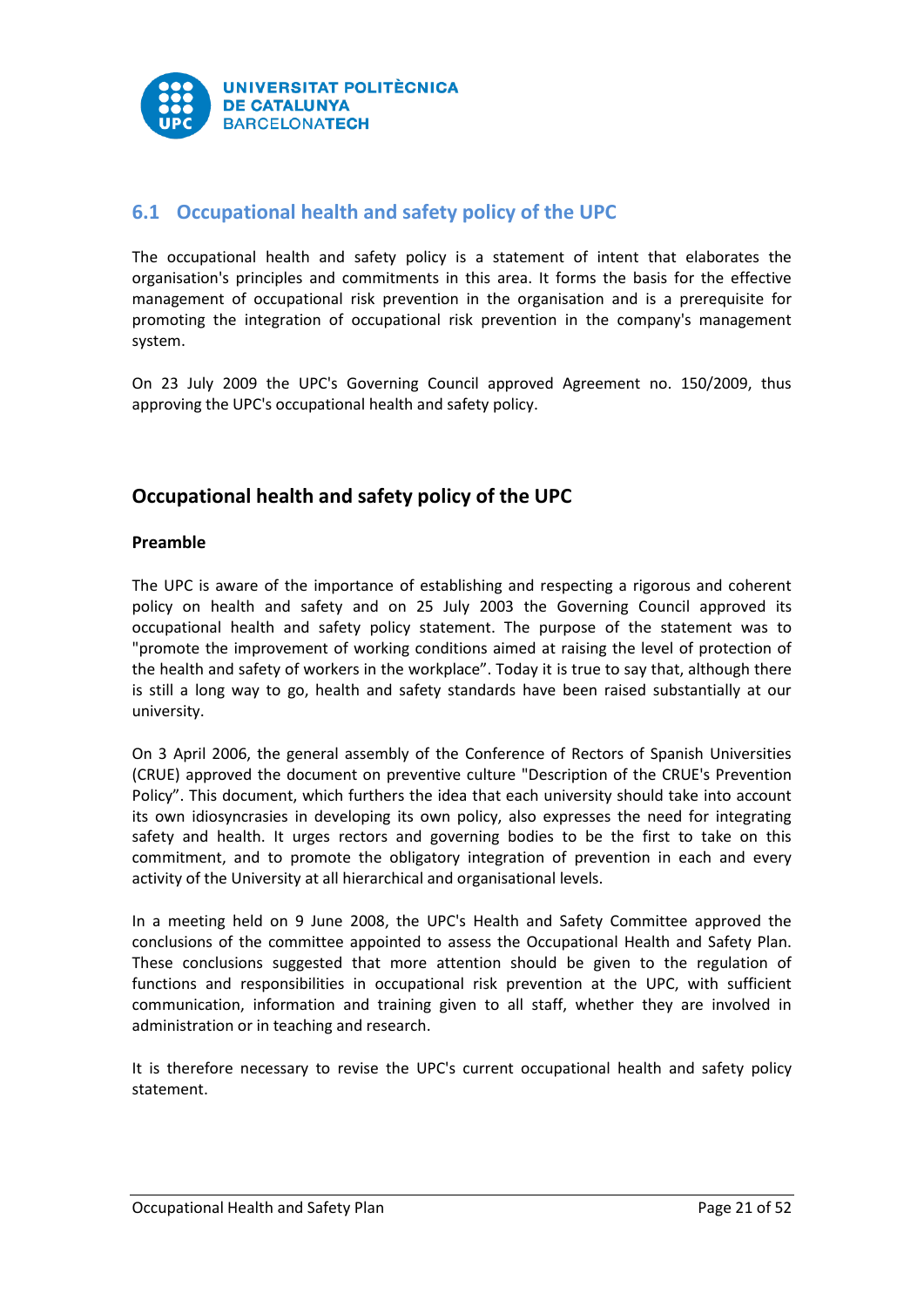

# <span id="page-21-0"></span>**6.1 Occupational health and safety policy of the UPC**

The occupational health and safety policy is a statement of intent that elaborates the organisation's principles and commitments in this area. It forms the basis for the effective management of occupational risk prevention in the organisation and is a prerequisite for promoting the integration of occupational risk prevention in the company's management system.

On 23 July 2009 the UPC's Governing Council approved Agreement no. 150/2009, thus approving the UPC's occupational health and safety policy.

# **Occupational health and safety policy of the UPC**

# **Preamble**

The UPC is aware of the importance of establishing and respecting a rigorous and coherent policy on health and safety and on 25 July 2003 the Governing Council approved its occupational health and safety policy statement. The purpose of the statement was to "promote the improvement of working conditions aimed at raising the level of protection of the health and safety of workers in the workplace". Today it is true to say that, although there is still a long way to go, health and safety standards have been raised substantially at our university.

On 3 April 2006, the general assembly of the Conference of Rectors of Spanish Universities (CRUE) approved the document on preventive culture "Description of the CRUE's Prevention Policy". This document, which furthers the idea that each university should take into account its own idiosyncrasies in developing its own policy, also expresses the need for integrating safety and health. It urges rectors and governing bodies to be the first to take on this commitment, and to promote the obligatory integration of prevention in each and every activity of the University at all hierarchical and organisational levels.

In a meeting held on 9 June 2008, the UPC's Health and Safety Committee approved the conclusions of the committee appointed to assess the Occupational Health and Safety Plan. These conclusions suggested that more attention should be given to the regulation of functions and responsibilities in occupational risk prevention at the UPC, with sufficient communication, information and training given to all staff, whether they are involved in administration or in teaching and research.

It is therefore necessary to revise the UPC's current occupational health and safety policy statement.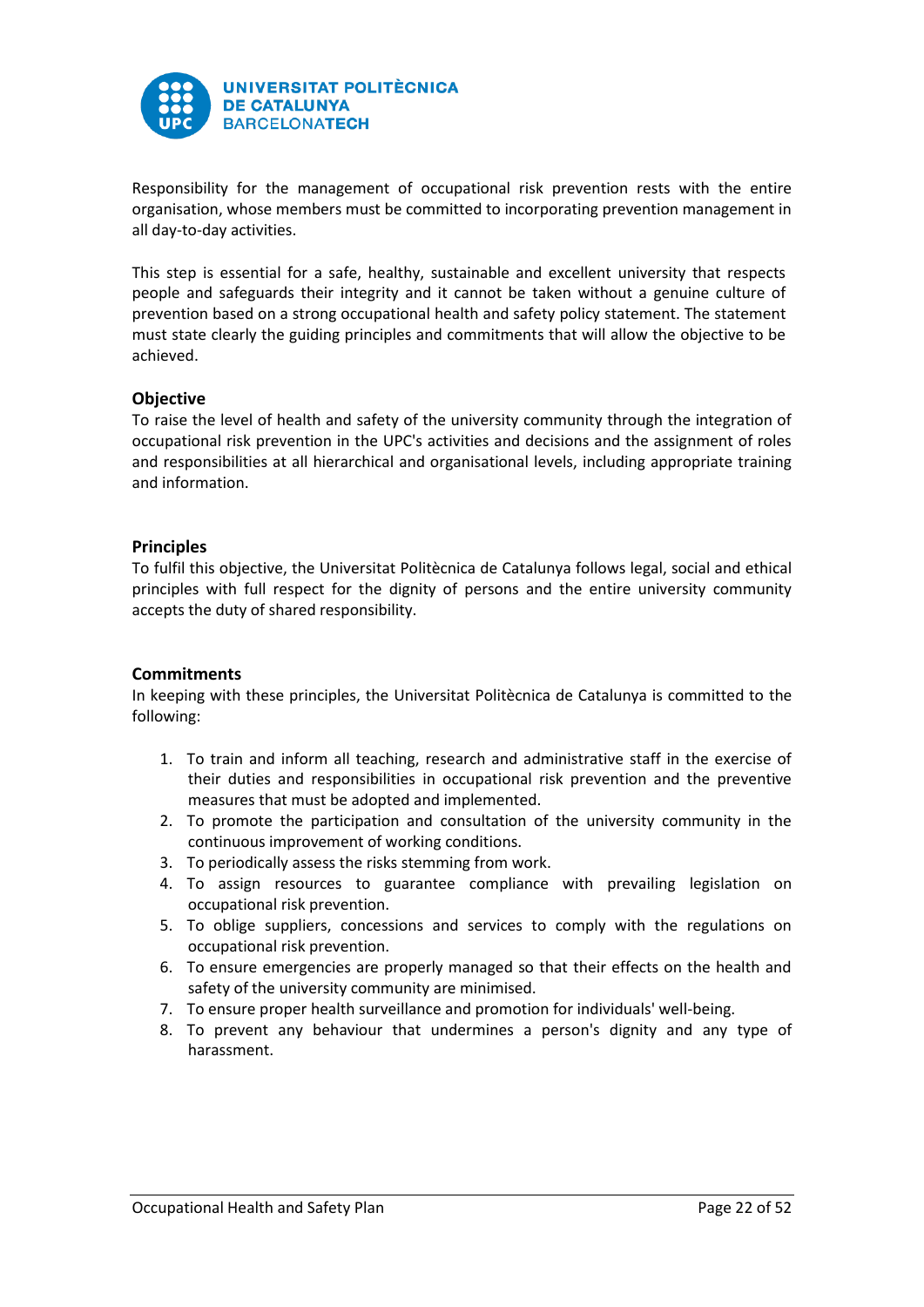

Responsibility for the management of occupational risk prevention rests with the entire organisation, whose members must be committed to incorporating prevention management in all day-to-day activities.

This step is essential for a safe, healthy, sustainable and excellent university that respects people and safeguards their integrity and it cannot be taken without a genuine culture of prevention based on a strong occupational health and safety policy statement. The statement must state clearly the guiding principles and commitments that will allow the objective to be achieved.

# **Objective**

To raise the level of health and safety of the university community through the integration of occupational risk prevention in the UPC's activities and decisions and the assignment of roles and responsibilities at all hierarchical and organisational levels, including appropriate training and information.

# **Principles**

To fulfil this objective, the Universitat Politècnica de Catalunya follows legal, social and ethical principles with full respect for the dignity of persons and the entire university community accepts the duty of shared responsibility.

# **Commitments**

In keeping with these principles, the Universitat Politècnica de Catalunya is committed to the following:

- 1. To train and inform all teaching, research and administrative staff in the exercise of their duties and responsibilities in occupational risk prevention and the preventive measures that must be adopted and implemented.
- 2. To promote the participation and consultation of the university community in the continuous improvement of working conditions.
- 3. To periodically assess the risks stemming from work.
- 4. To assign resources to guarantee compliance with prevailing legislation on occupational risk prevention.
- 5. To oblige suppliers, concessions and services to comply with the regulations on occupational risk prevention.
- 6. To ensure emergencies are properly managed so that their effects on the health and safety of the university community are minimised.
- 7. To ensure proper health surveillance and promotion for individuals' well-being.
- 8. To prevent any behaviour that undermines a person's dignity and any type of harassment.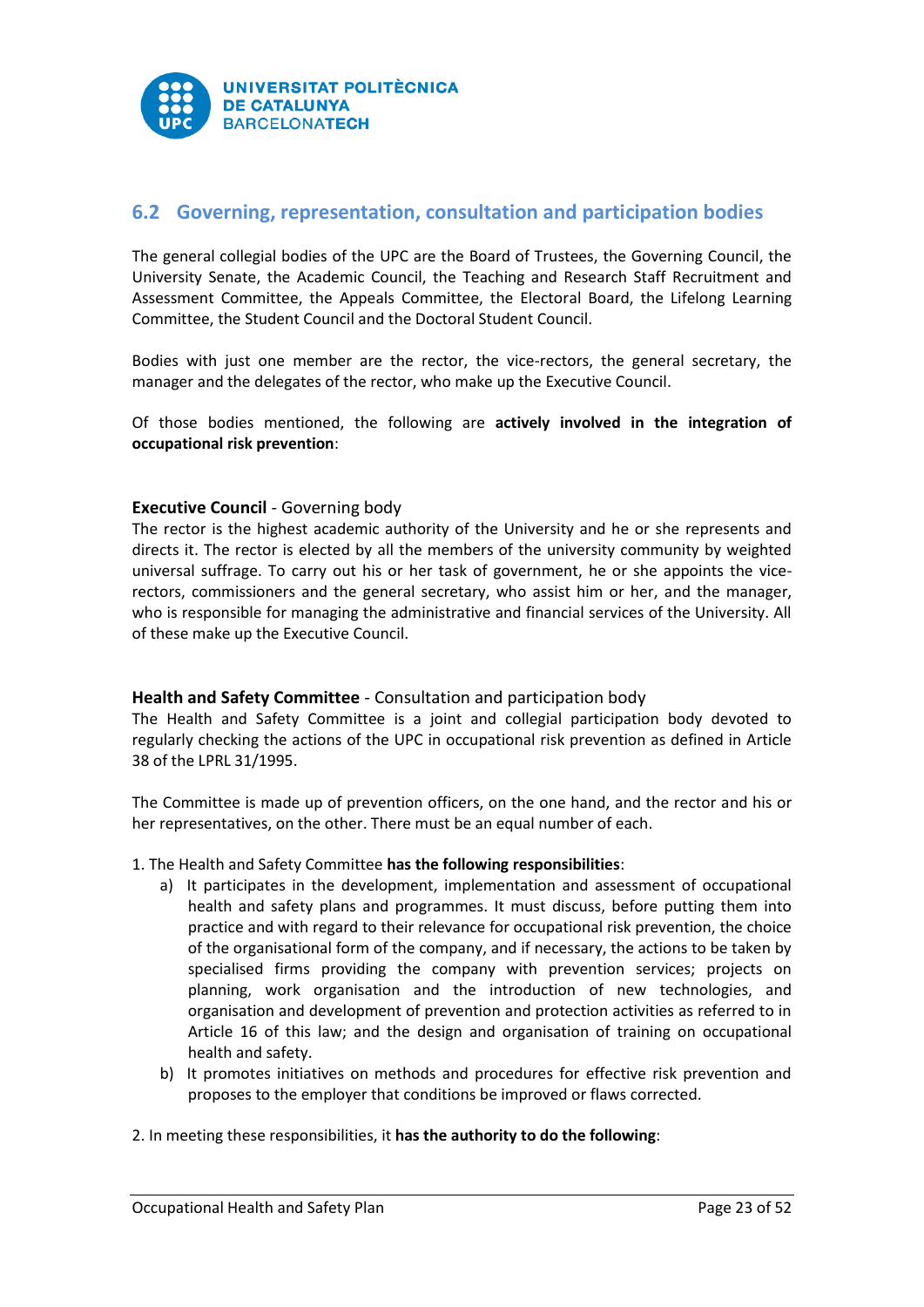

# <span id="page-23-0"></span>**6.2 Governing, representation, consultation and participation bodies**

The general collegial bodies of the UPC are the Board of Trustees, the Governing Council, the University Senate, the Academic Council, the Teaching and Research Staff Recruitment and Assessment Committee, the Appeals Committee, the Electoral Board, the Lifelong Learning Committee, the Student Council and the Doctoral Student Council.

Bodies with just one member are the rector, the vice-rectors, the general secretary, the manager and the delegates of the rector, who make up the Executive Council.

Of those bodies mentioned, the following are **actively involved in the integration of occupational risk prevention**:

# **Executive Council** - Governing body

The rector is the highest academic authority of the University and he or she represents and directs it. The rector is elected by all the members of the university community by weighted universal suffrage. To carry out his or her task of government, he or she appoints the vicerectors, commissioners and the general secretary, who assist him or her, and the manager, who is responsible for managing the administrative and financial services of the University. All of these make up the Executive Council.

## **Health and Safety Committee** - Consultation and participation body

The Health and Safety Committee is a joint and collegial participation body devoted to regularly checking the actions of the UPC in occupational risk prevention as defined in Article 38 of the LPRL 31/1995.

The Committee is made up of prevention officers, on the one hand, and the rector and his or her representatives, on the other. There must be an equal number of each.

## 1. The Health and Safety Committee **has the following responsibilities**:

- a) It participates in the development, implementation and assessment of occupational health and safety plans and programmes. It must discuss, before putting them into practice and with regard to their relevance for occupational risk prevention, the choice of the organisational form of the company, and if necessary, the actions to be taken by specialised firms providing the company with prevention services; projects on planning, work organisation and the introduction of new technologies, and organisation and development of prevention and protection activities as referred to in Article 16 of this law; and the design and organisation of training on occupational health and safety.
- b) It promotes initiatives on methods and procedures for effective risk prevention and proposes to the employer that conditions be improved or flaws corrected.

## 2. In meeting these responsibilities, it **has the authority to do the following**: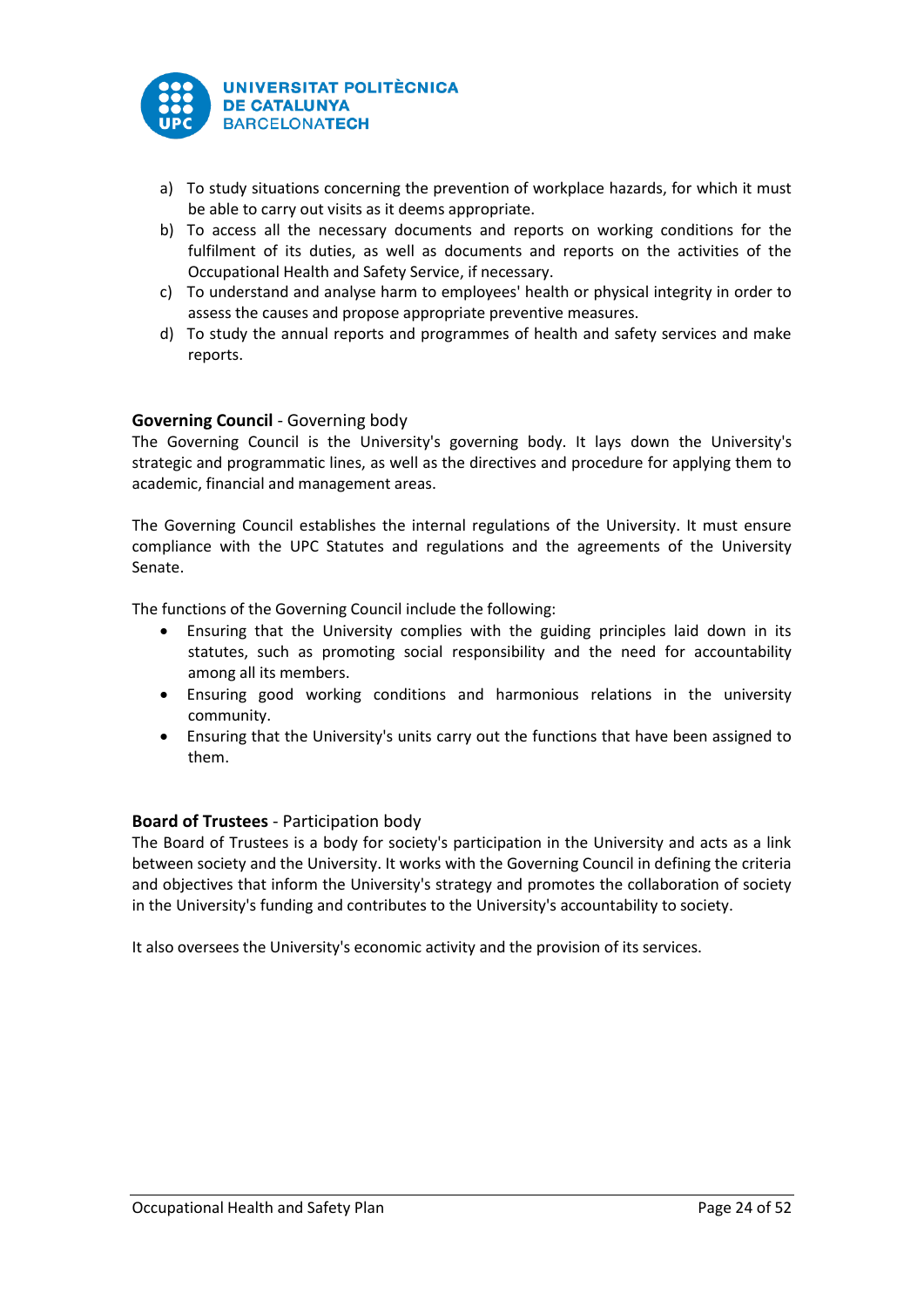

- a) To study situations concerning the prevention of workplace hazards, for which it must be able to carry out visits as it deems appropriate.
- b) To access all the necessary documents and reports on working conditions for the fulfilment of its duties, as well as documents and reports on the activities of the Occupational Health and Safety Service, if necessary.
- c) To understand and analyse harm to employees' health or physical integrity in order to assess the causes and propose appropriate preventive measures.
- d) To study the annual reports and programmes of health and safety services and make reports.

# **Governing Council** - Governing body

The Governing Council is the University's governing body. It lays down the University's strategic and programmatic lines, as well as the directives and procedure for applying them to academic, financial and management areas.

The Governing Council establishes the internal regulations of the University. It must ensure compliance with the UPC Statutes and regulations and the agreements of the University Senate.

The functions of the Governing Council include the following:

- Ensuring that the University complies with the guiding principles laid down in its statutes, such as promoting social responsibility and the need for accountability among all its members.
- Ensuring good working conditions and harmonious relations in the university community.
- Ensuring that the University's units carry out the functions that have been assigned to them.

## **Board of Trustees** - Participation body

The Board of Trustees is a body for society's participation in the University and acts as a link between society and the University. It works with the Governing Council in defining the criteria and objectives that inform the University's strategy and promotes the collaboration of society in the University's funding and contributes to the University's accountability to society.

It also oversees the University's economic activity and the provision of its services.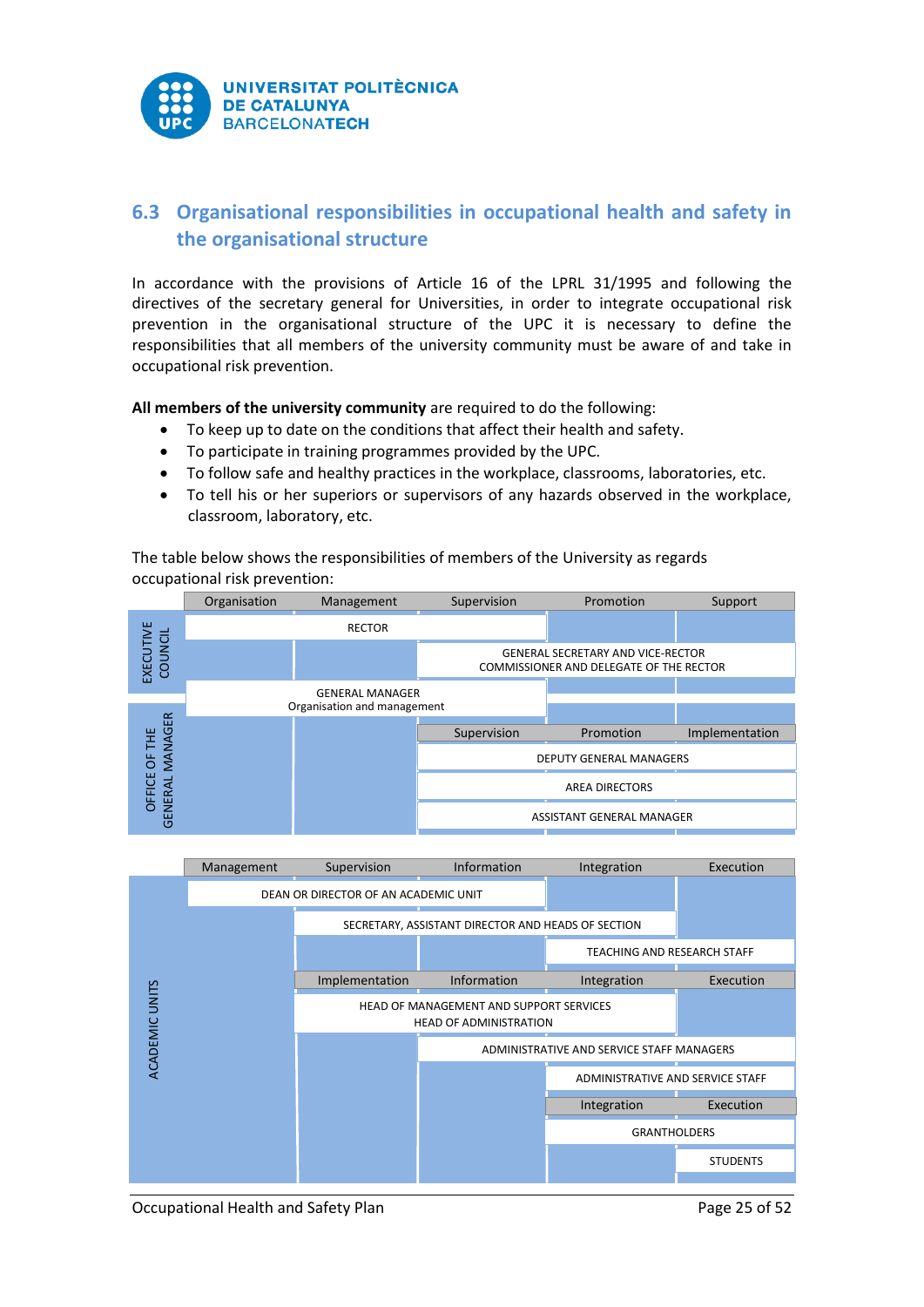

# <span id="page-25-0"></span>**6.3 Organisational responsibilities in occupational health and safety in the organisational structure**

In accordance with the provisions of Article 16 of the LPRL 31/1995 and following the directives of the secretary general for Universities, in order to integrate occupational risk prevention in the organisational structure of the UPC it is necessary to define the responsibilities that all members of the university community must be aware of and take in occupational risk prevention.

**All members of the university community** are required to do the following:

- To keep up to date on the conditions that affect their health and safety.
- To participate in training programmes provided by the UPC.
- To follow safe and healthy practices in the workplace, classrooms, laboratories, etc.
- To tell his or her superiors or supervisors of any hazards observed in the workplace, classroom, laboratory, etc.

The table below shows the responsibilities of members of the University as regards occupational risk prevention:



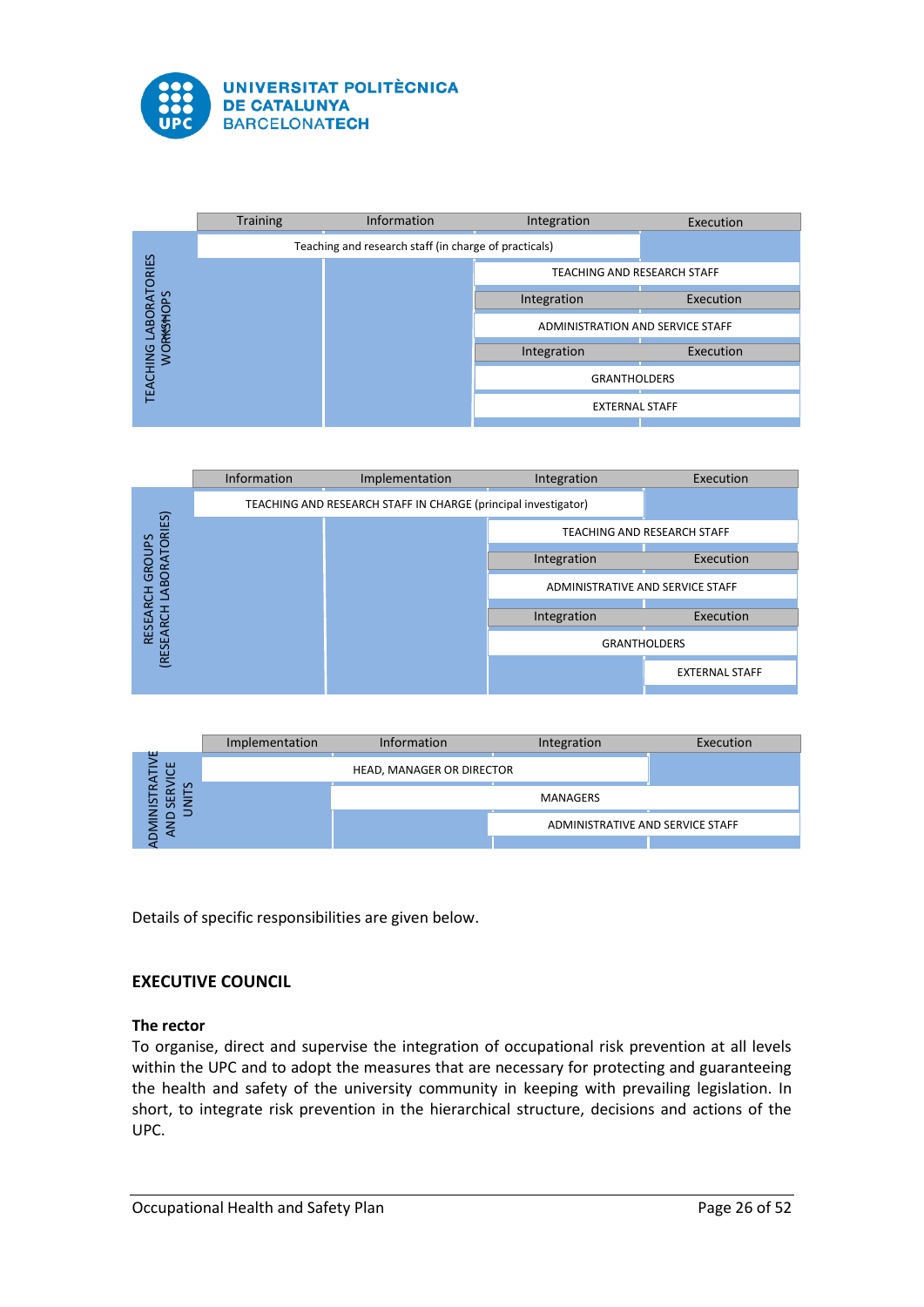





|                          | Implementation | <b>Information</b>        | Integration                      | Execution |
|--------------------------|----------------|---------------------------|----------------------------------|-----------|
| ш<br>ш                   |                | HEAD, MANAGER OR DIRECTOR |                                  |           |
| $\mathcal{L}$<br>说<br>in |                |                           | MANAGERS                         |           |
|                          |                |                           | ADMINISTRATIVE AND SERVICE STAFF |           |
|                          |                |                           |                                  |           |

Details of specific responsibilities are given below.

# **EXECUTIVE COUNCIL**

## **The rector**

To organise, direct and supervise the integration of occupational risk prevention at all levels within the UPC and to adopt the measures that are necessary for protecting and guaranteeing the health and safety of the university community in keeping with prevailing legislation. In short, to integrate risk prevention in the hierarchical structure, decisions and actions of the UPC.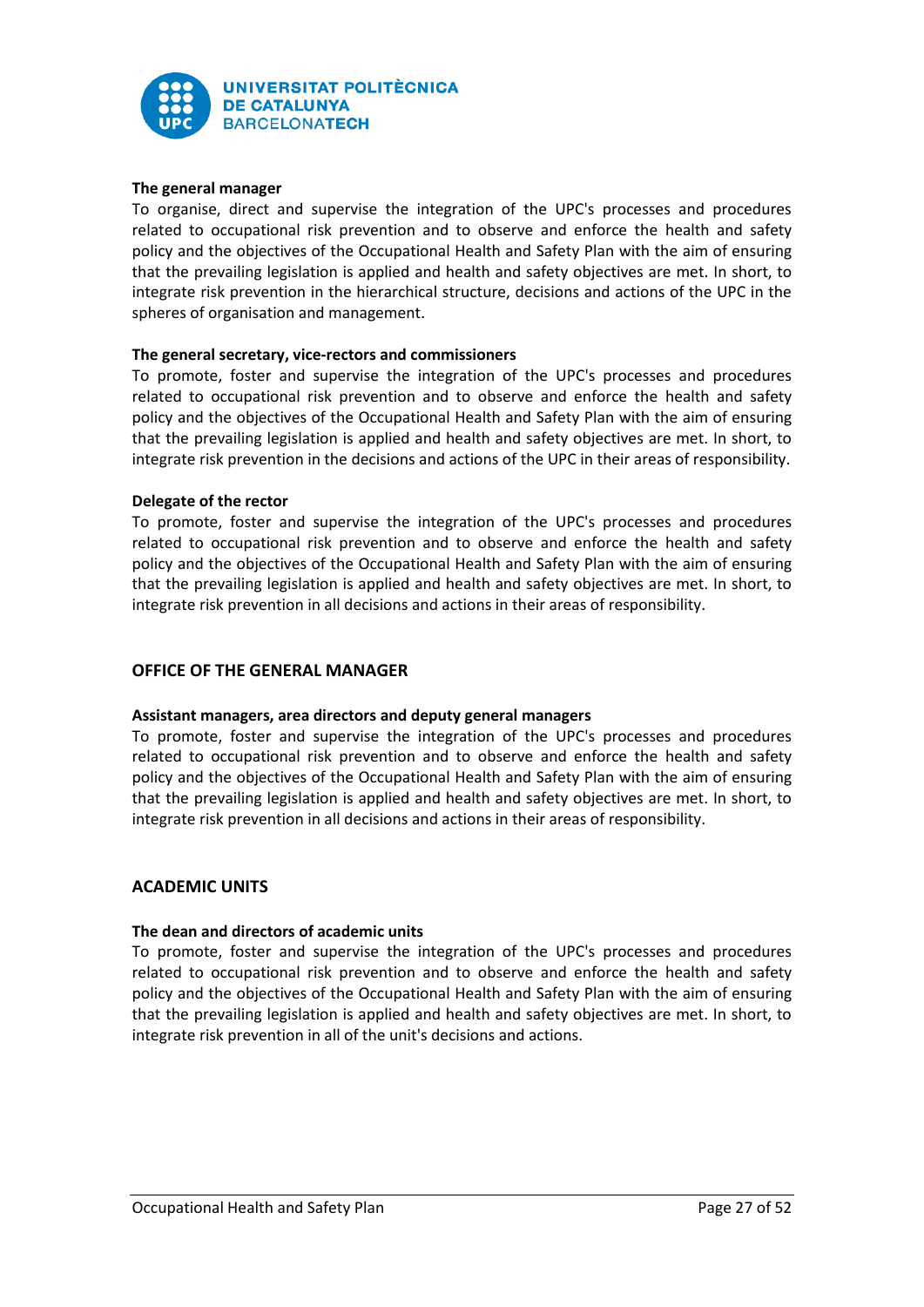

# **The general manager**

To organise, direct and supervise the integration of the UPC's processes and procedures related to occupational risk prevention and to observe and enforce the health and safety policy and the objectives of the Occupational Health and Safety Plan with the aim of ensuring that the prevailing legislation is applied and health and safety objectives are met. In short, to integrate risk prevention in the hierarchical structure, decisions and actions of the UPC in the spheres of organisation and management.

## **The general secretary, vice-rectors and commissioners**

To promote, foster and supervise the integration of the UPC's processes and procedures related to occupational risk prevention and to observe and enforce the health and safety policy and the objectives of the Occupational Health and Safety Plan with the aim of ensuring that the prevailing legislation is applied and health and safety objectives are met. In short, to integrate risk prevention in the decisions and actions of the UPC in their areas of responsibility.

## **Delegate of the rector**

To promote, foster and supervise the integration of the UPC's processes and procedures related to occupational risk prevention and to observe and enforce the health and safety policy and the objectives of the Occupational Health and Safety Plan with the aim of ensuring that the prevailing legislation is applied and health and safety objectives are met. In short, to integrate risk prevention in all decisions and actions in their areas of responsibility.

# **OFFICE OF THE GENERAL MANAGER**

# **Assistant managers, area directors and deputy general managers**

To promote, foster and supervise the integration of the UPC's processes and procedures related to occupational risk prevention and to observe and enforce the health and safety policy and the objectives of the Occupational Health and Safety Plan with the aim of ensuring that the prevailing legislation is applied and health and safety objectives are met. In short, to integrate risk prevention in all decisions and actions in their areas of responsibility.

# **ACADEMIC UNITS**

## **The dean and directors of academic units**

To promote, foster and supervise the integration of the UPC's processes and procedures related to occupational risk prevention and to observe and enforce the health and safety policy and the objectives of the Occupational Health and Safety Plan with the aim of ensuring that the prevailing legislation is applied and health and safety objectives are met. In short, to integrate risk prevention in all of the unit's decisions and actions.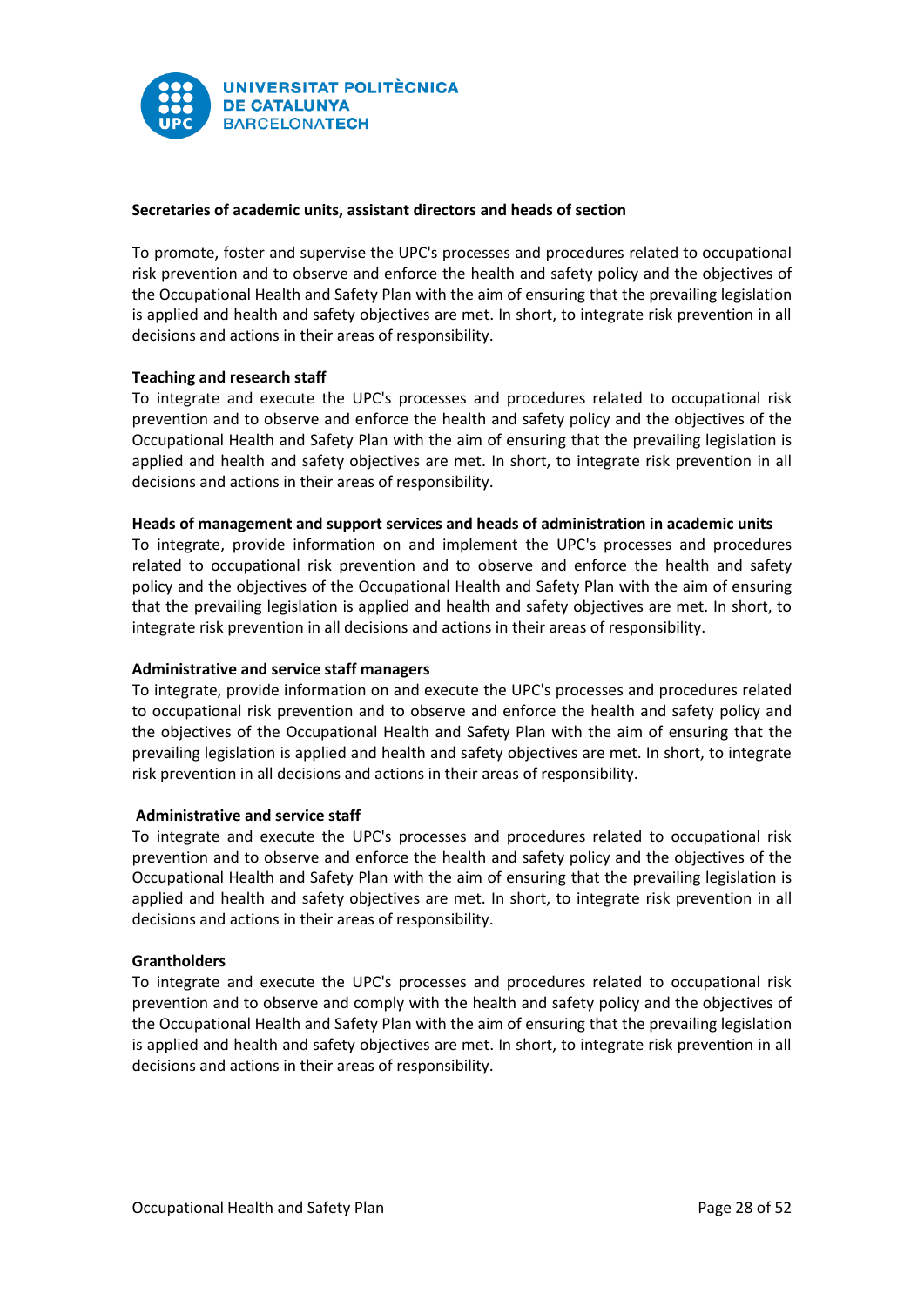

# **Secretaries of academic units, assistant directors and heads of section**

To promote, foster and supervise the UPC's processes and procedures related to occupational risk prevention and to observe and enforce the health and safety policy and the objectives of the Occupational Health and Safety Plan with the aim of ensuring that the prevailing legislation is applied and health and safety objectives are met. In short, to integrate risk prevention in all decisions and actions in their areas of responsibility.

# **Teaching and research staff**

To integrate and execute the UPC's processes and procedures related to occupational risk prevention and to observe and enforce the health and safety policy and the objectives of the Occupational Health and Safety Plan with the aim of ensuring that the prevailing legislation is applied and health and safety objectives are met. In short, to integrate risk prevention in all decisions and actions in their areas of responsibility.

## **Heads of management and support services and heads of administration in academic units**

To integrate, provide information on and implement the UPC's processes and procedures related to occupational risk prevention and to observe and enforce the health and safety policy and the objectives of the Occupational Health and Safety Plan with the aim of ensuring that the prevailing legislation is applied and health and safety objectives are met. In short, to integrate risk prevention in all decisions and actions in their areas of responsibility.

## **Administrative and service staff managers**

To integrate, provide information on and execute the UPC's processes and procedures related to occupational risk prevention and to observe and enforce the health and safety policy and the objectives of the Occupational Health and Safety Plan with the aim of ensuring that the prevailing legislation is applied and health and safety objectives are met. In short, to integrate risk prevention in all decisions and actions in their areas of responsibility.

## **Administrative and service staff**

To integrate and execute the UPC's processes and procedures related to occupational risk prevention and to observe and enforce the health and safety policy and the objectives of the Occupational Health and Safety Plan with the aim of ensuring that the prevailing legislation is applied and health and safety objectives are met. In short, to integrate risk prevention in all decisions and actions in their areas of responsibility.

## **Grantholders**

To integrate and execute the UPC's processes and procedures related to occupational risk prevention and to observe and comply with the health and safety policy and the objectives of the Occupational Health and Safety Plan with the aim of ensuring that the prevailing legislation is applied and health and safety objectives are met. In short, to integrate risk prevention in all decisions and actions in their areas of responsibility.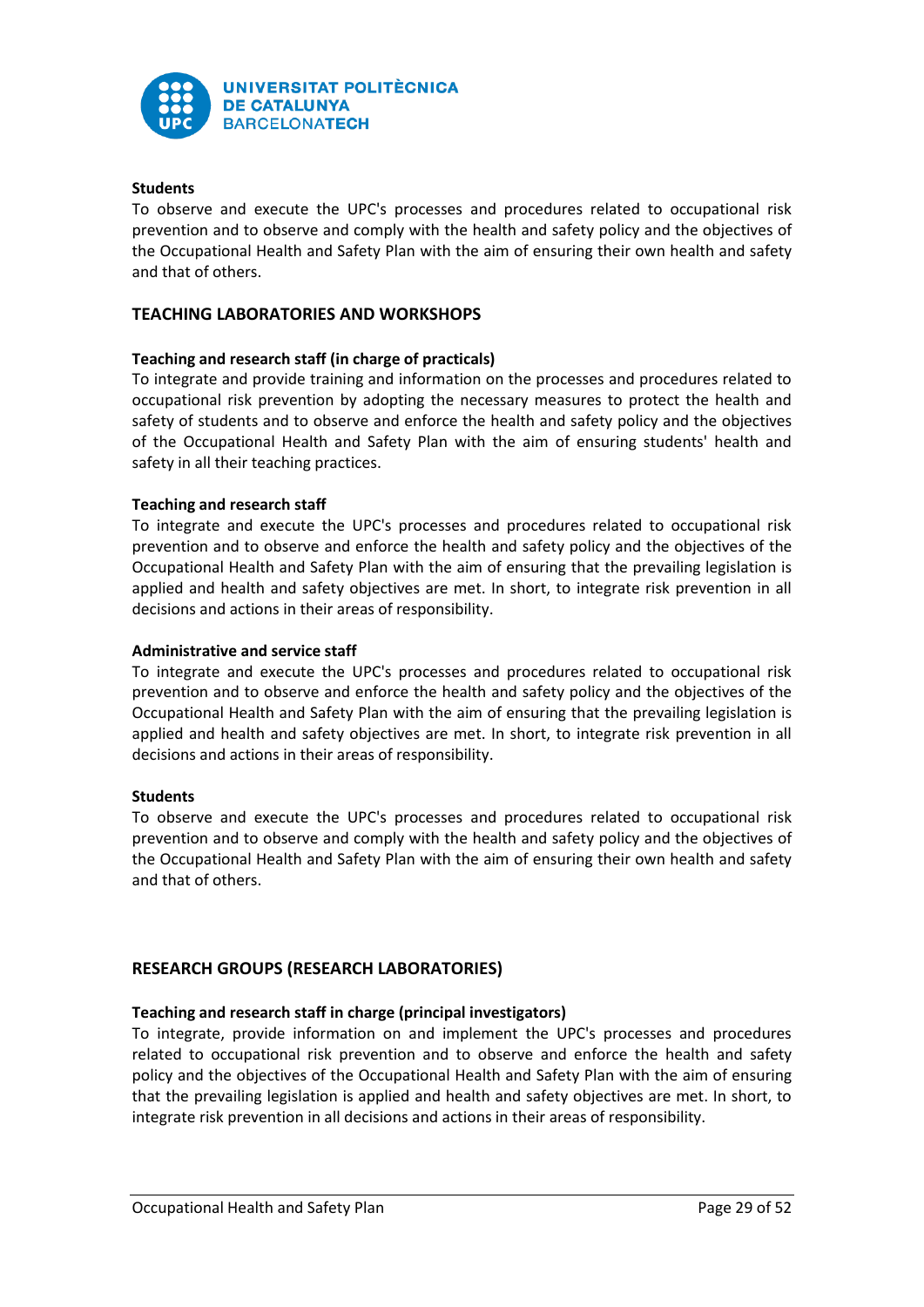

# **Students**

To observe and execute the UPC's processes and procedures related to occupational risk prevention and to observe and comply with the health and safety policy and the objectives of the Occupational Health and Safety Plan with the aim of ensuring their own health and safety and that of others.

# **TEACHING LABORATORIES AND WORKSHOPS**

## **Teaching and research staff (in charge of practicals)**

To integrate and provide training and information on the processes and procedures related to occupational risk prevention by adopting the necessary measures to protect the health and safety of students and to observe and enforce the health and safety policy and the objectives of the Occupational Health and Safety Plan with the aim of ensuring students' health and safety in all their teaching practices.

## **Teaching and research staff**

To integrate and execute the UPC's processes and procedures related to occupational risk prevention and to observe and enforce the health and safety policy and the objectives of the Occupational Health and Safety Plan with the aim of ensuring that the prevailing legislation is applied and health and safety objectives are met. In short, to integrate risk prevention in all decisions and actions in their areas of responsibility.

## **Administrative and service staff**

To integrate and execute the UPC's processes and procedures related to occupational risk prevention and to observe and enforce the health and safety policy and the objectives of the Occupational Health and Safety Plan with the aim of ensuring that the prevailing legislation is applied and health and safety objectives are met. In short, to integrate risk prevention in all decisions and actions in their areas of responsibility.

## **Students**

To observe and execute the UPC's processes and procedures related to occupational risk prevention and to observe and comply with the health and safety policy and the objectives of the Occupational Health and Safety Plan with the aim of ensuring their own health and safety and that of others.

# **RESEARCH GROUPS (RESEARCH LABORATORIES)**

## **Teaching and research staff in charge (principal investigators)**

To integrate, provide information on and implement the UPC's processes and procedures related to occupational risk prevention and to observe and enforce the health and safety policy and the objectives of the Occupational Health and Safety Plan with the aim of ensuring that the prevailing legislation is applied and health and safety objectives are met. In short, to integrate risk prevention in all decisions and actions in their areas of responsibility.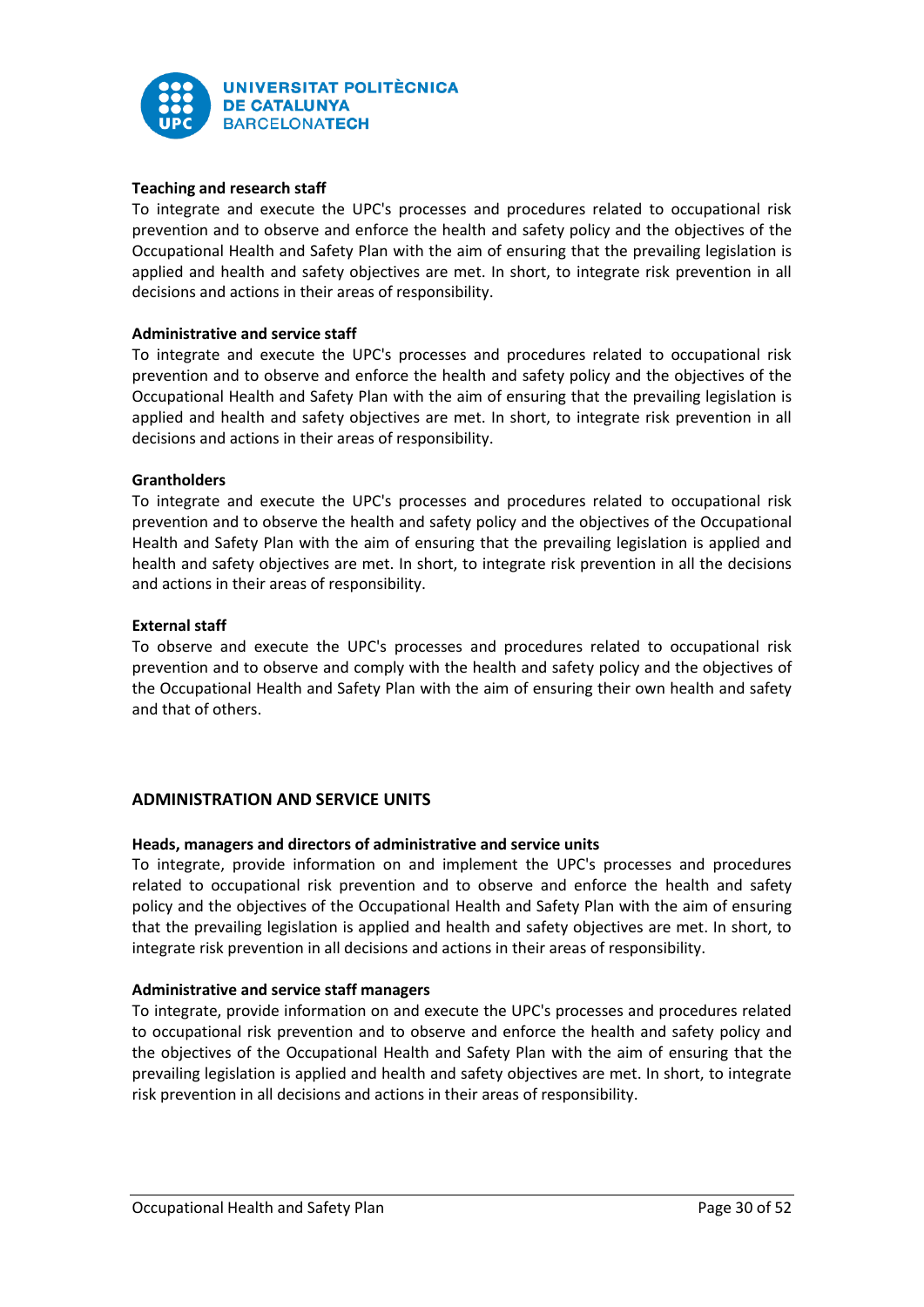

# **Teaching and research staff**

To integrate and execute the UPC's processes and procedures related to occupational risk prevention and to observe and enforce the health and safety policy and the objectives of the Occupational Health and Safety Plan with the aim of ensuring that the prevailing legislation is applied and health and safety objectives are met. In short, to integrate risk prevention in all decisions and actions in their areas of responsibility.

## **Administrative and service staff**

To integrate and execute the UPC's processes and procedures related to occupational risk prevention and to observe and enforce the health and safety policy and the objectives of the Occupational Health and Safety Plan with the aim of ensuring that the prevailing legislation is applied and health and safety objectives are met. In short, to integrate risk prevention in all decisions and actions in their areas of responsibility.

#### **Grantholders**

To integrate and execute the UPC's processes and procedures related to occupational risk prevention and to observe the health and safety policy and the objectives of the Occupational Health and Safety Plan with the aim of ensuring that the prevailing legislation is applied and health and safety objectives are met. In short, to integrate risk prevention in all the decisions and actions in their areas of responsibility.

#### **External staff**

To observe and execute the UPC's processes and procedures related to occupational risk prevention and to observe and comply with the health and safety policy and the objectives of the Occupational Health and Safety Plan with the aim of ensuring their own health and safety and that of others.

## **ADMINISTRATION AND SERVICE UNITS**

## **Heads, managers and directors of administrative and service units**

To integrate, provide information on and implement the UPC's processes and procedures related to occupational risk prevention and to observe and enforce the health and safety policy and the objectives of the Occupational Health and Safety Plan with the aim of ensuring that the prevailing legislation is applied and health and safety objectives are met. In short, to integrate risk prevention in all decisions and actions in their areas of responsibility.

## **Administrative and service staff managers**

To integrate, provide information on and execute the UPC's processes and procedures related to occupational risk prevention and to observe and enforce the health and safety policy and the objectives of the Occupational Health and Safety Plan with the aim of ensuring that the prevailing legislation is applied and health and safety objectives are met. In short, to integrate risk prevention in all decisions and actions in their areas of responsibility.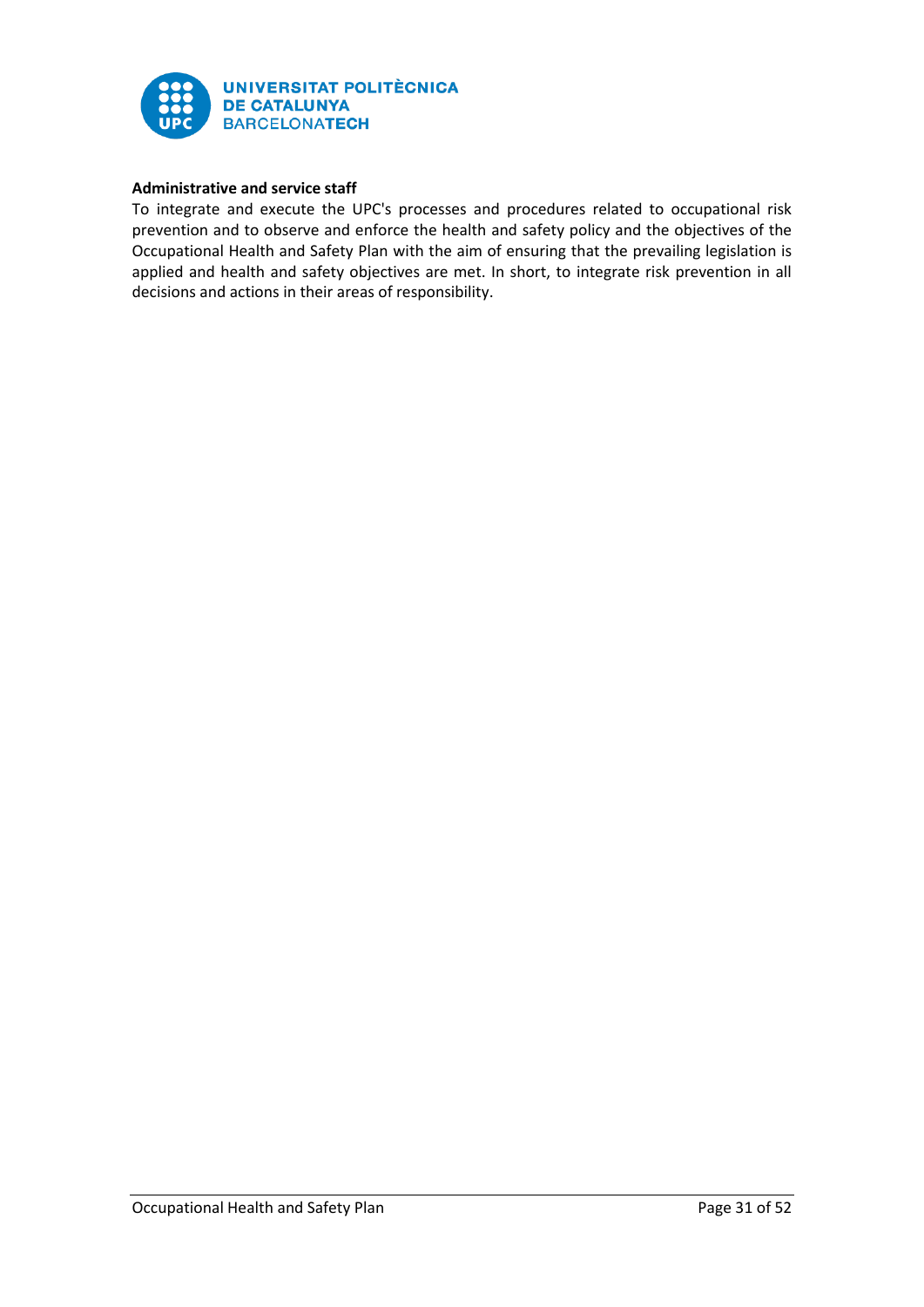

# **Administrative and service staff**

To integrate and execute the UPC's processes and procedures related to occupational risk prevention and to observe and enforce the health and safety policy and the objectives of the Occupational Health and Safety Plan with the aim of ensuring that the prevailing legislation is applied and health and safety objectives are met. In short, to integrate risk prevention in all decisions and actions in their areas of responsibility.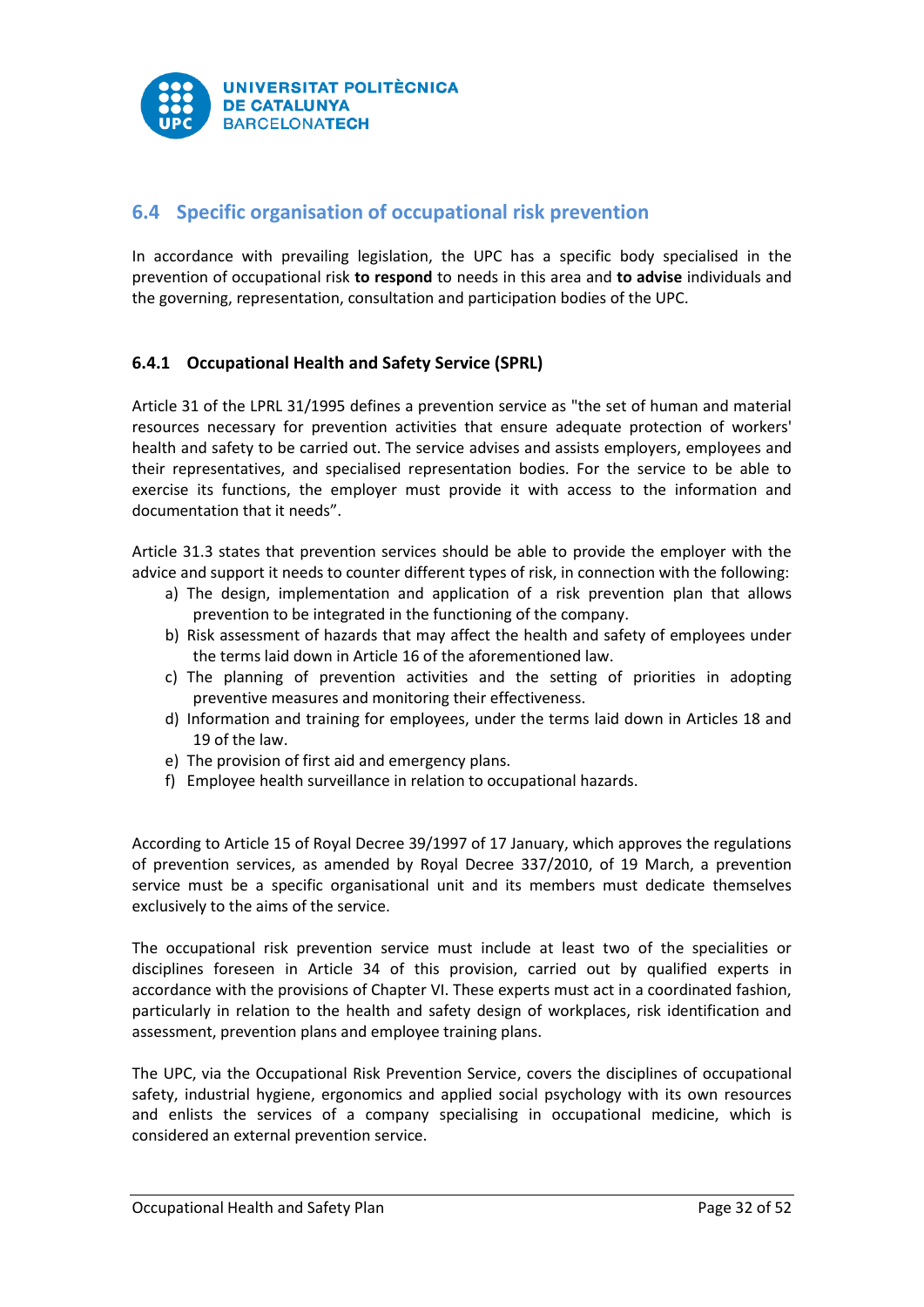

# <span id="page-32-0"></span>**6.4 Specific organisation of occupational risk prevention**

In accordance with prevailing legislation, the UPC has a specific body specialised in the prevention of occupational risk **to respond** to needs in this area and **to advise** individuals and the governing, representation, consultation and participation bodies of the UPC.

# <span id="page-32-1"></span>**6.4.1 Occupational Health and Safety Service (SPRL)**

Article 31 of the LPRL 31/1995 defines a prevention service as "the set of human and material resources necessary for prevention activities that ensure adequate protection of workers' health and safety to be carried out. The service advises and assists employers, employees and their representatives, and specialised representation bodies. For the service to be able to exercise its functions, the employer must provide it with access to the information and documentation that it needs".

Article 31.3 states that prevention services should be able to provide the employer with the advice and support it needs to counter different types of risk, in connection with the following:

- a) The design, implementation and application of a risk prevention plan that allows prevention to be integrated in the functioning of the company.
- b) Risk assessment of hazards that may affect the health and safety of employees under the terms laid down in Article 16 of the aforementioned law.
- c) The planning of prevention activities and the setting of priorities in adopting preventive measures and monitoring their effectiveness.
- d) Information and training for employees, under the terms laid down in Articles 18 and 19 of the law.
- e) The provision of first aid and emergency plans.
- f) Employee health surveillance in relation to occupational hazards.

According to Article 15 of Royal Decree 39/1997 of 17 January, which approves the regulations of prevention services, as amended by Royal Decree 337/2010, of 19 March, a prevention service must be a specific organisational unit and its members must dedicate themselves exclusively to the aims of the service.

The occupational risk prevention service must include at least two of the specialities or disciplines foreseen in Article 34 of this provision, carried out by qualified experts in accordance with the provisions of Chapter VI. These experts must act in a coordinated fashion, particularly in relation to the health and safety design of workplaces, risk identification and assessment, prevention plans and employee training plans.

The UPC, via the Occupational Risk Prevention Service, covers the disciplines of occupational safety, industrial hygiene, ergonomics and applied social psychology with its own resources and enlists the services of a company specialising in occupational medicine, which is considered an external prevention service.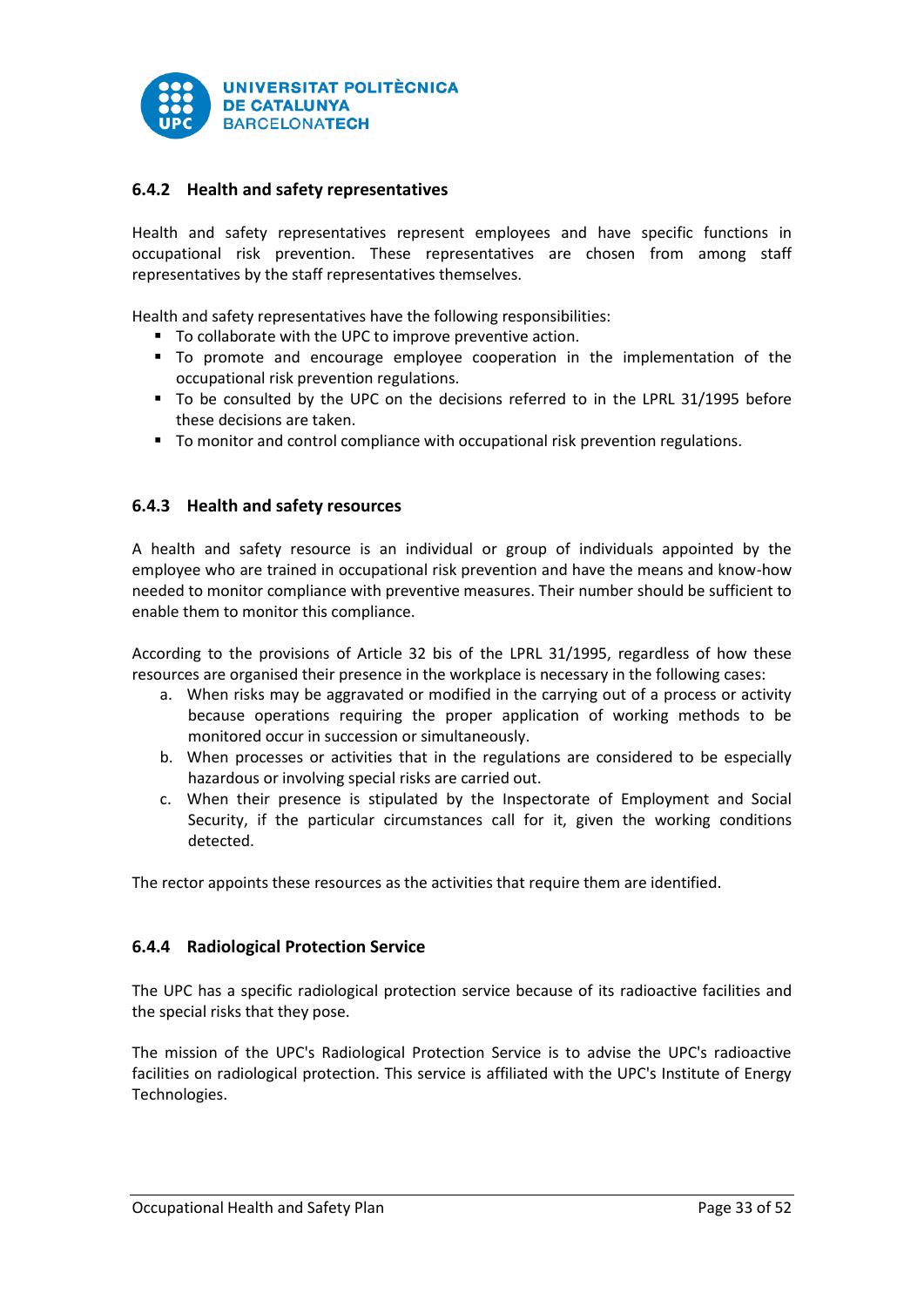

# <span id="page-33-0"></span>**6.4.2 Health and safety representatives**

Health and safety representatives represent employees and have specific functions in occupational risk prevention. These representatives are chosen from among staff representatives by the staff representatives themselves.

Health and safety representatives have the following responsibilities:

- To collaborate with the UPC to improve preventive action.
- To promote and encourage employee cooperation in the implementation of the occupational risk prevention regulations.
- To be consulted by the UPC on the decisions referred to in the LPRL 31/1995 before these decisions are taken.
- To monitor and control compliance with occupational risk prevention regulations.

# <span id="page-33-1"></span>**6.4.3 Health and safety resources**

A health and safety resource is an individual or group of individuals appointed by the employee who are trained in occupational risk prevention and have the means and know-how needed to monitor compliance with preventive measures. Their number should be sufficient to enable them to monitor this compliance.

According to the provisions of Article 32 bis of the LPRL 31/1995, regardless of how these resources are organised their presence in the workplace is necessary in the following cases:

- a. When risks may be aggravated or modified in the carrying out of a process or activity because operations requiring the proper application of working methods to be monitored occur in succession or simultaneously.
- b. When processes or activities that in the regulations are considered to be especially hazardous or involving special risks are carried out.
- c. When their presence is stipulated by the Inspectorate of Employment and Social Security, if the particular circumstances call for it, given the working conditions detected.

The rector appoints these resources as the activities that require them are identified.

# <span id="page-33-2"></span>**6.4.4 Radiological Protection Service**

The UPC has a specific radiological protection service because of its radioactive facilities and the special risks that they pose.

The mission of the UPC's Radiological Protection Service is to advise the UPC's radioactive facilities on radiological protection. This service is affiliated with the UPC's Institute of Energy Technologies.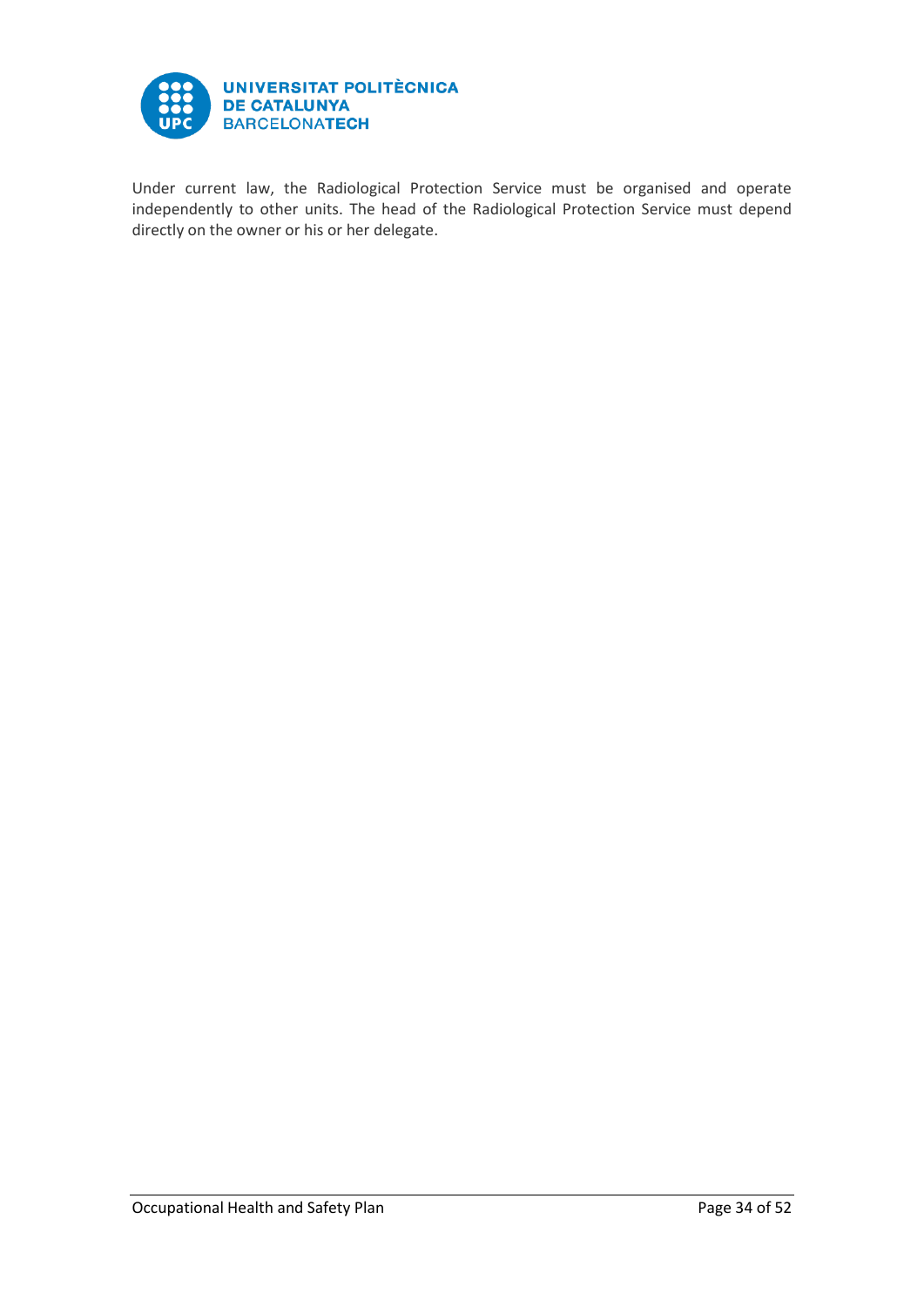

Under current law, the Radiological Protection Service must be organised and operate independently to other units. The head of the Radiological Protection Service must depend directly on the owner or his or her delegate.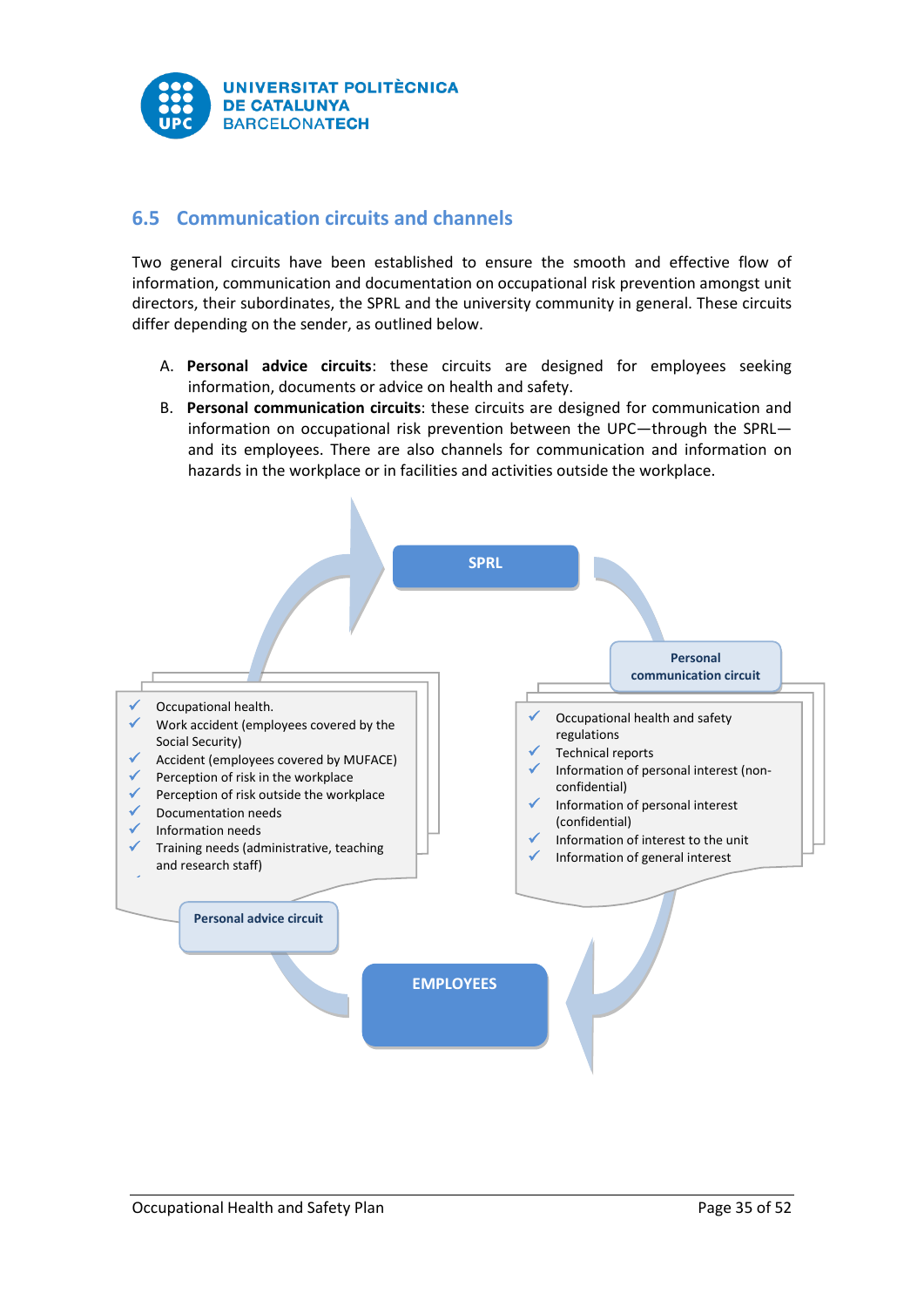

# <span id="page-35-0"></span>**6.5 Communication circuits and channels**

Two general circuits have been established to ensure the smooth and effective flow of information, communication and documentation on occupational risk prevention amongst unit directors, their subordinates, the SPRL and the university community in general. These circuits differ depending on the sender, as outlined below.

- A. **Personal advice circuits**: these circuits are designed for employees seeking information, documents or advice on health and safety.
- B. **Personal communication circuits**: these circuits are designed for communication and information on occupational risk prevention between the UPC—through the SPRL and its employees. There are also channels for communication and information on hazards in the workplace or in facilities and activities outside the workplace.

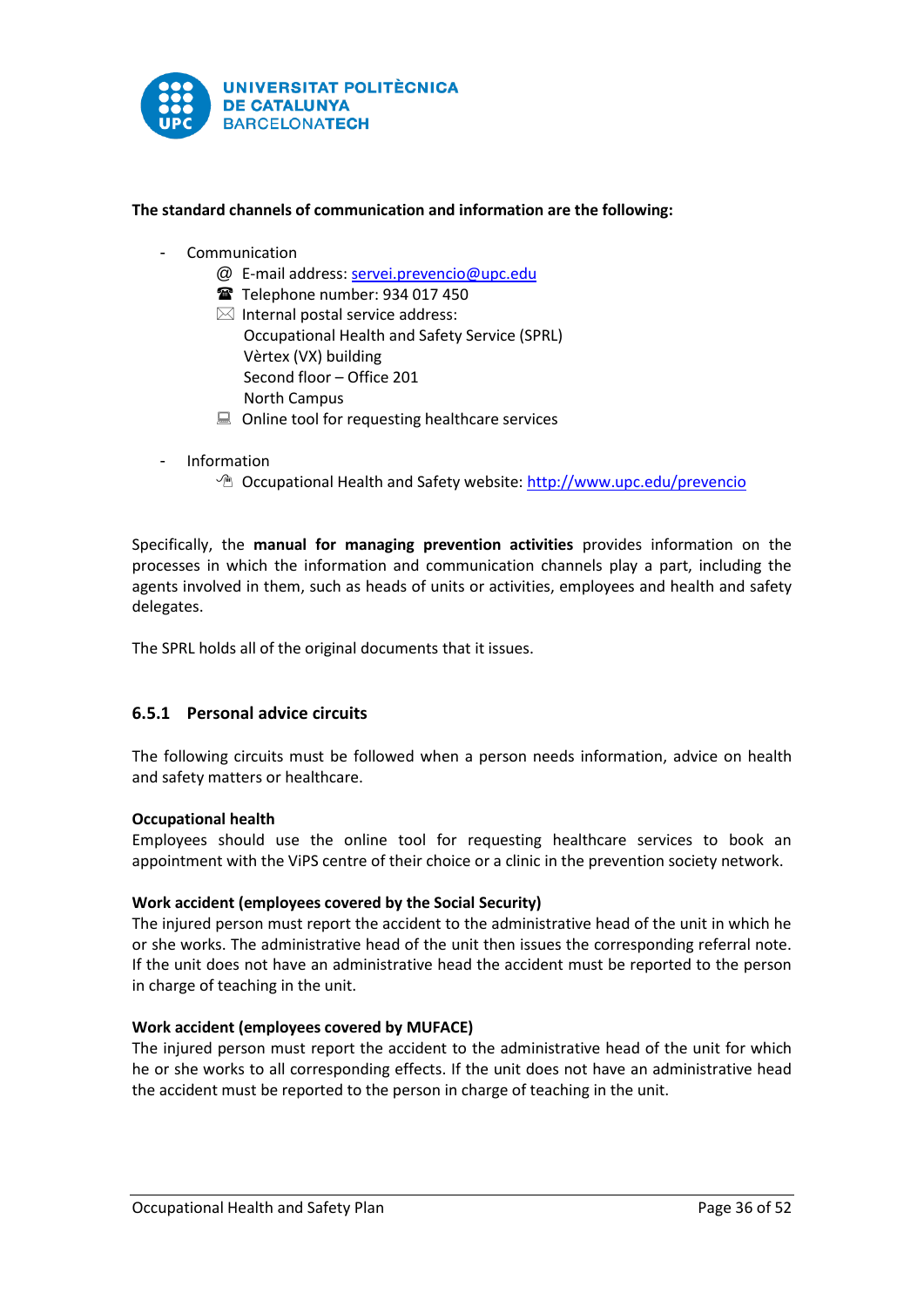

# **The standard channels of communication and information are the following:**

- **Communication** 
	- @ E-mail address[: servei.prevencio@upc.edu](mailto:servei.prevencio@upc.edu)
	- Telephone number: 934 017 450
	- $\boxtimes$  Internal postal service address: Occupational Health and Safety Service (SPRL) Vèrtex (VX) building Second floor – Office 201 North Campus
	- $\Box$  Online tool for requesting healthcare services
- **Information** 
	- <sup>n</sup> Occupational Health and Safety website[: http://www.upc.edu/prevencio](http://www.upc.edu/prevencio)

Specifically, the **manual for managing prevention activities** provides information on the processes in which the information and communication channels play a part, including the agents involved in them, such as heads of units or activities, employees and health and safety delegates.

The SPRL holds all of the original documents that it issues.

# <span id="page-36-0"></span>**6.5.1 Personal advice circuits**

The following circuits must be followed when a person needs information, advice on health and safety matters or healthcare.

## **Occupational health**

Employees should use the online tool for requesting healthcare services to book an appointment with the ViPS centre of their choice or a clinic in the prevention society network.

## **Work accident (employees covered by the Social Security)**

The injured person must report the accident to the administrative head of the unit in which he or she works. The administrative head of the unit then issues the corresponding referral note. If the unit does not have an administrative head the accident must be reported to the person in charge of teaching in the unit.

## **Work accident (employees covered by MUFACE)**

The injured person must report the accident to the administrative head of the unit for which he or she works to all corresponding effects. If the unit does not have an administrative head the accident must be reported to the person in charge of teaching in the unit.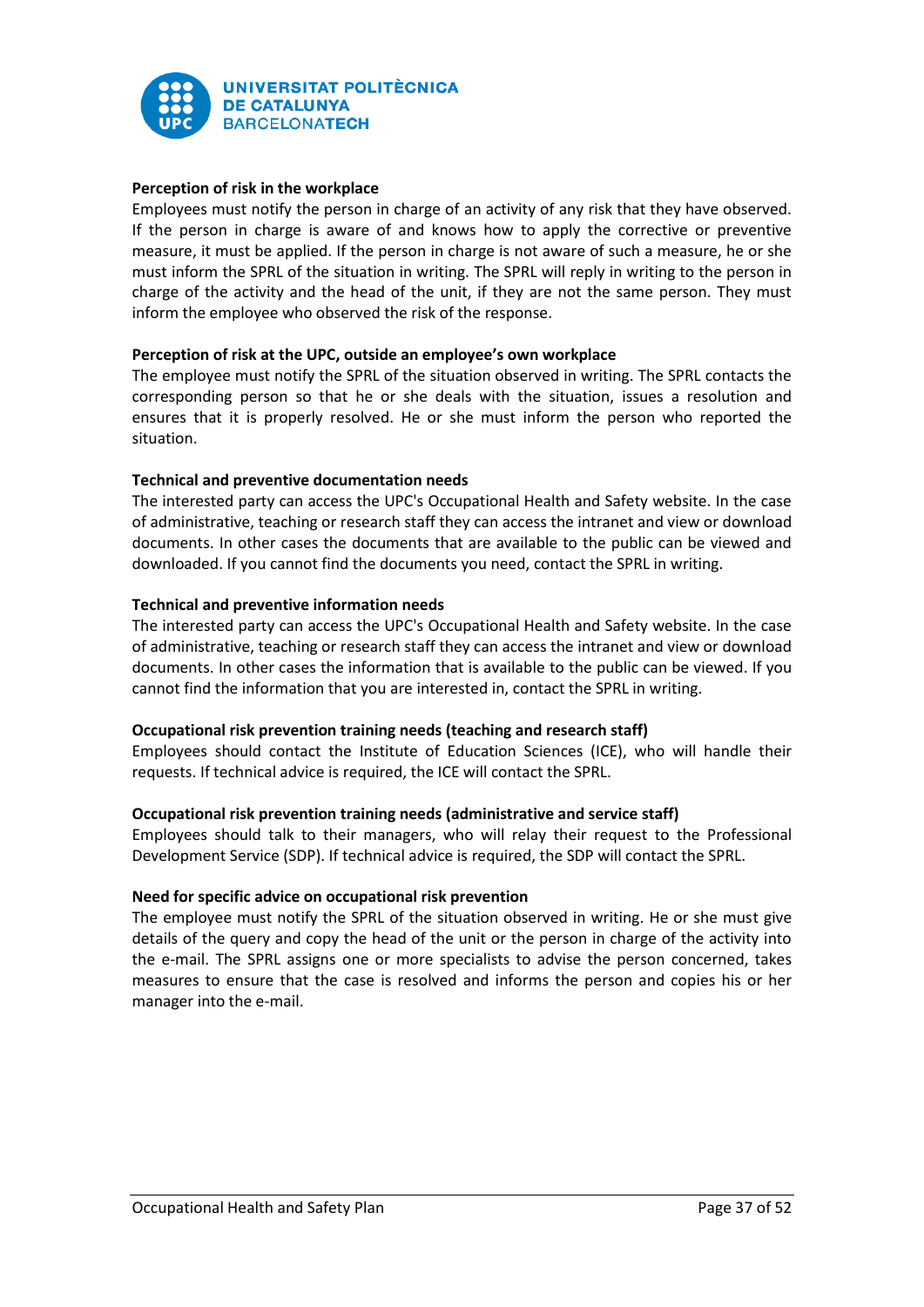

# **Perception of risk in the workplace**

Employees must notify the person in charge of an activity of any risk that they have observed. If the person in charge is aware of and knows how to apply the corrective or preventive measure, it must be applied. If the person in charge is not aware of such a measure, he or she must inform the SPRL of the situation in writing. The SPRL will reply in writing to the person in charge of the activity and the head of the unit, if they are not the same person. They must inform the employee who observed the risk of the response.

# **Perception of risk at the UPC, outside an employee's own workplace**

The employee must notify the SPRL of the situation observed in writing. The SPRL contacts the corresponding person so that he or she deals with the situation, issues a resolution and ensures that it is properly resolved. He or she must inform the person who reported the situation.

# **Technical and preventive documentation needs**

The interested party can access the UPC's Occupational Health and Safety website. In the case of administrative, teaching or research staff they can access the intranet and view or download documents. In other cases the documents that are available to the public can be viewed and downloaded. If you cannot find the documents you need, contact the SPRL in writing.

# **Technical and preventive information needs**

The interested party can access the UPC's Occupational Health and Safety website. In the case of administrative, teaching or research staff they can access the intranet and view or download documents. In other cases the information that is available to the public can be viewed. If you cannot find the information that you are interested in, contact the SPRL in writing.

## **Occupational risk prevention training needs (teaching and research staff)**

Employees should contact the Institute of Education Sciences (ICE), who will handle their requests. If technical advice is required, the ICE will contact the SPRL.

## **Occupational risk prevention training needs (administrative and service staff)**

Employees should talk to their managers, who will relay their request to the Professional Development Service (SDP). If technical advice is required, the SDP will contact the SPRL.

## **Need for specific advice on occupational risk prevention**

The employee must notify the SPRL of the situation observed in writing. He or she must give details of the query and copy the head of the unit or the person in charge of the activity into the e-mail. The SPRL assigns one or more specialists to advise the person concerned, takes measures to ensure that the case is resolved and informs the person and copies his or her manager into the e-mail.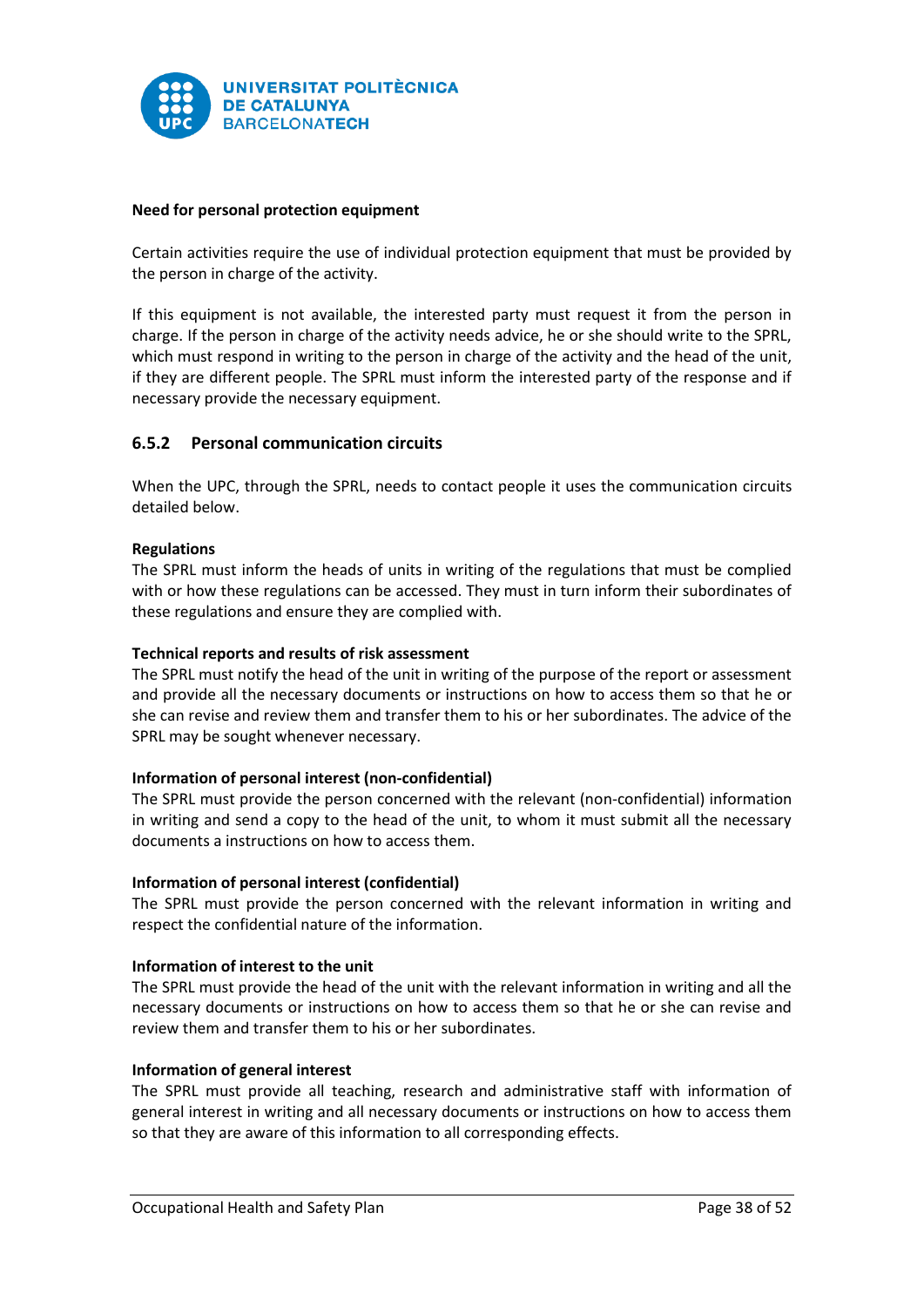

# **Need for personal protection equipment**

Certain activities require the use of individual protection equipment that must be provided by the person in charge of the activity.

If this equipment is not available, the interested party must request it from the person in charge. If the person in charge of the activity needs advice, he or she should write to the SPRL, which must respond in writing to the person in charge of the activity and the head of the unit, if they are different people. The SPRL must inform the interested party of the response and if necessary provide the necessary equipment.

# <span id="page-38-0"></span>**6.5.2 Personal communication circuits**

When the UPC, through the SPRL, needs to contact people it uses the communication circuits detailed below.

## **Regulations**

The SPRL must inform the heads of units in writing of the regulations that must be complied with or how these regulations can be accessed. They must in turn inform their subordinates of these regulations and ensure they are complied with.

## **Technical reports and results of risk assessment**

The SPRL must notify the head of the unit in writing of the purpose of the report or assessment and provide all the necessary documents or instructions on how to access them so that he or she can revise and review them and transfer them to his or her subordinates. The advice of the SPRL may be sought whenever necessary.

## **Information of personal interest (non-confidential)**

The SPRL must provide the person concerned with the relevant (non-confidential) information in writing and send a copy to the head of the unit, to whom it must submit all the necessary documents a instructions on how to access them.

## **Information of personal interest (confidential)**

The SPRL must provide the person concerned with the relevant information in writing and respect the confidential nature of the information.

## **Information of interest to the unit**

The SPRL must provide the head of the unit with the relevant information in writing and all the necessary documents or instructions on how to access them so that he or she can revise and review them and transfer them to his or her subordinates.

## **Information of general interest**

The SPRL must provide all teaching, research and administrative staff with information of general interest in writing and all necessary documents or instructions on how to access them so that they are aware of this information to all corresponding effects.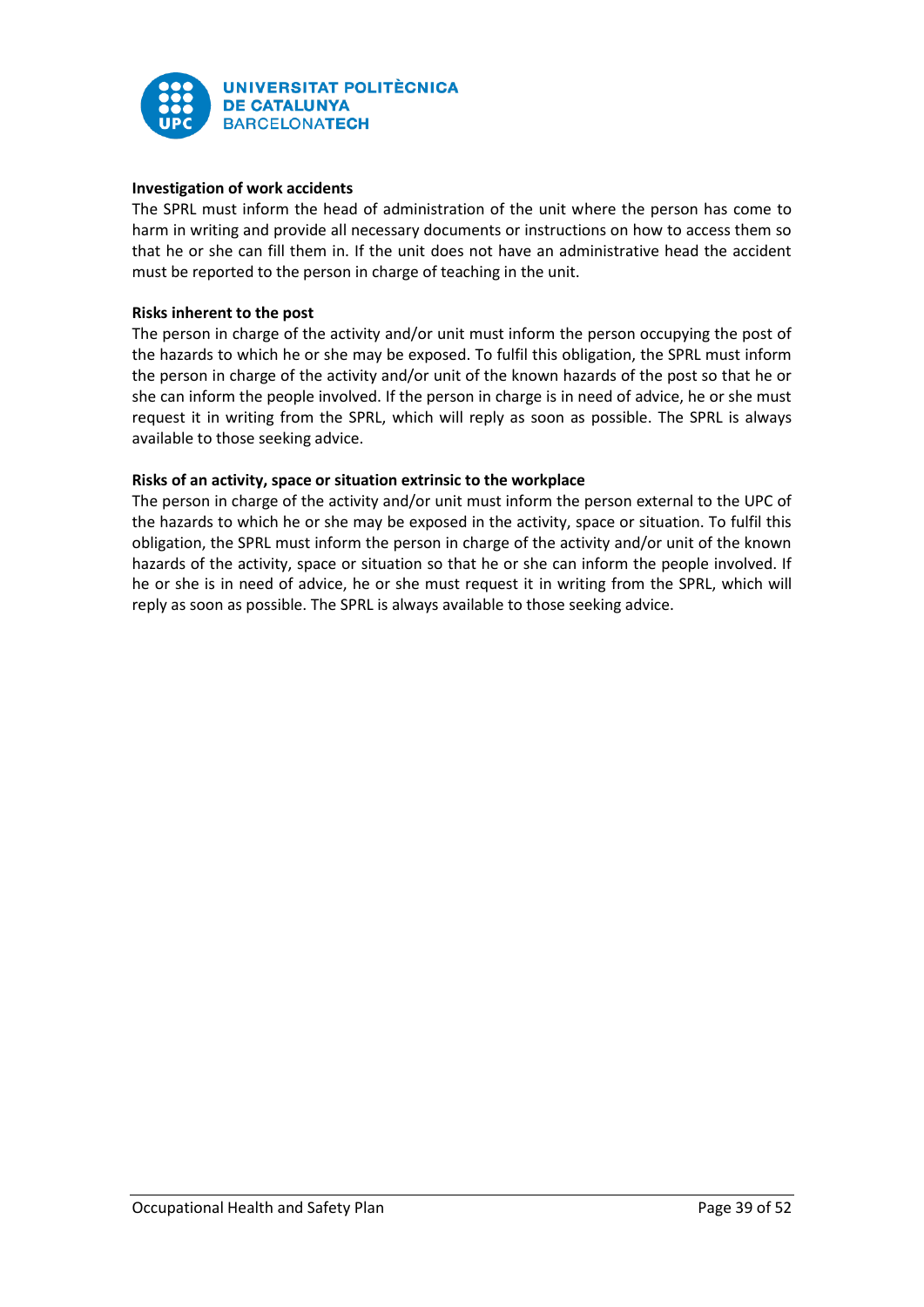

# **Investigation of work accidents**

The SPRL must inform the head of administration of the unit where the person has come to harm in writing and provide all necessary documents or instructions on how to access them so that he or she can fill them in. If the unit does not have an administrative head the accident must be reported to the person in charge of teaching in the unit.

# **Risks inherent to the post**

The person in charge of the activity and/or unit must inform the person occupying the post of the hazards to which he or she may be exposed. To fulfil this obligation, the SPRL must inform the person in charge of the activity and/or unit of the known hazards of the post so that he or she can inform the people involved. If the person in charge is in need of advice, he or she must request it in writing from the SPRL, which will reply as soon as possible. The SPRL is always available to those seeking advice.

# **Risks of an activity, space or situation extrinsic to the workplace**

The person in charge of the activity and/or unit must inform the person external to the UPC of the hazards to which he or she may be exposed in the activity, space or situation. To fulfil this obligation, the SPRL must inform the person in charge of the activity and/or unit of the known hazards of the activity, space or situation so that he or she can inform the people involved. If he or she is in need of advice, he or she must request it in writing from the SPRL, which will reply as soon as possible. The SPRL is always available to those seeking advice.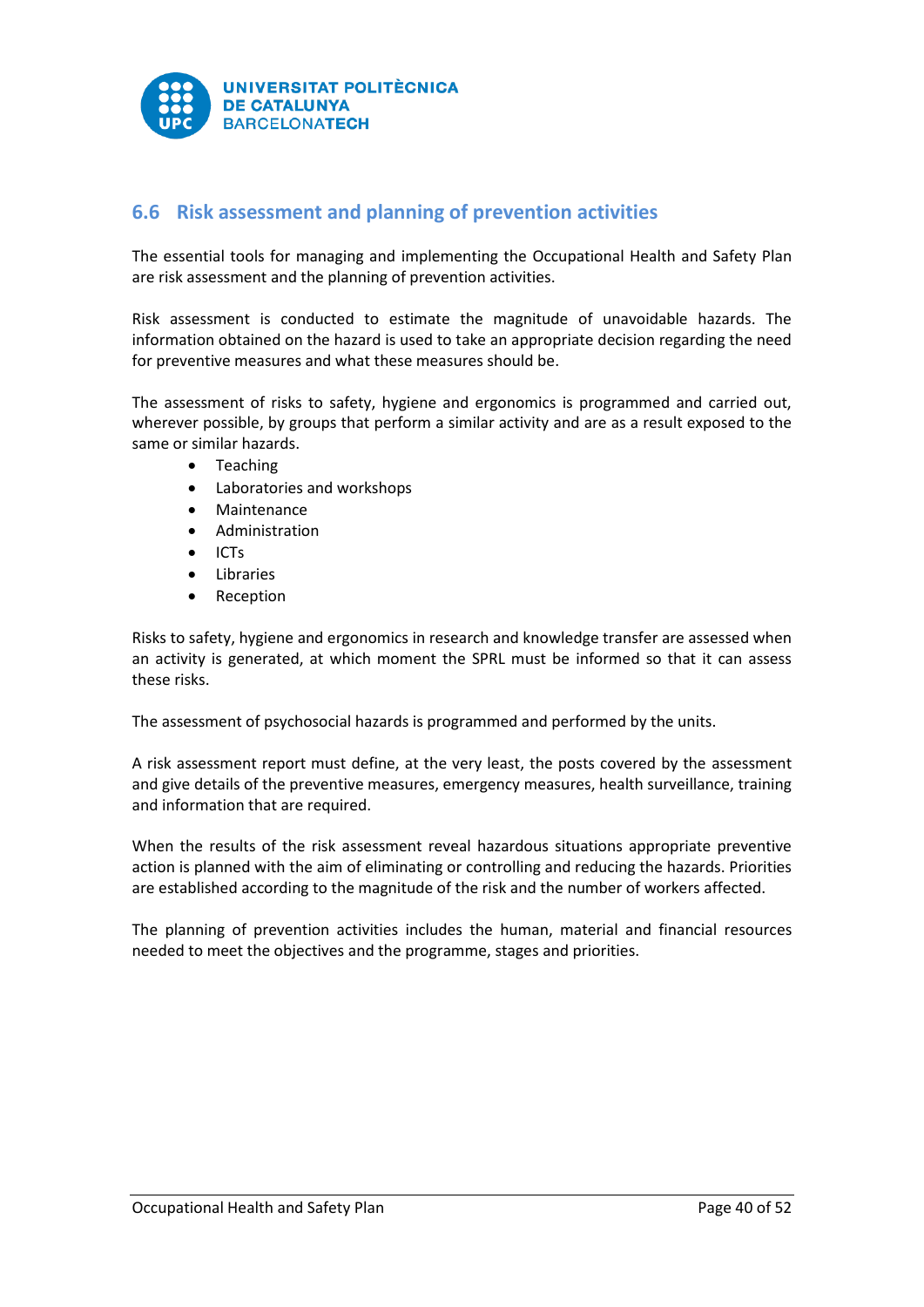

# <span id="page-40-0"></span>**6.6 Risk assessment and planning of prevention activities**

The essential tools for managing and implementing the Occupational Health and Safety Plan are risk assessment and the planning of prevention activities.

Risk assessment is conducted to estimate the magnitude of unavoidable hazards. The information obtained on the hazard is used to take an appropriate decision regarding the need for preventive measures and what these measures should be.

The assessment of risks to safety, hygiene and ergonomics is programmed and carried out, wherever possible, by groups that perform a similar activity and are as a result exposed to the same or similar hazards.

- Teaching
- Laboratories and workshops
- Maintenance
- Administration
- ICTs
- Libraries
- Reception

Risks to safety, hygiene and ergonomics in research and knowledge transfer are assessed when an activity is generated, at which moment the SPRL must be informed so that it can assess these risks.

The assessment of psychosocial hazards is programmed and performed by the units.

A risk assessment report must define, at the very least, the posts covered by the assessment and give details of the preventive measures, emergency measures, health surveillance, training and information that are required.

When the results of the risk assessment reveal hazardous situations appropriate preventive action is planned with the aim of eliminating or controlling and reducing the hazards. Priorities are established according to the magnitude of the risk and the number of workers affected.

The planning of prevention activities includes the human, material and financial resources needed to meet the objectives and the programme, stages and priorities.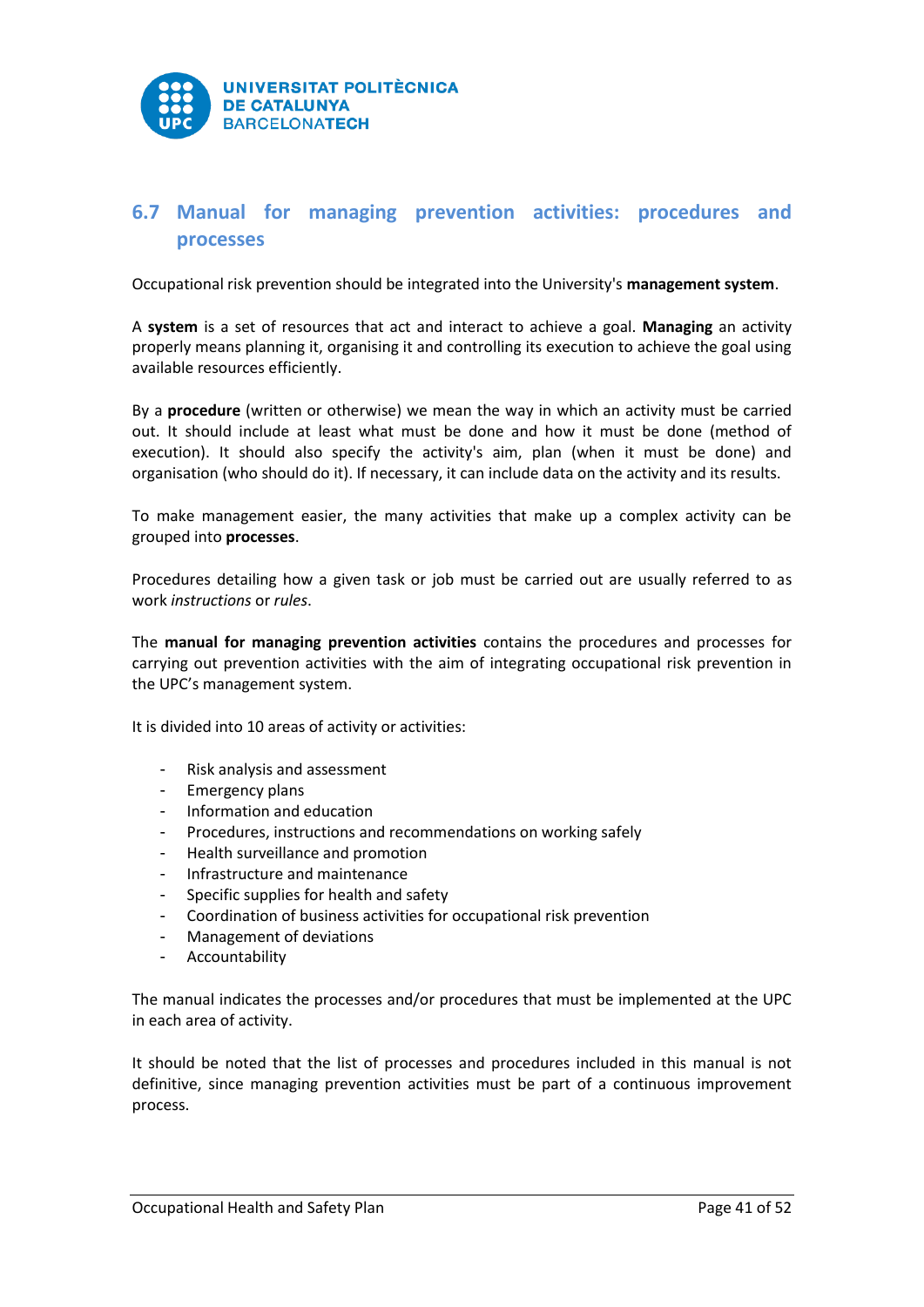

# <span id="page-41-0"></span>**6.7 Manual for managing prevention activities: procedures and processes**

Occupational risk prevention should be integrated into the University's **management system**.

A **system** is a set of resources that act and interact to achieve a goal. **Managing** an activity properly means planning it, organising it and controlling its execution to achieve the goal using available resources efficiently.

By a **procedure** (written or otherwise) we mean the way in which an activity must be carried out. It should include at least what must be done and how it must be done (method of execution). It should also specify the activity's aim, plan (when it must be done) and organisation (who should do it). If necessary, it can include data on the activity and its results.

To make management easier, the many activities that make up a complex activity can be grouped into **processes**.

Procedures detailing how a given task or job must be carried out are usually referred to as work *instructions* or *rules*.

The **manual for managing prevention activities** contains the procedures and processes for carrying out prevention activities with the aim of integrating occupational risk prevention in the UPC's management system.

It is divided into 10 areas of activity or activities:

- Risk analysis and assessment
- Emergency plans
- Information and education
- Procedures, instructions and recommendations on working safely
- Health surveillance and promotion
- Infrastructure and maintenance
- Specific supplies for health and safety
- Coordination of business activities for occupational risk prevention
- Management of deviations
- Accountability

The manual indicates the processes and/or procedures that must be implemented at the UPC in each area of activity.

It should be noted that the list of processes and procedures included in this manual is not definitive, since managing prevention activities must be part of a continuous improvement process.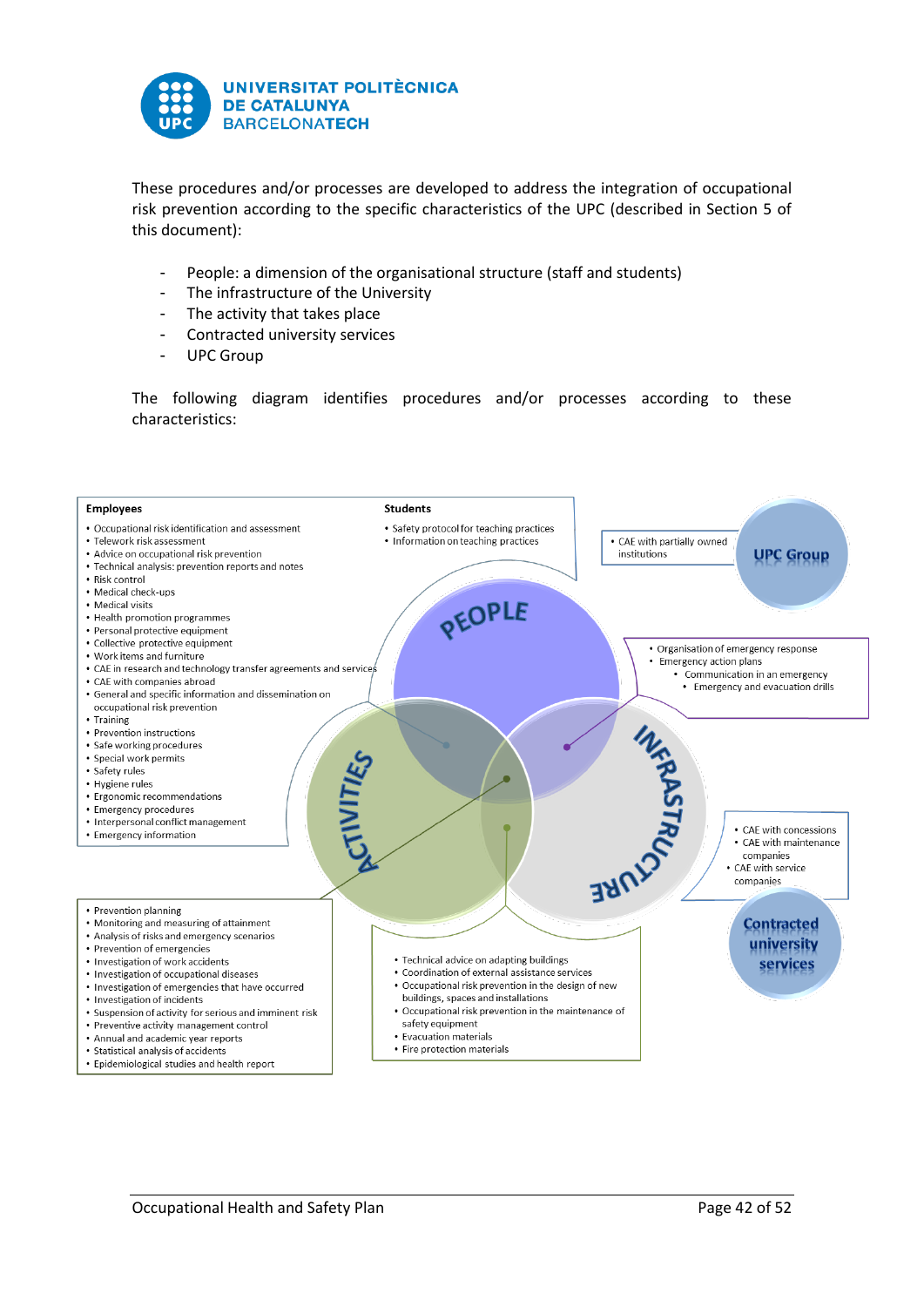

These procedures and/or processes are developed to address the integration of occupational risk prevention according to the specific characteristics of the UPC (described in Section 5 of this document):

- People: a dimension of the organisational structure (staff and students)
- The infrastructure of the University
- The activity that takes place
- Contracted university services
- UPC Group

The following diagram identifies procedures and/or processes according to these characteristics:

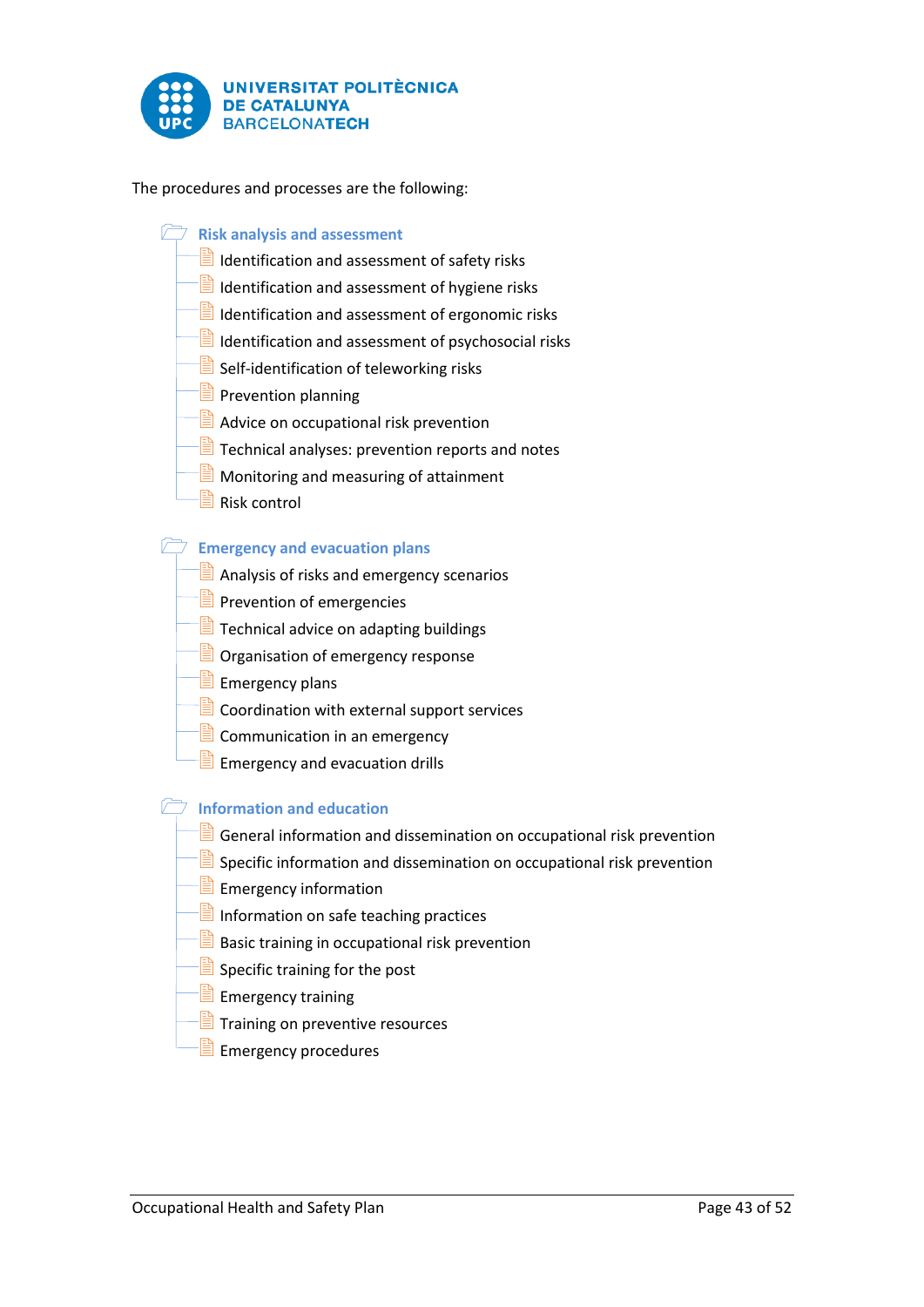

The procedures and processes are the following:

- **Risk analysis and assessment** 
	- $\Box$  Identification and assessment of safety risks
	- $\Box$  Identification and assessment of hygiene risks
	- $\Box$  Identification and assessment of ergonomic risks
	- $\Box$  Identification and assessment of psychosocial risks
	- $\Box$  Self-identification of teleworking risks
	- $\Box$  Prevention planning
	- **Advice on occupational risk prevention**
	- **TE** Technical analyses: prevention reports and notes
	- $\Box$  Monitoring and measuring of attainment
	- $\Box$  Risk control

# **Emergency and evacuation plans**

- $\Box$  Analysis of risks and emergency scenarios
- Prevention of emergencies
- **Technical advice on adapting buildings**
- **D** Organisation of emergency response
- $\equiv$  Emergency plans
- $\Box$  Coordination with external support services
- $\Box$  Communication in an emergency
- $\equiv$  Emergency and evacuation drills

# **Information and education**

- $\equiv$  General information and dissemination on occupational risk prevention
- $\exists$  Specific information and dissemination on occupational risk prevention
- $\equiv$  Emergency information
- **Information on safe teaching practices**
- **B** Basic training in occupational risk prevention
- $\Box$  Specific training for the post
- $-\equiv$  Emergency training
- $\Box$  Training on preventive resources
- $\Box$  Emergency procedures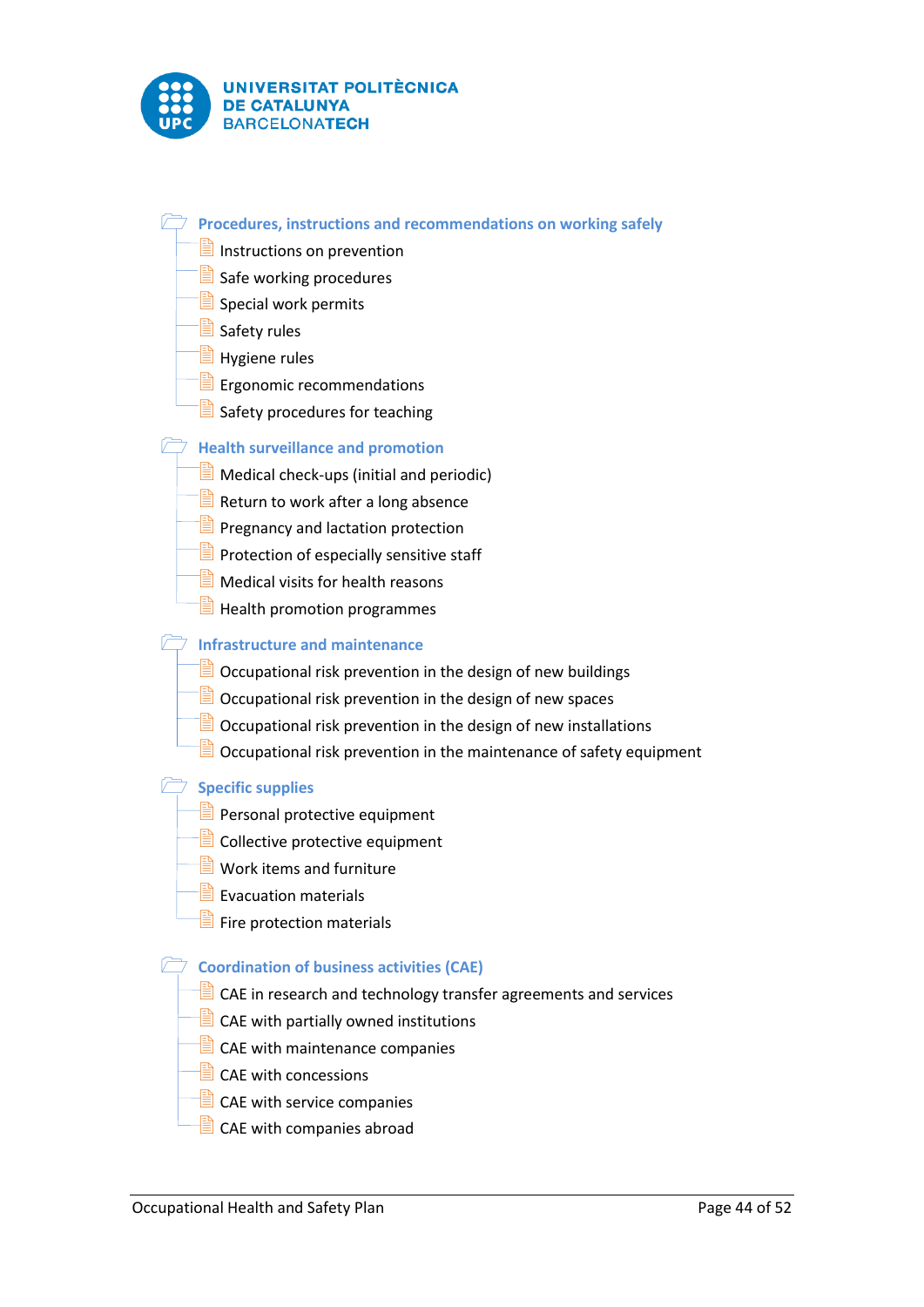

**Procedures, instructions and recommendations on working safely** 

- $\Box$  Instructions on prevention
- $\Box$  Safe working procedures
- $\Box$  Special work permits
- $\Box$  Safety rules
- $\exists$  Hygiene rules
- $E$  Ergonomic recommendations
- Safety procedures for teaching

# **Health surveillance and promotion**

- $\Box$  Medical check-ups (initial and periodic)
- **Return to work after a long absence**
- **Pregnancy and lactation protection**
- **Protection of especially sensitive staff**
- $\Box$  Medical visits for health reasons
- $\equiv$  Health promotion programmes

# **Infrastructure and maintenance**

- $\Box$  Occupational risk prevention in the design of new buildings
- $\Box$  Occupational risk prevention in the design of new spaces
- $\exists$  Occupational risk prevention in the design of new installations
- $\Box$  Occupational risk prevention in the maintenance of safety equipment

## **Specific supplies**

- **Personal protective equipment**
- $\Box$  Collective protective equipment
- $\Box$  Work items and furniture
- $\Box$  Evacuation materials
- **E** Fire protection materials

# **Coordination of business activities (CAE)**

- $\Box$  CAE in research and technology transfer agreements and services
- $\Box$  CAE with partially owned institutions
- $\Box$  CAE with maintenance companies
- $\Box$  CAE with concessions
- $\Box$  CAE with service companies
- $\Box$  CAE with companies abroad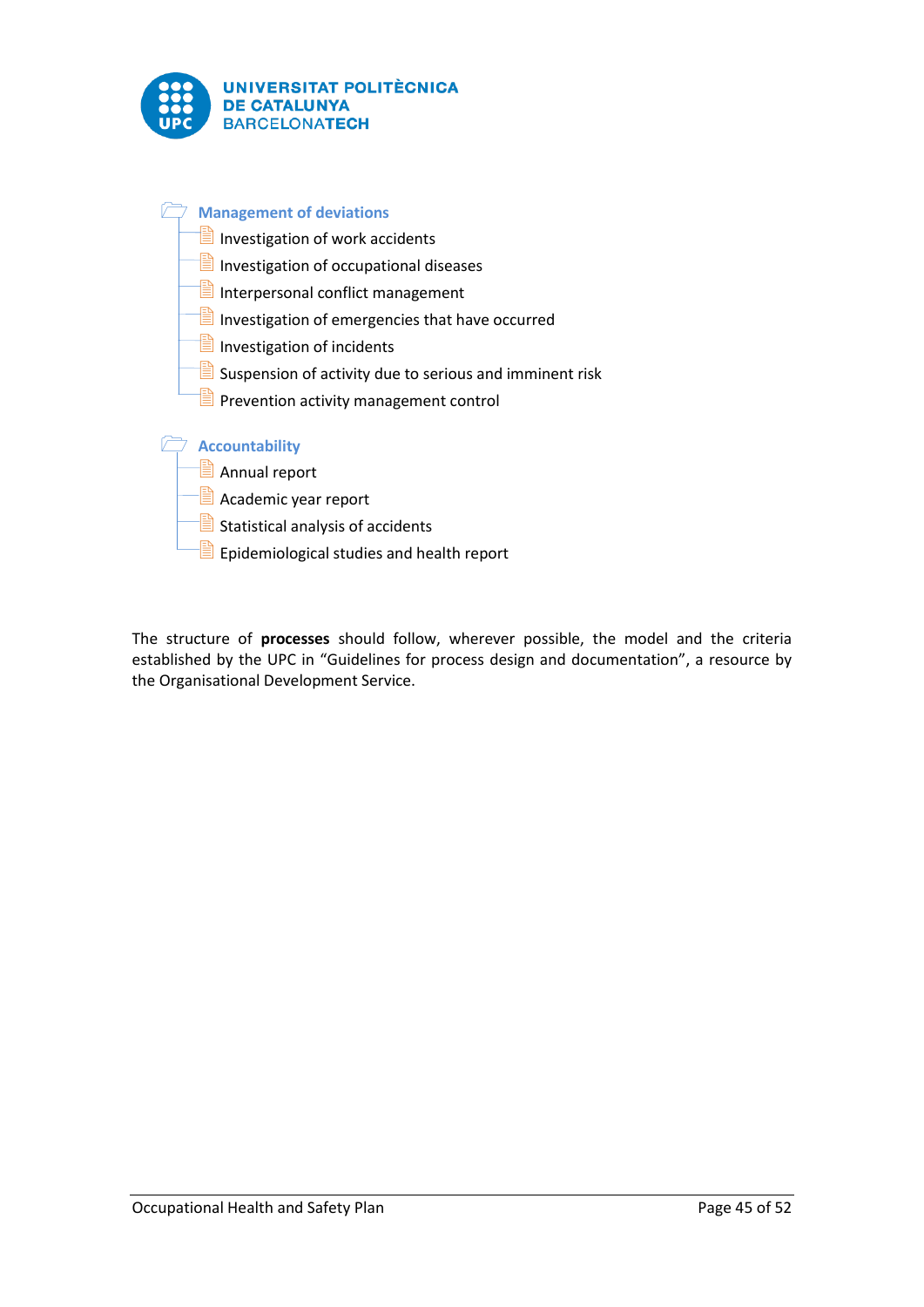

| <b>Management of deviations</b>                         |
|---------------------------------------------------------|
| Investigation of work accidents<br>Ħ                    |
| Ë<br>Investigation of occupational diseases             |
| e)<br>Interpersonal conflict management                 |
| e)<br>Investigation of emergencies that have occurred   |
| 閆<br>Investigation of incidents                         |
| Suspension of activity due to serious and imminent risk |
| Prevention activity management control                  |
|                                                         |
| <b>Accountability</b>                                   |
| e)<br>Annual report                                     |
| Academic year report                                    |
| Statistical analysis of accidents                       |
| Epidemiological studies and health report               |

The structure of **processes** should follow, wherever possible, the model and the criteria established by the UPC in "Guidelines for process design and documentation", a resource by the Organisational Development Service.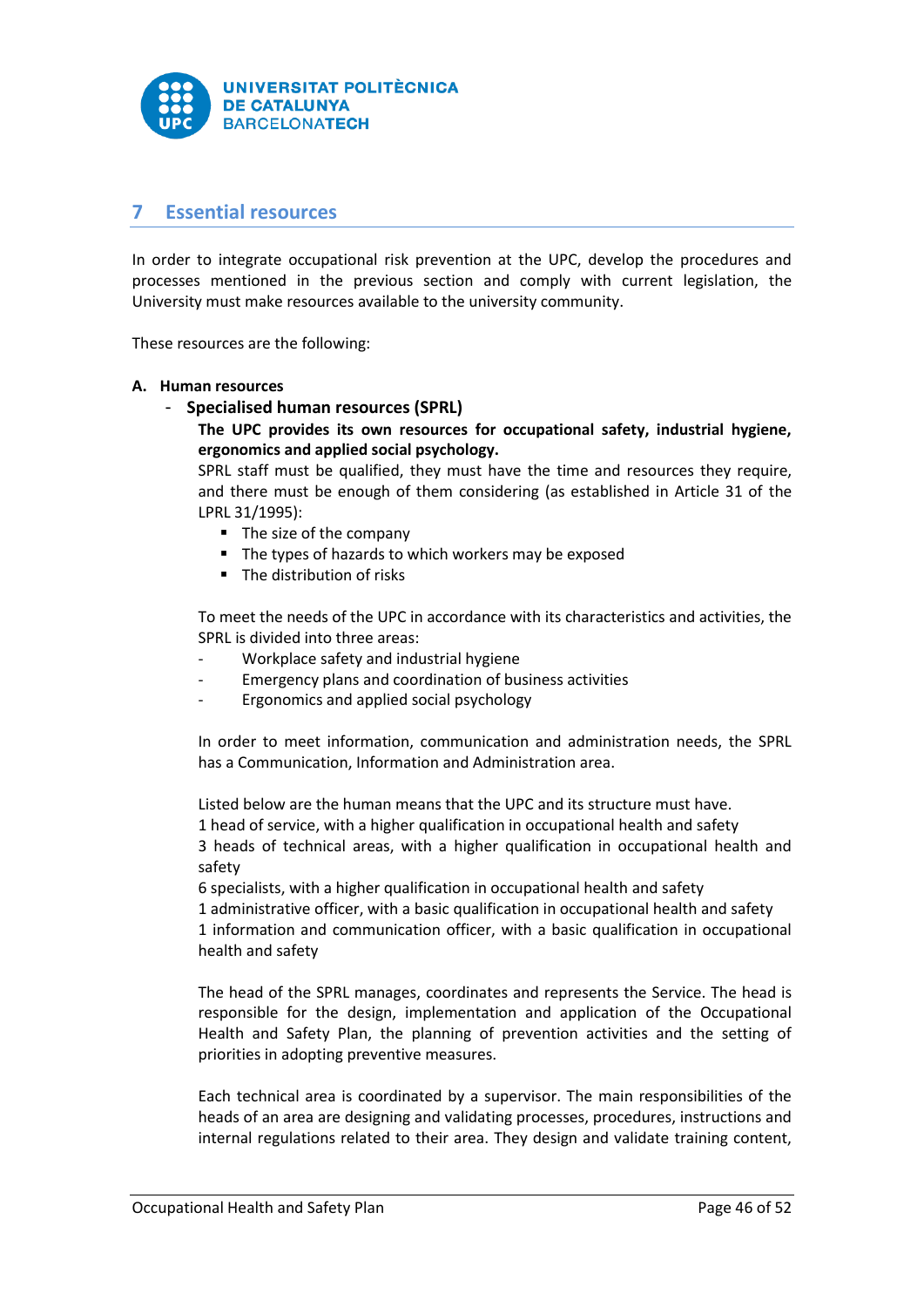

# <span id="page-46-0"></span>**7 Essential resources**

In order to integrate occupational risk prevention at the UPC, develop the procedures and processes mentioned in the previous section and comply with current legislation, the University must make resources available to the university community.

These resources are the following:

#### **A. Human resources**

- **Specialised human resources (SPRL)**

**The UPC provides its own resources for occupational safety, industrial hygiene, ergonomics and applied social psychology.**

SPRL staff must be qualified, they must have the time and resources they require, and there must be enough of them considering (as established in Article 31 of the LPRL 31/1995):

- The size of the company
- The types of hazards to which workers may be exposed
- **The distribution of risks**

To meet the needs of the UPC in accordance with its characteristics and activities, the SPRL is divided into three areas:

- Workplace safety and industrial hygiene
- Emergency plans and coordination of business activities
- Ergonomics and applied social psychology

In order to meet information, communication and administration needs, the SPRL has a Communication, Information and Administration area.

Listed below are the human means that the UPC and its structure must have. 1 head of service, with a higher qualification in occupational health and safety 3 heads of technical areas, with a higher qualification in occupational health and safety

6 specialists, with a higher qualification in occupational health and safety 1 administrative officer, with a basic qualification in occupational health and safety 1 information and communication officer, with a basic qualification in occupational health and safety

The head of the SPRL manages, coordinates and represents the Service. The head is responsible for the design, implementation and application of the Occupational Health and Safety Plan, the planning of prevention activities and the setting of priorities in adopting preventive measures.

Each technical area is coordinated by a supervisor. The main responsibilities of the heads of an area are designing and validating processes, procedures, instructions and internal regulations related to their area. They design and validate training content,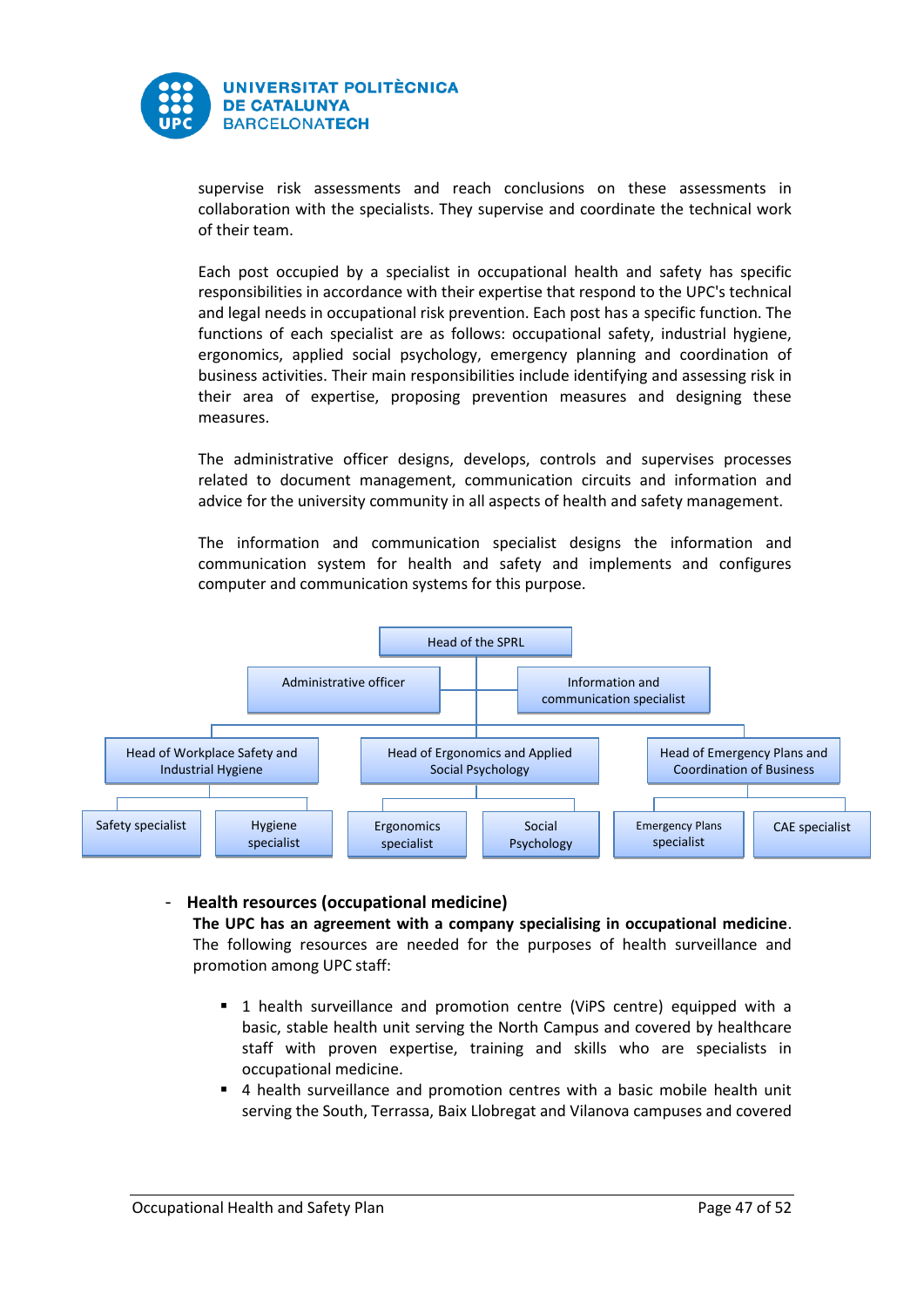

supervise risk assessments and reach conclusions on these assessments in collaboration with the specialists. They supervise and coordinate the technical work of their team.

Each post occupied by a specialist in occupational health and safety has specific responsibilities in accordance with their expertise that respond to the UPC's technical and legal needs in occupational risk prevention. Each post has a specific function. The functions of each specialist are as follows: occupational safety, industrial hygiene, ergonomics, applied social psychology, emergency planning and coordination of business activities. Their main responsibilities include identifying and assessing risk in their area of expertise, proposing prevention measures and designing these measures.

The administrative officer designs, develops, controls and supervises processes related to document management, communication circuits and information and advice for the university community in all aspects of health and safety management.

The information and communication specialist designs the information and communication system for health and safety and implements and configures computer and communication systems for this purpose.



## - **Health resources (occupational medicine)**

**The UPC has an agreement with a company specialising in occupational medicine**. The following resources are needed for the purposes of health surveillance and promotion among UPC staff:

- 1 health surveillance and promotion centre (ViPS centre) equipped with a basic, stable health unit serving the North Campus and covered by healthcare staff with proven expertise, training and skills who are specialists in occupational medicine.
- 4 health surveillance and promotion centres with a basic mobile health unit serving the South, Terrassa, Baix Llobregat and Vilanova campuses and covered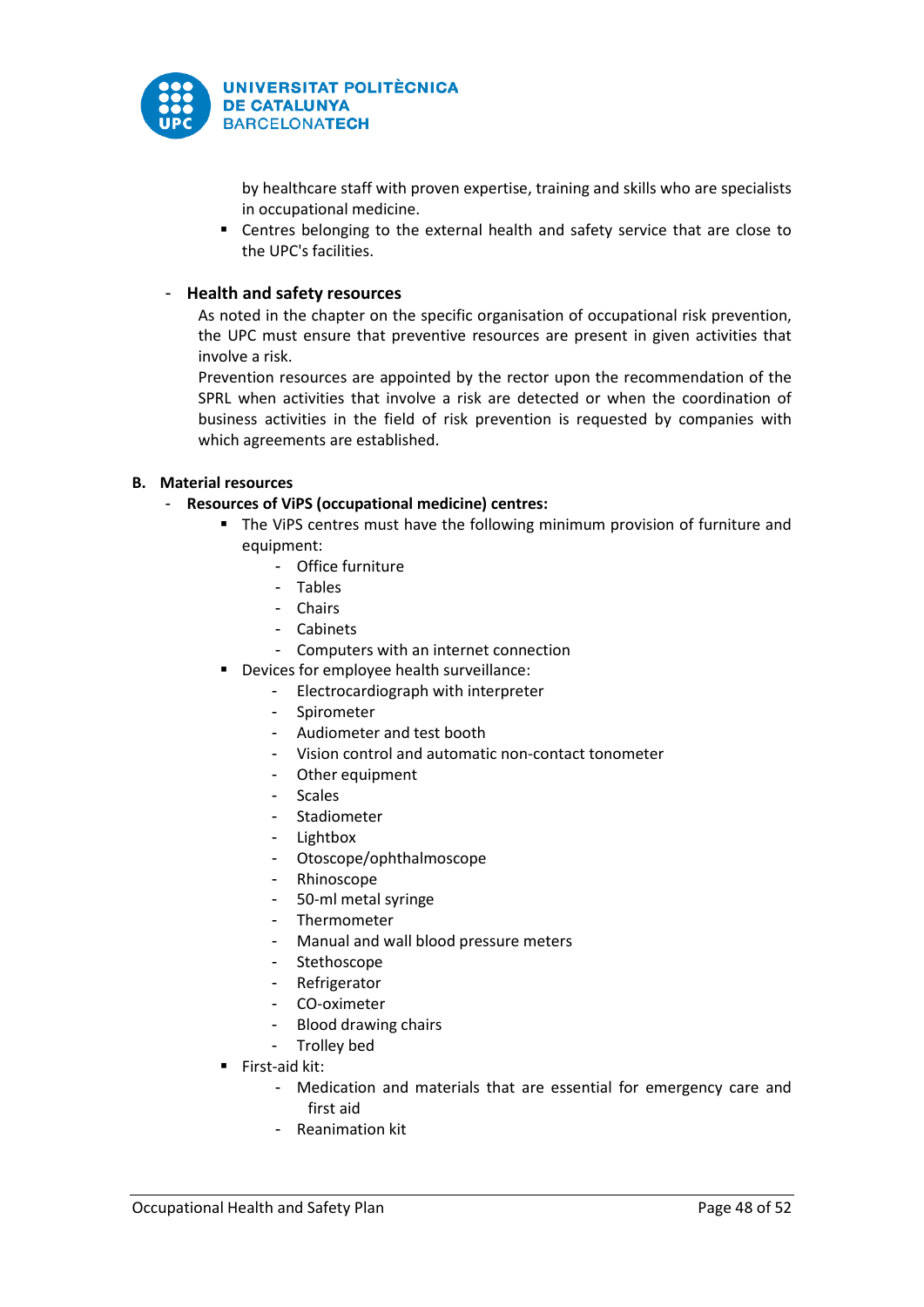

by healthcare staff with proven expertise, training and skills who are specialists in occupational medicine.

 Centres belonging to the external health and safety service that are close to the UPC's facilities.

# - **Health and safety resources**

As noted in the chapter on the specific organisation of occupational risk prevention, the UPC must ensure that preventive resources are present in given activities that involve a risk.

Prevention resources are appointed by the rector upon the recommendation of the SPRL when activities that involve a risk are detected or when the coordination of business activities in the field of risk prevention is requested by companies with which agreements are established.

# **B. Material resources**

- **Resources of ViPS (occupational medicine) centres:**
	- **The VIPS centres must have the following minimum provision of furniture and** equipment:
		- Office furniture
		- Tables
		- Chairs
		- Cabinets
		- Computers with an internet connection
	- **•** Devices for employee health surveillance:
		- Electrocardiograph with interpreter
		- Spirometer
		- Audiometer and test booth
		- Vision control and automatic non-contact tonometer
		- Other equipment
		- Scales
		- Stadiometer
		- Lightbox
		- Otoscope/ophthalmoscope
		- Rhinoscope
		- 50-ml metal syringe
		- Thermometer
		- Manual and wall blood pressure meters
		- Stethoscope
		- **Refrigerator**
		- CO-oximeter
		- Blood drawing chairs
		- Trolley bed
	- $\blacksquare$  First-aid kit:
		- Medication and materials that are essential for emergency care and first aid
		- Reanimation kit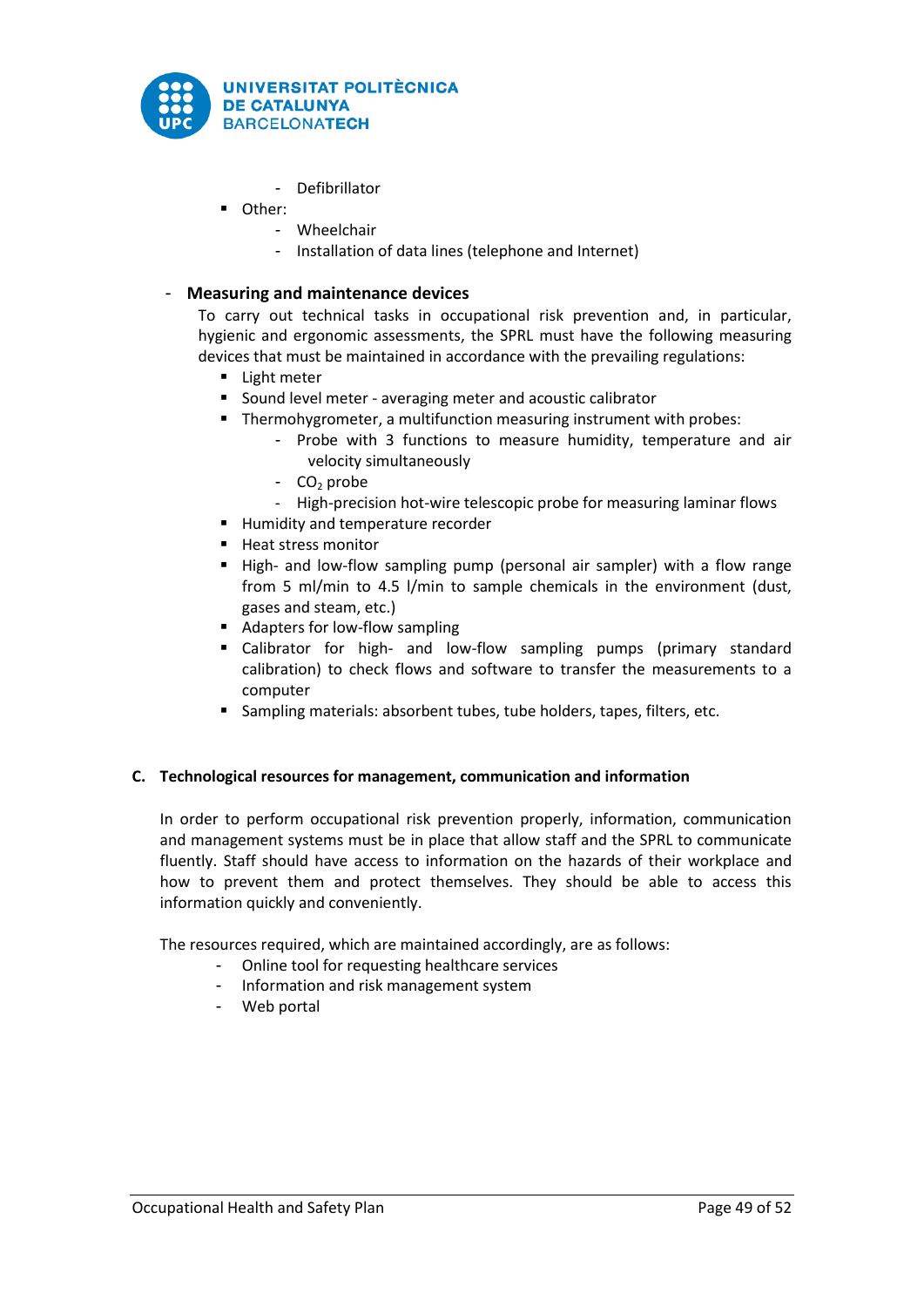

- Defibrillator
- Other:
	- Wheelchair
	- Installation of data lines (telephone and Internet)

# - **Measuring and maintenance devices**

To carry out technical tasks in occupational risk prevention and, in particular, hygienic and ergonomic assessments, the SPRL must have the following measuring devices that must be maintained in accordance with the prevailing regulations:

- **Light meter**
- Sound level meter averaging meter and acoustic calibrator
- **Thermohygrometer, a multifunction measuring instrument with probes:** 
	- Probe with 3 functions to measure humidity, temperature and air velocity simultaneously
	- $CO<sub>2</sub>$  probe
	- High-precision hot-wire telescopic probe for measuring laminar flows
- **Humidity and temperature recorder**
- Heat stress monitor
- High- and low-flow sampling pump (personal air sampler) with a flow range from 5 ml/min to 4.5 l/min to sample chemicals in the environment (dust, gases and steam, etc.)
- Adapters for low-flow sampling
- Calibrator for high- and low-flow sampling pumps (primary standard calibration) to check flows and software to transfer the measurements to a computer
- Sampling materials: absorbent tubes, tube holders, tapes, filters, etc.

## **C. Technological resources for management, communication and information**

In order to perform occupational risk prevention properly, information, communication and management systems must be in place that allow staff and the SPRL to communicate fluently. Staff should have access to information on the hazards of their workplace and how to prevent them and protect themselves. They should be able to access this information quickly and conveniently.

The resources required, which are maintained accordingly, are as follows:

- Online tool for requesting healthcare services
- Information and risk management system
- Web portal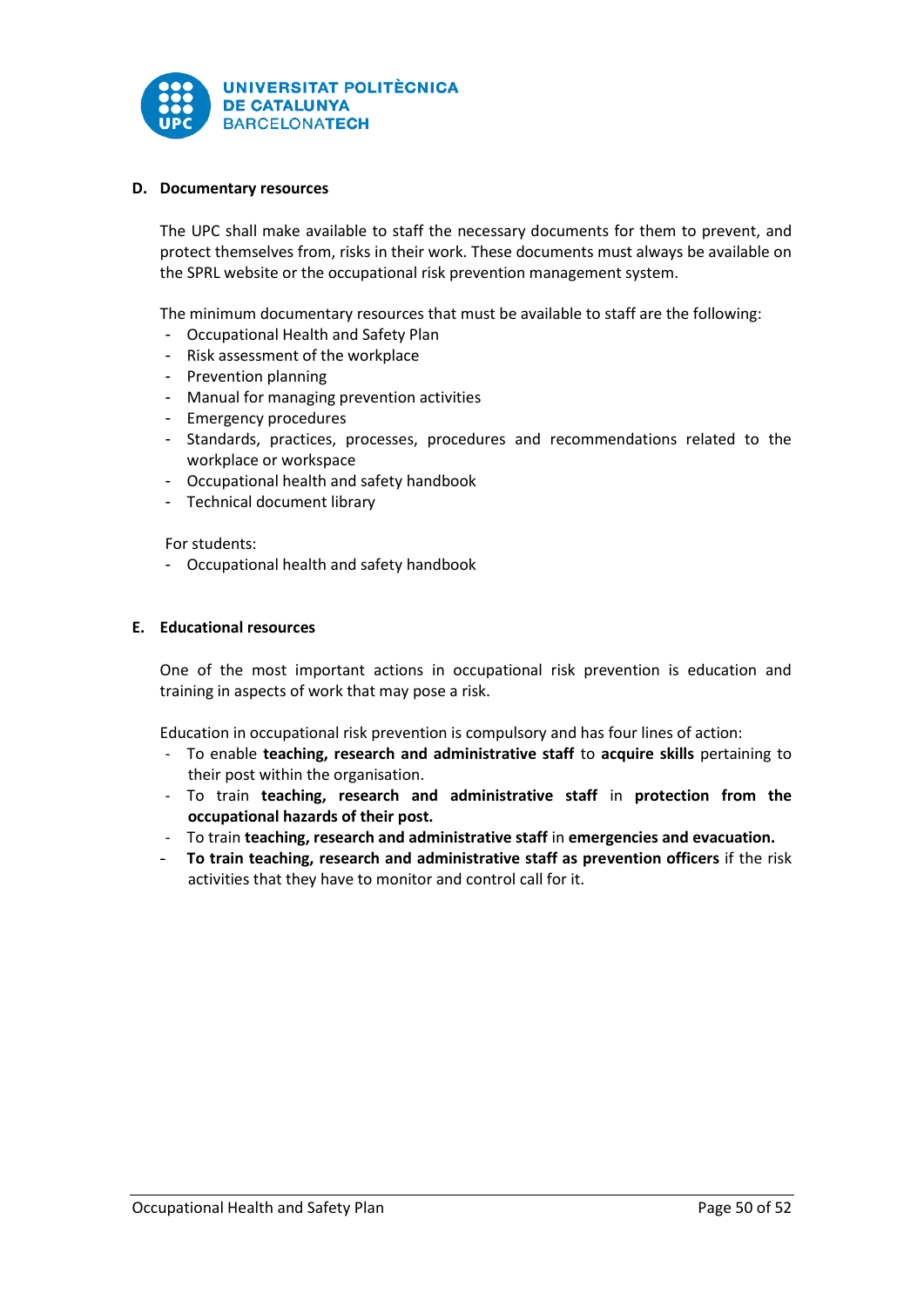

## **D. Documentary resources**

The UPC shall make available to staff the necessary documents for them to prevent, and protect themselves from, risks in their work. These documents must always be available on the SPRL website or the occupational risk prevention management system.

The minimum documentary resources that must be available to staff are the following:

- Occupational Health and Safety Plan
- Risk assessment of the workplace
- Prevention planning
- Manual for managing prevention activities
- Emergency procedures
- Standards, practices, processes, procedures and recommendations related to the workplace or workspace
- Occupational health and safety handbook
- Technical document library

For students:

- Occupational health and safety handbook

## **E. Educational resources**

One of the most important actions in occupational risk prevention is education and training in aspects of work that may pose a risk.

Education in occupational risk prevention is compulsory and has four lines of action:

- To enable **teaching, research and administrative staff** to **acquire skills** pertaining to their post within the organisation.
- To train **teaching, research and administrative staff** in **protection from the occupational hazards of their post.**
- To train **teaching, research and administrative staff** in **emergencies and evacuation.**
- **To train teaching, research and administrative staff as prevention officers** if the risk activities that they have to monitor and control call for it.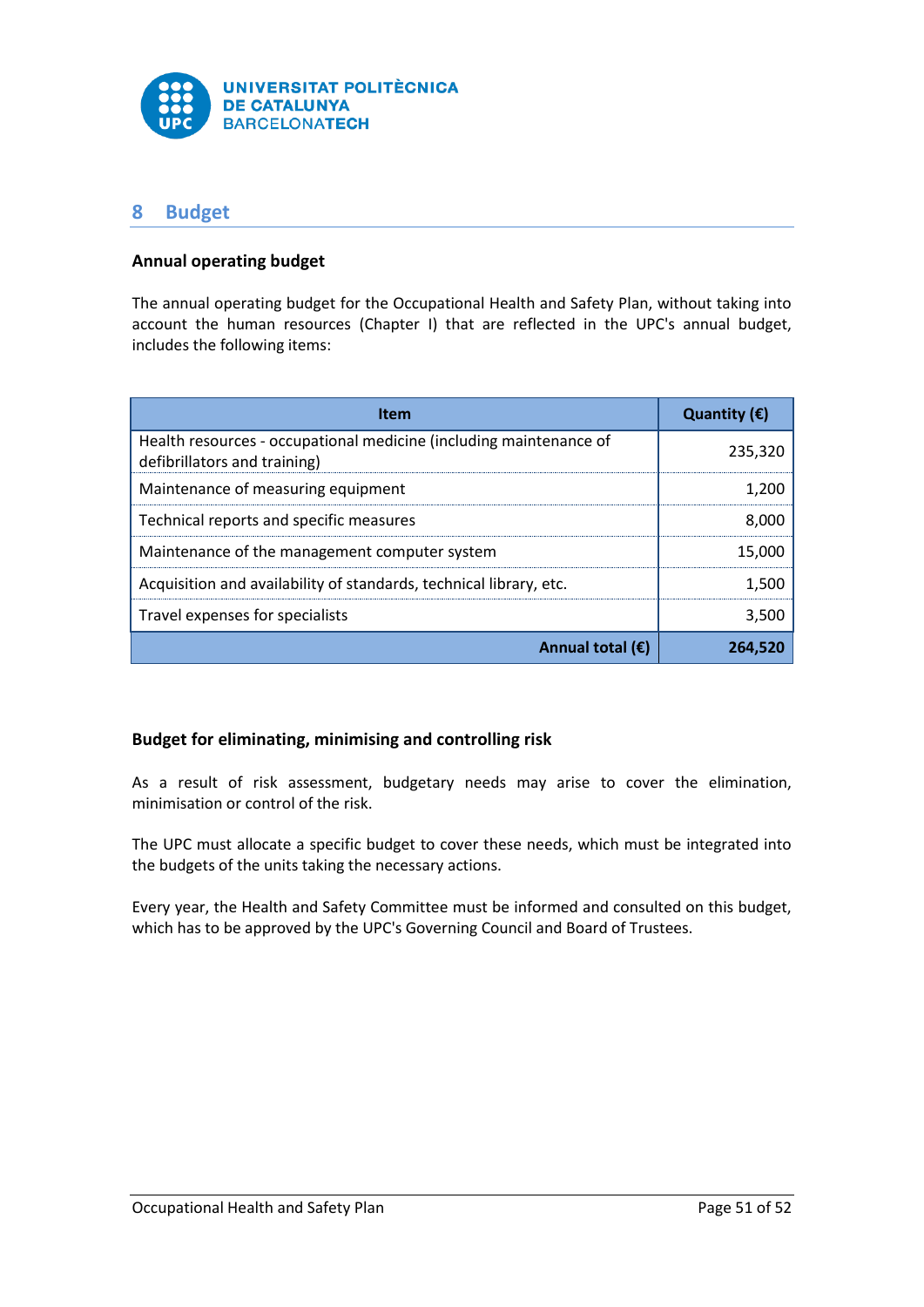

# <span id="page-51-0"></span>**8 Budget**

# **Annual operating budget**

The annual operating budget for the Occupational Health and Safety Plan, without taking into account the human resources (Chapter I) that are reflected in the UPC's annual budget, includes the following items:

| <b>Item</b>                                                                                        | Quantity $(\epsilon)$ |
|----------------------------------------------------------------------------------------------------|-----------------------|
| Health resources - occupational medicine (including maintenance of<br>defibrillators and training) | 235,320               |
| Maintenance of measuring equipment                                                                 | 1.200                 |
| Technical reports and specific measures                                                            | 8.000                 |
| Maintenance of the management computer system                                                      | 15,000                |
| Acquisition and availability of standards, technical library, etc.                                 | 1.500                 |
| Travel expenses for specialists                                                                    | 3.500                 |
| Annual total $(\epsilon)$                                                                          | 26452                 |

# **Budget for eliminating, minimising and controlling risk**

As a result of risk assessment, budgetary needs may arise to cover the elimination, minimisation or control of the risk.

The UPC must allocate a specific budget to cover these needs, which must be integrated into the budgets of the units taking the necessary actions.

Every year, the Health and Safety Committee must be informed and consulted on this budget, which has to be approved by the UPC's Governing Council and Board of Trustees.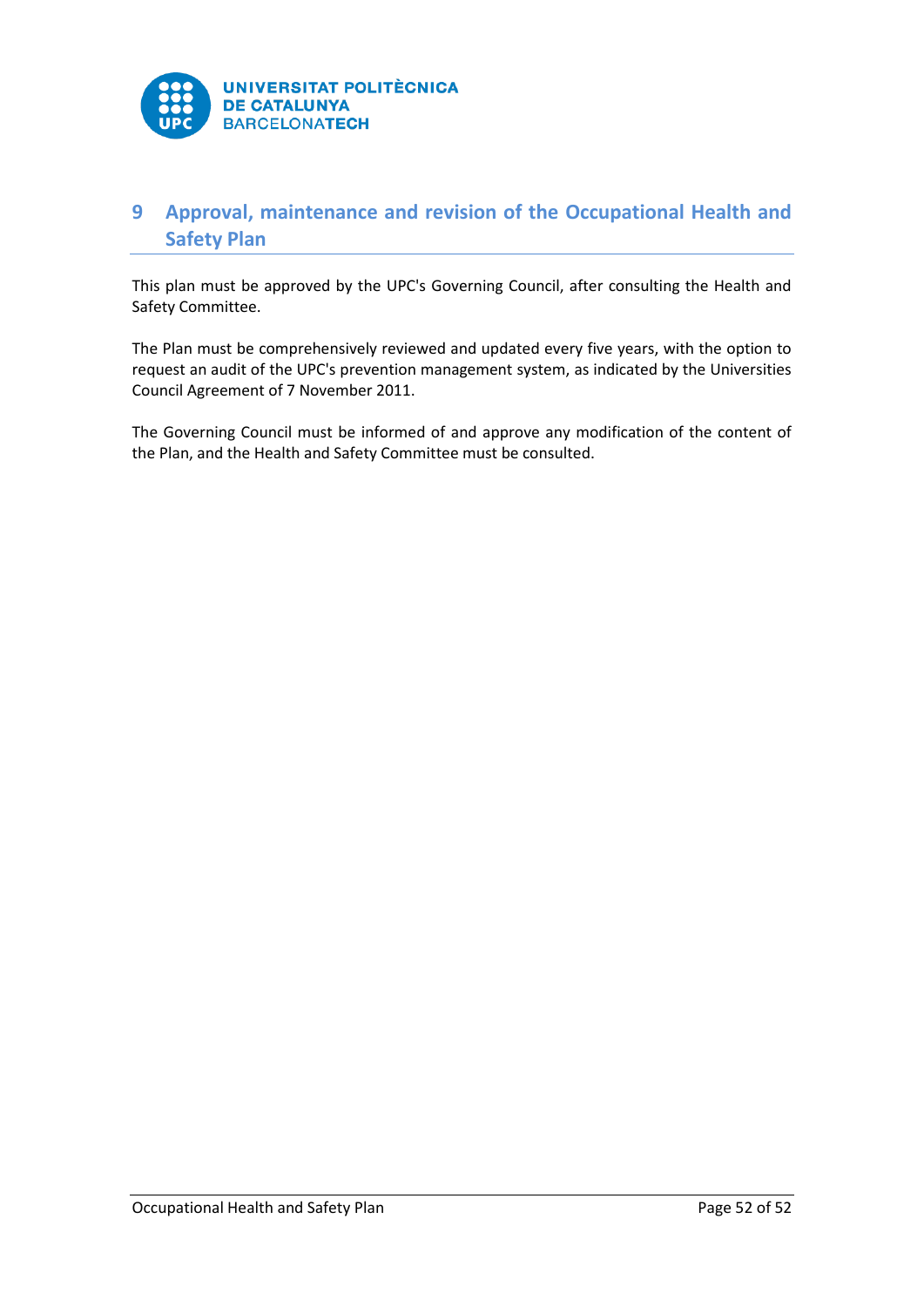

# <span id="page-52-0"></span>**9 Approval, maintenance and revision of the Occupational Health and Safety Plan**

This plan must be approved by the UPC's Governing Council, after consulting the Health and Safety Committee.

The Plan must be comprehensively reviewed and updated every five years, with the option to request an audit of the UPC's prevention management system, as indicated by the Universities Council Agreement of 7 November 2011.

The Governing Council must be informed of and approve any modification of the content of the Plan, and the Health and Safety Committee must be consulted.